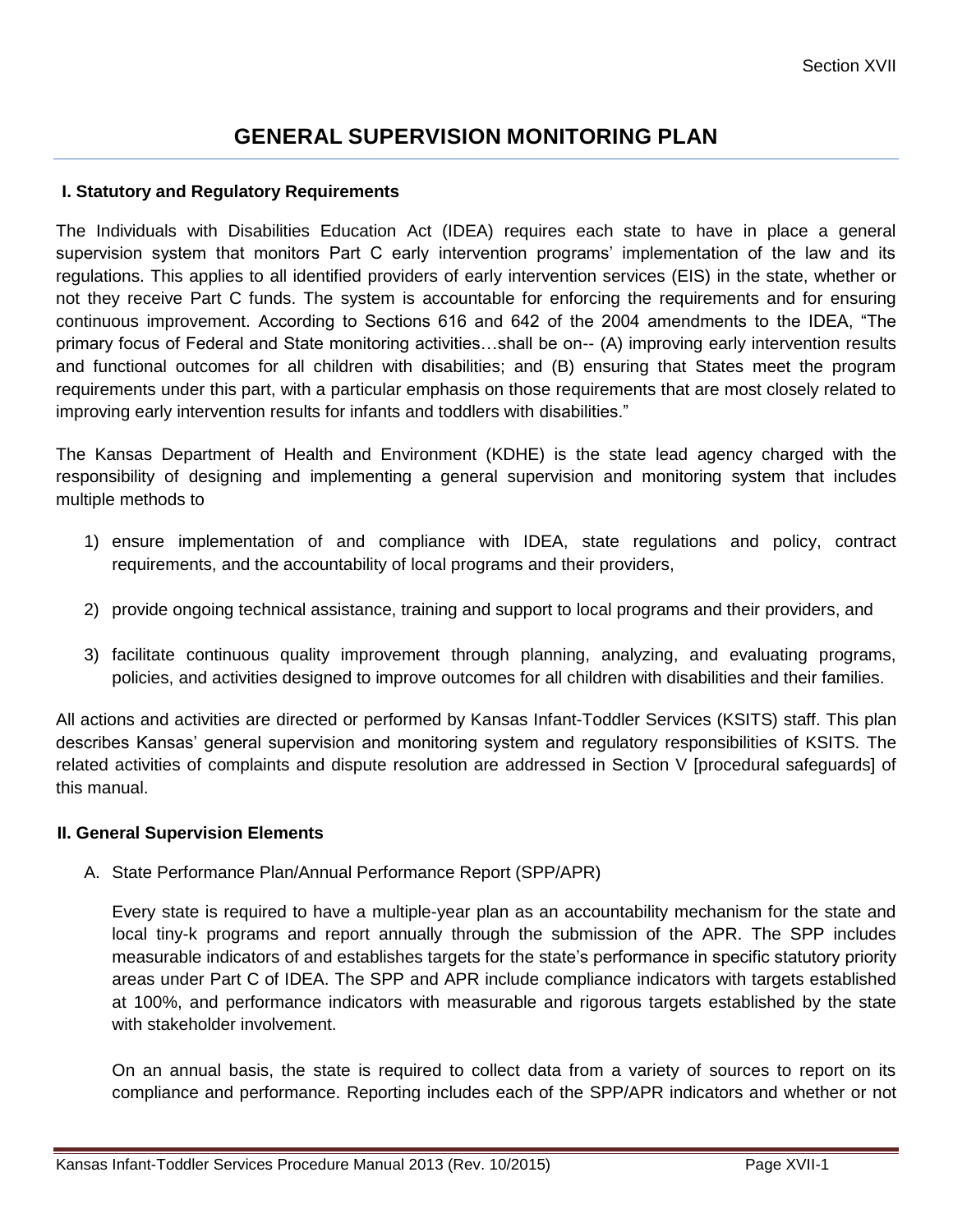# **GENERAL SUPERVISION MONITORING PLAN**

#### **I. Statutory and Regulatory Requirements**

The Individuals with Disabilities Education Act (IDEA) requires each state to have in place a general supervision system that monitors Part C early intervention programs' implementation of the law and its regulations. This applies to all identified providers of early intervention services (EIS) in the state, whether or not they receive Part C funds. The system is accountable for enforcing the requirements and for ensuring continuous improvement. According to Sections 616 and 642 of the 2004 amendments to the IDEA, "The primary focus of Federal and State monitoring activities…shall be on-- (A) improving early intervention results and functional outcomes for all children with disabilities; and (B) ensuring that States meet the program requirements under this part, with a particular emphasis on those requirements that are most closely related to improving early intervention results for infants and toddlers with disabilities."

The Kansas Department of Health and Environment (KDHE) is the state lead agency charged with the responsibility of designing and implementing a general supervision and monitoring system that includes multiple methods to

- 1) ensure implementation of and compliance with IDEA, state regulations and policy, contract requirements, and the accountability of local programs and their providers,
- 2) provide ongoing technical assistance, training and support to local programs and their providers, and
- 3) facilitate continuous quality improvement through planning, analyzing, and evaluating programs, policies, and activities designed to improve outcomes for all children with disabilities and their families.

All actions and activities are directed or performed by Kansas Infant-Toddler Services (KSITS) staff. This plan describes Kansas' general supervision and monitoring system and regulatory responsibilities of KSITS. The related activities of complaints and dispute resolution are addressed in Section V [procedural safeguards] of this manual.

#### **II. General Supervision Elements**

A. State Performance Plan/Annual Performance Report (SPP/APR)

Every state is required to have a multiple-year plan as an accountability mechanism for the state and local tiny-k programs and report annually through the submission of the APR. The SPP includes measurable indicators of and establishes targets for the state's performance in specific statutory priority areas under Part C of IDEA. The SPP and APR include compliance indicators with targets established at 100%, and performance indicators with measurable and rigorous targets established by the state with stakeholder involvement.

On an annual basis, the state is required to collect data from a variety of sources to report on its compliance and performance. Reporting includes each of the SPP/APR indicators and whether or not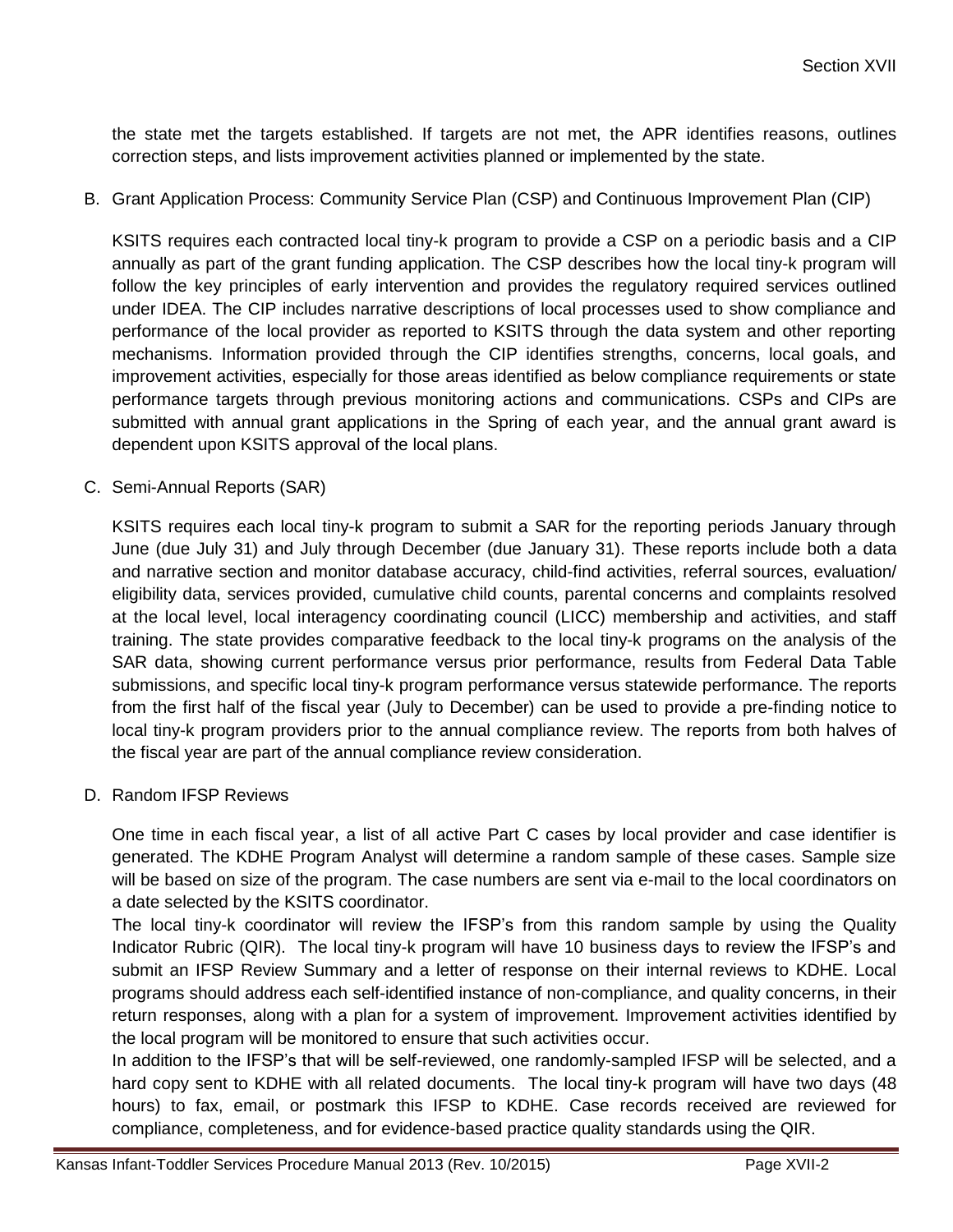the state met the targets established. If targets are not met, the APR identifies reasons, outlines correction steps, and lists improvement activities planned or implemented by the state.

B. Grant Application Process: Community Service Plan (CSP) and Continuous Improvement Plan (CIP)

KSITS requires each contracted local tiny-k program to provide a CSP on a periodic basis and a CIP annually as part of the grant funding application. The CSP describes how the local tiny-k program will follow the key principles of early intervention and provides the regulatory required services outlined under IDEA. The CIP includes narrative descriptions of local processes used to show compliance and performance of the local provider as reported to KSITS through the data system and other reporting mechanisms. Information provided through the CIP identifies strengths, concerns, local goals, and improvement activities, especially for those areas identified as below compliance requirements or state performance targets through previous monitoring actions and communications. CSPs and CIPs are submitted with annual grant applications in the Spring of each year, and the annual grant award is dependent upon KSITS approval of the local plans.

C. Semi-Annual Reports (SAR)

KSITS requires each local tiny-k program to submit a SAR for the reporting periods January through June (due July 31) and July through December (due January 31). These reports include both a data and narrative section and monitor database accuracy, child-find activities, referral sources, evaluation/ eligibility data, services provided, cumulative child counts, parental concerns and complaints resolved at the local level, local interagency coordinating council (LICC) membership and activities, and staff training. The state provides comparative feedback to the local tiny-k programs on the analysis of the SAR data, showing current performance versus prior performance, results from Federal Data Table submissions, and specific local tiny-k program performance versus statewide performance. The reports from the first half of the fiscal year (July to December) can be used to provide a pre-finding notice to local tiny-k program providers prior to the annual compliance review. The reports from both halves of the fiscal year are part of the annual compliance review consideration.

D. Random IFSP Reviews

One time in each fiscal year, a list of all active Part C cases by local provider and case identifier is generated. The KDHE Program Analyst will determine a random sample of these cases. Sample size will be based on size of the program. The case numbers are sent via e-mail to the local coordinators on a date selected by the KSITS coordinator.

The local tiny-k coordinator will review the IFSP's from this random sample by using the Quality Indicator Rubric (QIR). The local tiny-k program will have 10 business days to review the IFSP's and submit an IFSP Review Summary and a letter of response on their internal reviews to KDHE. Local programs should address each self-identified instance of non-compliance, and quality concerns, in their return responses, along with a plan for a system of improvement. Improvement activities identified by the local program will be monitored to ensure that such activities occur.

In addition to the IFSP's that will be self-reviewed, one randomly-sampled IFSP will be selected, and a hard copy sent to KDHE with all related documents. The local tiny-k program will have two days (48 hours) to fax, email, or postmark this IFSP to KDHE. Case records received are reviewed for compliance, completeness, and for evidence-based practice quality standards using the QIR.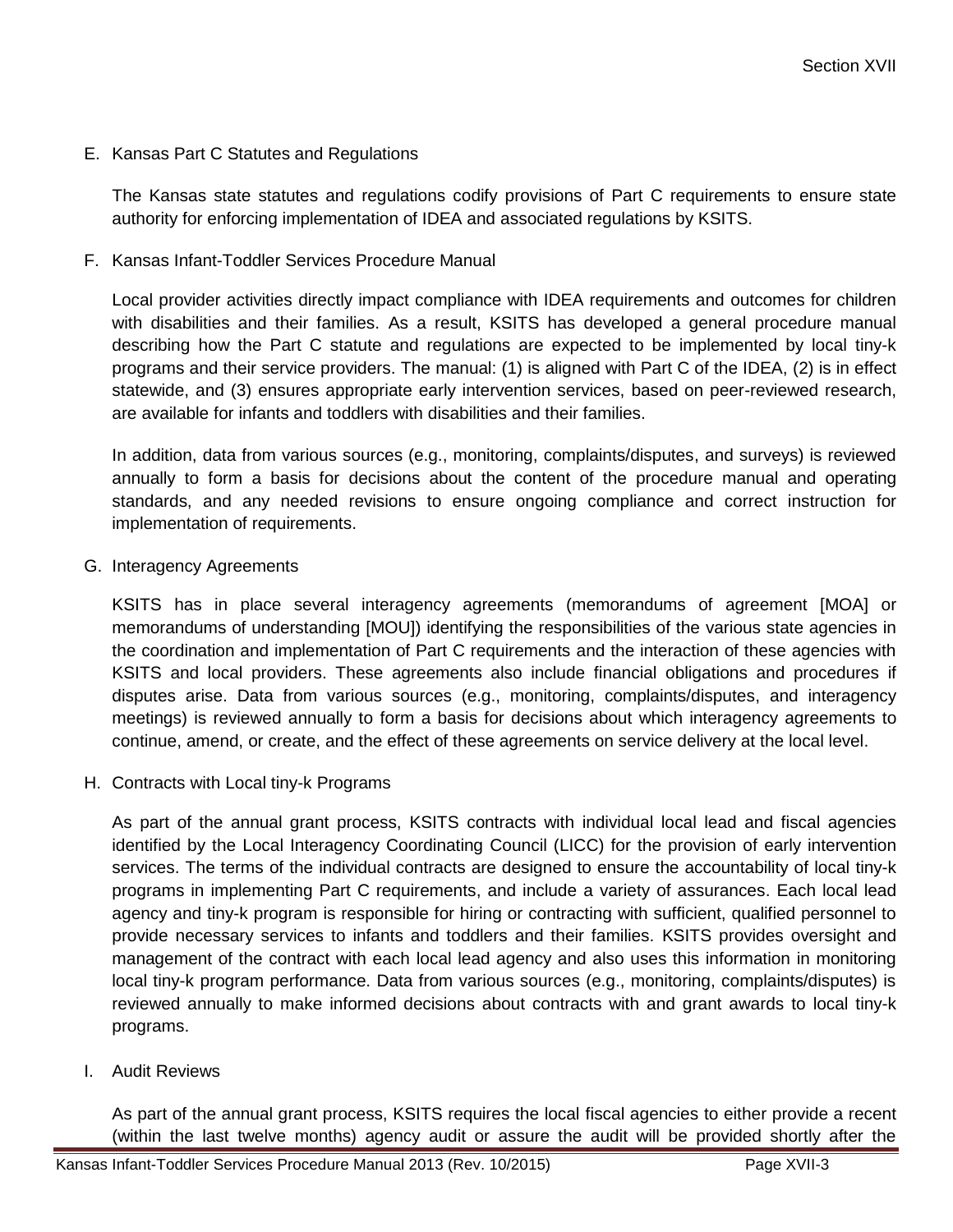E. Kansas Part C Statutes and Regulations

The Kansas state statutes and regulations codify provisions of Part C requirements to ensure state authority for enforcing implementation of IDEA and associated regulations by KSITS.

F. Kansas Infant-Toddler Services Procedure Manual

Local provider activities directly impact compliance with IDEA requirements and outcomes for children with disabilities and their families. As a result, KSITS has developed a general procedure manual describing how the Part C statute and regulations are expected to be implemented by local tiny-k programs and their service providers. The manual: (1) is aligned with Part C of the IDEA, (2) is in effect statewide, and (3) ensures appropriate early intervention services, based on peer-reviewed research, are available for infants and toddlers with disabilities and their families.

In addition, data from various sources (e.g., monitoring, complaints/disputes, and surveys) is reviewed annually to form a basis for decisions about the content of the procedure manual and operating standards, and any needed revisions to ensure ongoing compliance and correct instruction for implementation of requirements.

G. Interagency Agreements

KSITS has in place several interagency agreements (memorandums of agreement [MOA] or memorandums of understanding [MOU]) identifying the responsibilities of the various state agencies in the coordination and implementation of Part C requirements and the interaction of these agencies with KSITS and local providers. These agreements also include financial obligations and procedures if disputes arise. Data from various sources (e.g., monitoring, complaints/disputes, and interagency meetings) is reviewed annually to form a basis for decisions about which interagency agreements to continue, amend, or create, and the effect of these agreements on service delivery at the local level.

H. Contracts with Local tiny-k Programs

As part of the annual grant process, KSITS contracts with individual local lead and fiscal agencies identified by the Local Interagency Coordinating Council (LICC) for the provision of early intervention services. The terms of the individual contracts are designed to ensure the accountability of local tiny-k programs in implementing Part C requirements, and include a variety of assurances. Each local lead agency and tiny-k program is responsible for hiring or contracting with sufficient, qualified personnel to provide necessary services to infants and toddlers and their families. KSITS provides oversight and management of the contract with each local lead agency and also uses this information in monitoring local tiny-k program performance. Data from various sources (e.g., monitoring, complaints/disputes) is reviewed annually to make informed decisions about contracts with and grant awards to local tiny-k programs.

I. Audit Reviews

As part of the annual grant process, KSITS requires the local fiscal agencies to either provide a recent (within the last twelve months) agency audit or assure the audit will be provided shortly after the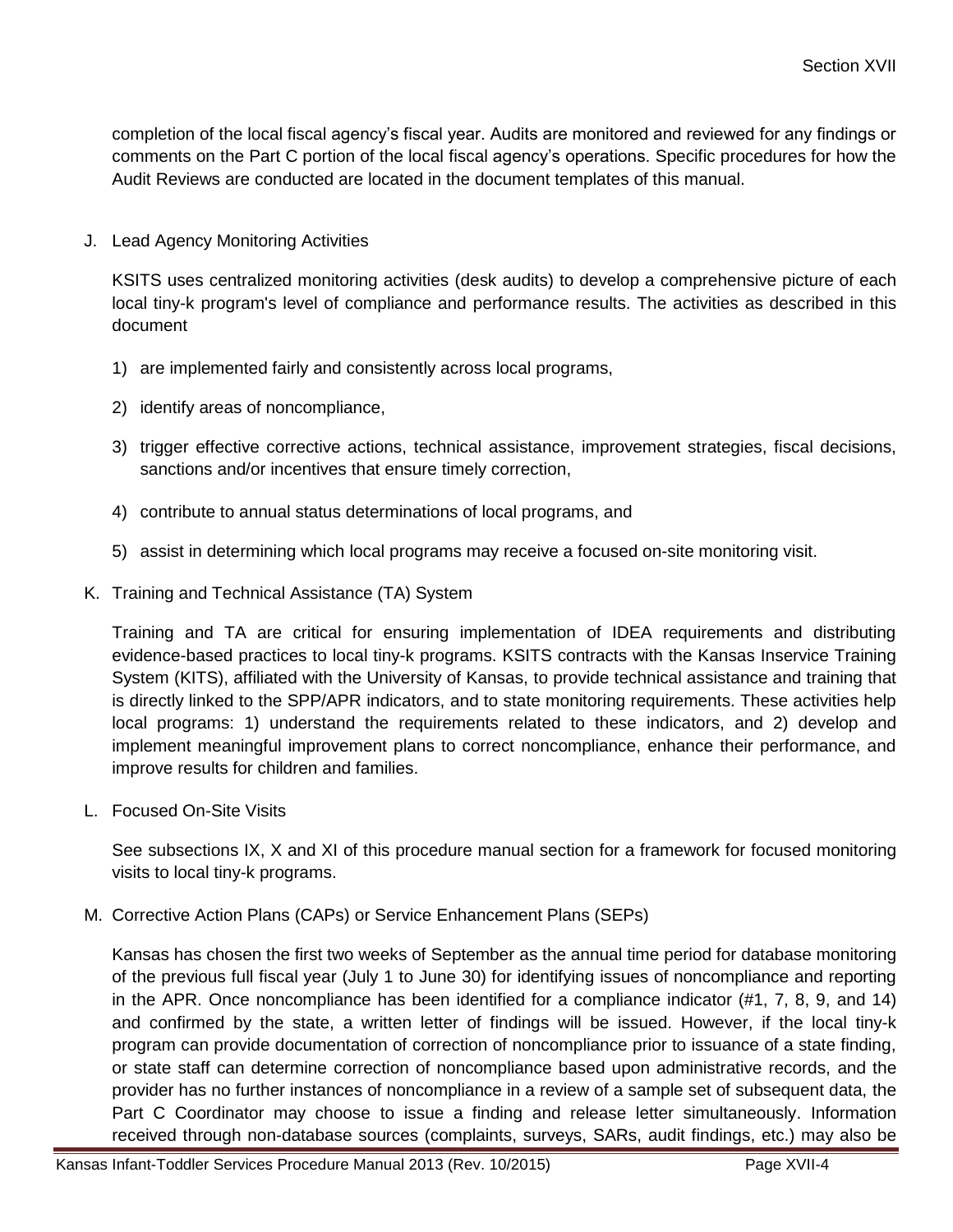completion of the local fiscal agency's fiscal year. Audits are monitored and reviewed for any findings or comments on the Part C portion of the local fiscal agency's operations. Specific procedures for how the Audit Reviews are conducted are located in the document templates of this manual.

J. Lead Agency Monitoring Activities

KSITS uses centralized monitoring activities (desk audits) to develop a comprehensive picture of each local tiny-k program's level of compliance and performance results. The activities as described in this document

- 1) are implemented fairly and consistently across local programs,
- 2) identify areas of noncompliance,
- 3) trigger effective corrective actions, technical assistance, improvement strategies, fiscal decisions, sanctions and/or incentives that ensure timely correction,
- 4) contribute to annual status determinations of local programs, and
- 5) assist in determining which local programs may receive a focused on-site monitoring visit.
- K. Training and Technical Assistance (TA) System

Training and TA are critical for ensuring implementation of IDEA requirements and distributing evidence-based practices to local tiny-k programs. KSITS contracts with the Kansas Inservice Training System (KITS), affiliated with the University of Kansas, to provide technical assistance and training that is directly linked to the SPP/APR indicators, and to state monitoring requirements. These activities help local programs: 1) understand the requirements related to these indicators, and 2) develop and implement meaningful improvement plans to correct noncompliance, enhance their performance, and improve results for children and families.

L. Focused On-Site Visits

See subsections IX, X and XI of this procedure manual section for a framework for focused monitoring visits to local tiny-k programs.

M. Corrective Action Plans (CAPs) or Service Enhancement Plans (SEPs)

Kansas has chosen the first two weeks of September as the annual time period for database monitoring of the previous full fiscal year (July 1 to June 30) for identifying issues of noncompliance and reporting in the APR. Once noncompliance has been identified for a compliance indicator (#1, 7, 8, 9, and 14) and confirmed by the state, a written letter of findings will be issued. However, if the local tiny-k program can provide documentation of correction of noncompliance prior to issuance of a state finding, or state staff can determine correction of noncompliance based upon administrative records, and the provider has no further instances of noncompliance in a review of a sample set of subsequent data, the Part C Coordinator may choose to issue a finding and release letter simultaneously. Information received through non-database sources (complaints, surveys, SARs, audit findings, etc.) may also be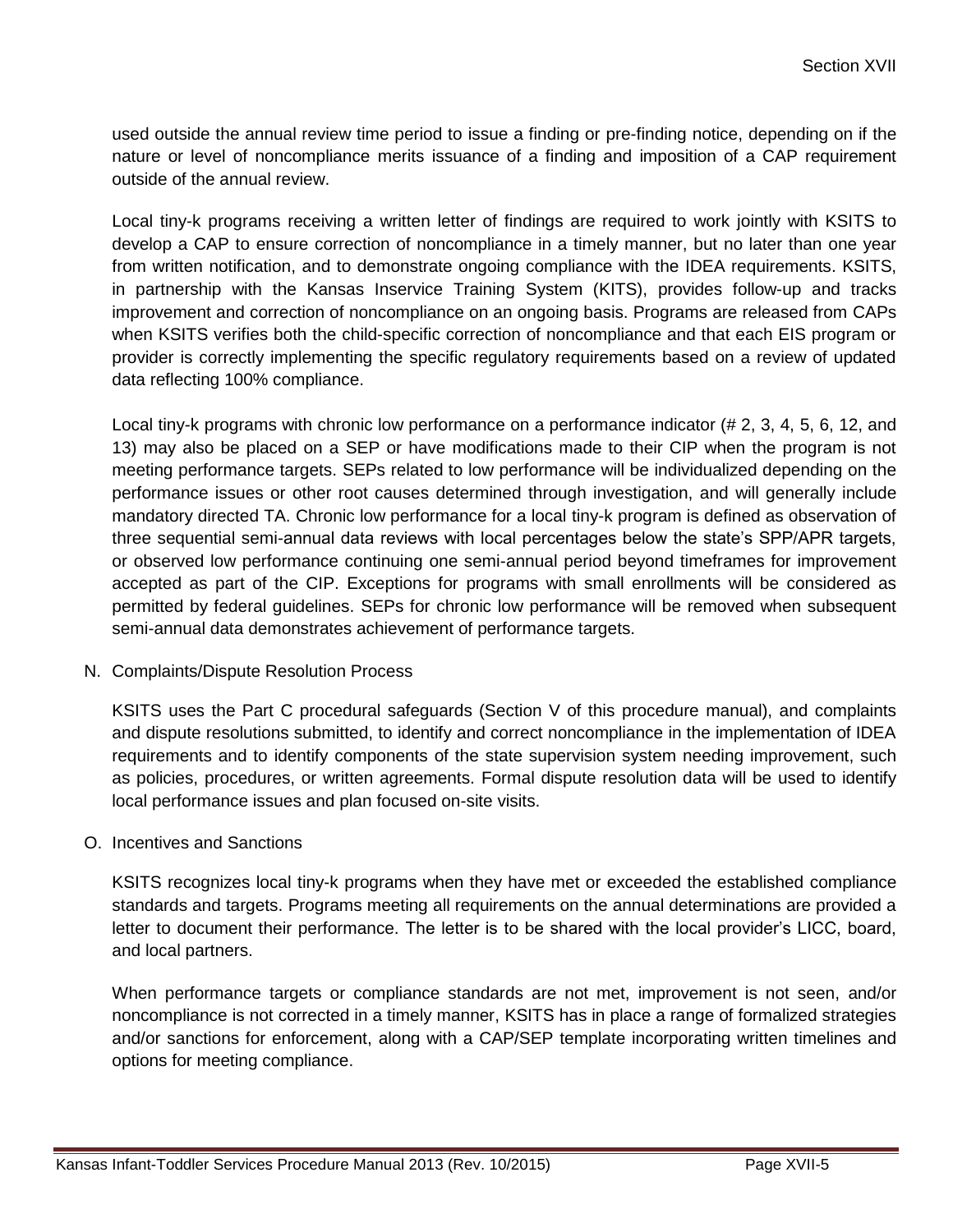used outside the annual review time period to issue a finding or pre-finding notice, depending on if the nature or level of noncompliance merits issuance of a finding and imposition of a CAP requirement outside of the annual review.

Local tiny-k programs receiving a written letter of findings are required to work jointly with KSITS to develop a CAP to ensure correction of noncompliance in a timely manner, but no later than one year from written notification, and to demonstrate ongoing compliance with the IDEA requirements. KSITS, in partnership with the Kansas Inservice Training System (KITS), provides follow-up and tracks improvement and correction of noncompliance on an ongoing basis. Programs are released from CAPs when KSITS verifies both the child-specific correction of noncompliance and that each EIS program or provider is correctly implementing the specific regulatory requirements based on a review of updated data reflecting 100% compliance.

Local tiny-k programs with chronic low performance on a performance indicator (# 2, 3, 4, 5, 6, 12, and 13) may also be placed on a SEP or have modifications made to their CIP when the program is not meeting performance targets. SEPs related to low performance will be individualized depending on the performance issues or other root causes determined through investigation, and will generally include mandatory directed TA. Chronic low performance for a local tiny-k program is defined as observation of three sequential semi-annual data reviews with local percentages below the state's SPP/APR targets, or observed low performance continuing one semi-annual period beyond timeframes for improvement accepted as part of the CIP. Exceptions for programs with small enrollments will be considered as permitted by federal guidelines. SEPs for chronic low performance will be removed when subsequent semi-annual data demonstrates achievement of performance targets.

#### N. Complaints/Dispute Resolution Process

KSITS uses the Part C procedural safeguards (Section V of this procedure manual), and complaints and dispute resolutions submitted, to identify and correct noncompliance in the implementation of IDEA requirements and to identify components of the state supervision system needing improvement, such as policies, procedures, or written agreements. Formal dispute resolution data will be used to identify local performance issues and plan focused on-site visits.

#### O. Incentives and Sanctions

KSITS recognizes local tiny-k programs when they have met or exceeded the established compliance standards and targets. Programs meeting all requirements on the annual determinations are provided a letter to document their performance. The letter is to be shared with the local provider's LICC, board, and local partners.

When performance targets or compliance standards are not met, improvement is not seen, and/or noncompliance is not corrected in a timely manner, KSITS has in place a range of formalized strategies and/or sanctions for enforcement, along with a CAP/SEP template incorporating written timelines and options for meeting compliance.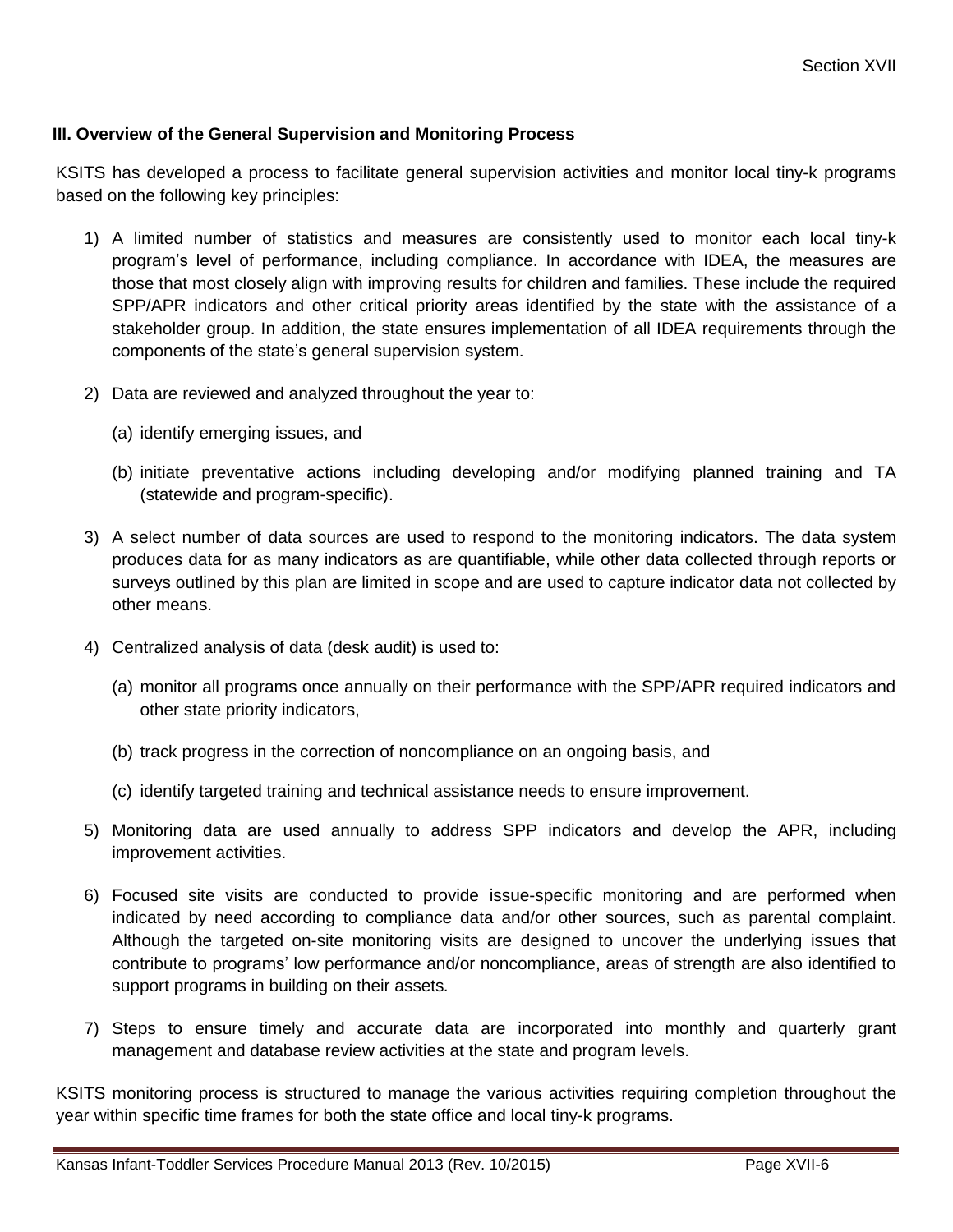#### **III. Overview of the General Supervision and Monitoring Process**

KSITS has developed a process to facilitate general supervision activities and monitor local tiny-k programs based on the following key principles:

- 1) A limited number of statistics and measures are consistently used to monitor each local tiny-k program's level of performance, including compliance. In accordance with IDEA, the measures are those that most closely align with improving results for children and families. These include the required SPP/APR indicators and other critical priority areas identified by the state with the assistance of a stakeholder group. In addition, the state ensures implementation of all IDEA requirements through the components of the state's general supervision system.
- 2) Data are reviewed and analyzed throughout the year to:
	- (a) identify emerging issues, and
	- (b) initiate preventative actions including developing and/or modifying planned training and TA (statewide and program-specific).
- 3) A select number of data sources are used to respond to the monitoring indicators. The data system produces data for as many indicators as are quantifiable, while other data collected through reports or surveys outlined by this plan are limited in scope and are used to capture indicator data not collected by other means.
- 4) Centralized analysis of data (desk audit) is used to:
	- (a) monitor all programs once annually on their performance with the SPP/APR required indicators and other state priority indicators,
	- (b) track progress in the correction of noncompliance on an ongoing basis, and
	- (c) identify targeted training and technical assistance needs to ensure improvement.
- 5) Monitoring data are used annually to address SPP indicators and develop the APR, including improvement activities.
- 6) Focused site visits are conducted to provide issue-specific monitoring and are performed when indicated by need according to compliance data and/or other sources, such as parental complaint. Although the targeted on-site monitoring visits are designed to uncover the underlying issues that contribute to programs' low performance and/or noncompliance, areas of strength are also identified to support programs in building on their assets*.*
- 7) Steps to ensure timely and accurate data are incorporated into monthly and quarterly grant management and database review activities at the state and program levels.

KSITS monitoring process is structured to manage the various activities requiring completion throughout the year within specific time frames for both the state office and local tiny-k programs.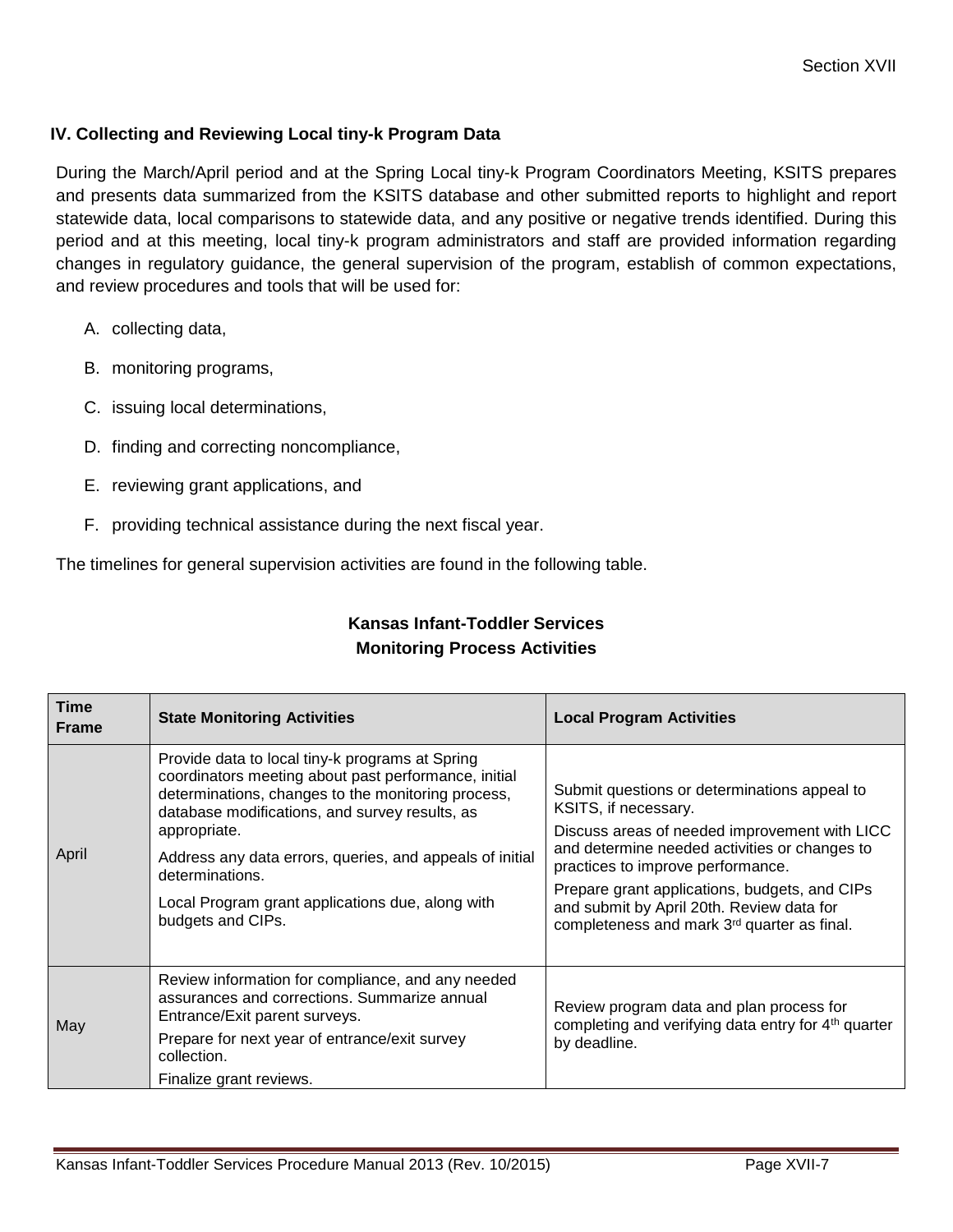#### **IV. Collecting and Reviewing Local tiny-k Program Data**

During the March/April period and at the Spring Local tiny-k Program Coordinators Meeting, KSITS prepares and presents data summarized from the KSITS database and other submitted reports to highlight and report statewide data, local comparisons to statewide data, and any positive or negative trends identified. During this period and at this meeting, local tiny-k program administrators and staff are provided information regarding changes in regulatory guidance, the general supervision of the program, establish of common expectations, and review procedures and tools that will be used for:

- A. collecting data,
- B. monitoring programs,
- C. issuing local determinations,
- D. finding and correcting noncompliance,
- E. reviewing grant applications, and
- F. providing technical assistance during the next fiscal year.

The timelines for general supervision activities are found in the following table.

| Time<br><b>Frame</b> | <b>State Monitoring Activities</b>                                                                                                                                                                                                                                                                                                                                                      | <b>Local Program Activities</b>                                                                                                                                                                                                                                                                                                                          |
|----------------------|-----------------------------------------------------------------------------------------------------------------------------------------------------------------------------------------------------------------------------------------------------------------------------------------------------------------------------------------------------------------------------------------|----------------------------------------------------------------------------------------------------------------------------------------------------------------------------------------------------------------------------------------------------------------------------------------------------------------------------------------------------------|
| April                | Provide data to local tiny-k programs at Spring<br>coordinators meeting about past performance, initial<br>determinations, changes to the monitoring process,<br>database modifications, and survey results, as<br>appropriate.<br>Address any data errors, queries, and appeals of initial<br>determinations.<br>Local Program grant applications due, along with<br>budgets and CIPs. | Submit questions or determinations appeal to<br>KSITS, if necessary.<br>Discuss areas of needed improvement with LICC<br>and determine needed activities or changes to<br>practices to improve performance.<br>Prepare grant applications, budgets, and CIPs<br>and submit by April 20th. Review data for<br>completeness and mark 3rd quarter as final. |
| May                  | Review information for compliance, and any needed<br>assurances and corrections. Summarize annual<br>Entrance/Exit parent surveys.<br>Prepare for next year of entrance/exit survey<br>collection.<br>Finalize grant reviews.                                                                                                                                                           | Review program data and plan process for<br>completing and verifying data entry for 4 <sup>th</sup> quarter<br>by deadline.                                                                                                                                                                                                                              |

# **Kansas Infant-Toddler Services Monitoring Process Activities**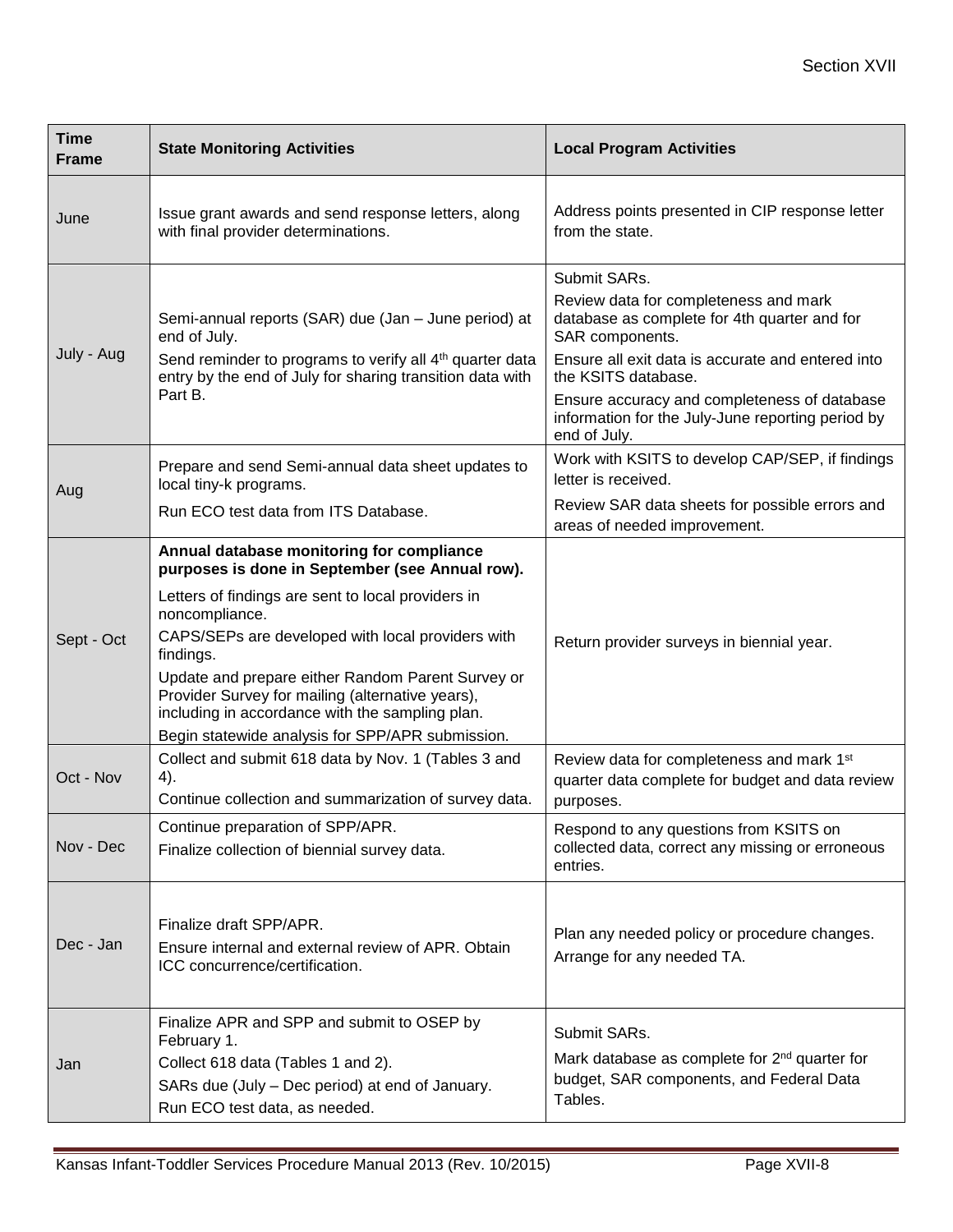| <b>Time</b><br><b>Frame</b> | <b>State Monitoring Activities</b>                                                                                                                                                                                                                                                                                                                                                                                                                     | <b>Local Program Activities</b>                                                                                                                                                                                                                                                                                           |
|-----------------------------|--------------------------------------------------------------------------------------------------------------------------------------------------------------------------------------------------------------------------------------------------------------------------------------------------------------------------------------------------------------------------------------------------------------------------------------------------------|---------------------------------------------------------------------------------------------------------------------------------------------------------------------------------------------------------------------------------------------------------------------------------------------------------------------------|
| June                        | Issue grant awards and send response letters, along<br>with final provider determinations.                                                                                                                                                                                                                                                                                                                                                             | Address points presented in CIP response letter<br>from the state.                                                                                                                                                                                                                                                        |
| July - Aug                  | Semi-annual reports (SAR) due (Jan - June period) at<br>end of July.<br>Send reminder to programs to verify all 4 <sup>th</sup> quarter data<br>entry by the end of July for sharing transition data with<br>Part B.                                                                                                                                                                                                                                   | Submit SARs.<br>Review data for completeness and mark<br>database as complete for 4th quarter and for<br>SAR components.<br>Ensure all exit data is accurate and entered into<br>the KSITS database.<br>Ensure accuracy and completeness of database<br>information for the July-June reporting period by<br>end of July. |
| Aug                         | Prepare and send Semi-annual data sheet updates to<br>local tiny-k programs.                                                                                                                                                                                                                                                                                                                                                                           | Work with KSITS to develop CAP/SEP, if findings<br>letter is received.                                                                                                                                                                                                                                                    |
|                             | Run ECO test data from ITS Database.                                                                                                                                                                                                                                                                                                                                                                                                                   | Review SAR data sheets for possible errors and<br>areas of needed improvement.                                                                                                                                                                                                                                            |
| Sept - Oct                  | Annual database monitoring for compliance<br>purposes is done in September (see Annual row).<br>Letters of findings are sent to local providers in<br>noncompliance.<br>CAPS/SEPs are developed with local providers with<br>findings.<br>Update and prepare either Random Parent Survey or<br>Provider Survey for mailing (alternative years),<br>including in accordance with the sampling plan.<br>Begin statewide analysis for SPP/APR submission. | Return provider surveys in biennial year.                                                                                                                                                                                                                                                                                 |
| Oct - Nov                   | Collect and submit 618 data by Nov. 1 (Tables 3 and<br>4).<br>Continue collection and summarization of survey data.                                                                                                                                                                                                                                                                                                                                    | Review data for completeness and mark 1st<br>quarter data complete for budget and data review<br>purposes.                                                                                                                                                                                                                |
| Nov - Dec                   | Continue preparation of SPP/APR.<br>Finalize collection of biennial survey data.                                                                                                                                                                                                                                                                                                                                                                       | Respond to any questions from KSITS on<br>collected data, correct any missing or erroneous<br>entries.                                                                                                                                                                                                                    |
| Dec - Jan                   | Finalize draft SPP/APR.<br>Ensure internal and external review of APR. Obtain<br>ICC concurrence/certification.                                                                                                                                                                                                                                                                                                                                        | Plan any needed policy or procedure changes.<br>Arrange for any needed TA.                                                                                                                                                                                                                                                |
| Jan                         | Finalize APR and SPP and submit to OSEP by<br>February 1.<br>Collect 618 data (Tables 1 and 2).<br>SARs due (July - Dec period) at end of January.<br>Run ECO test data, as needed.                                                                                                                                                                                                                                                                    | Submit SARs.<br>Mark database as complete for 2 <sup>nd</sup> quarter for<br>budget, SAR components, and Federal Data<br>Tables.                                                                                                                                                                                          |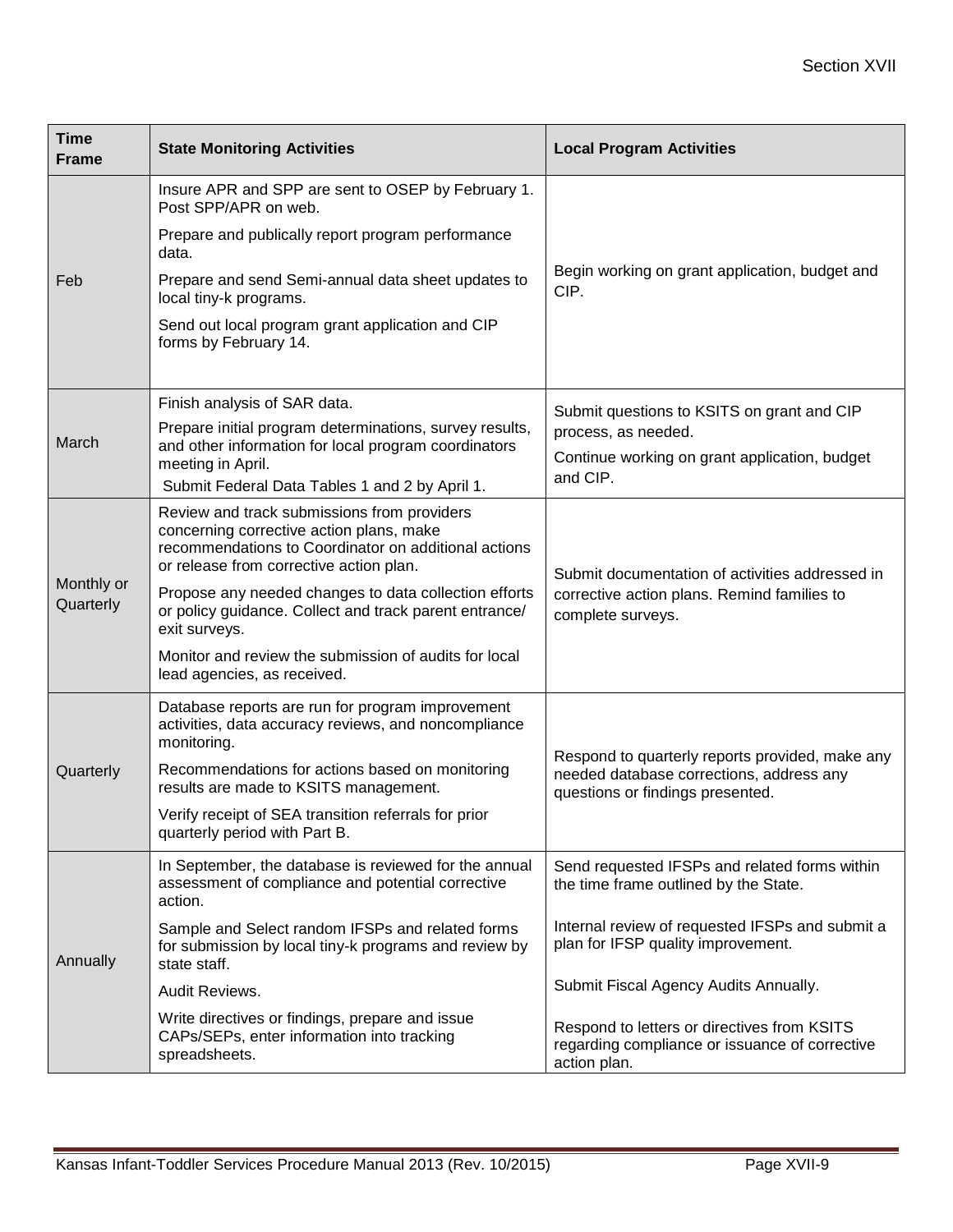| <b>Time</b><br><b>Frame</b> | <b>State Monitoring Activities</b>                                                                                                                                                         | <b>Local Program Activities</b>                                                                                                 |  |  |  |
|-----------------------------|--------------------------------------------------------------------------------------------------------------------------------------------------------------------------------------------|---------------------------------------------------------------------------------------------------------------------------------|--|--|--|
|                             | Insure APR and SPP are sent to OSEP by February 1.<br>Post SPP/APR on web.                                                                                                                 |                                                                                                                                 |  |  |  |
|                             | Prepare and publically report program performance<br>data.                                                                                                                                 |                                                                                                                                 |  |  |  |
| Feb                         | Prepare and send Semi-annual data sheet updates to<br>local tiny-k programs.                                                                                                               | Begin working on grant application, budget and<br>CIP.                                                                          |  |  |  |
|                             | Send out local program grant application and CIP<br>forms by February 14.                                                                                                                  |                                                                                                                                 |  |  |  |
|                             | Finish analysis of SAR data.                                                                                                                                                               | Submit questions to KSITS on grant and CIP                                                                                      |  |  |  |
| March                       | Prepare initial program determinations, survey results,<br>and other information for local program coordinators                                                                            | process, as needed.                                                                                                             |  |  |  |
|                             | meeting in April.<br>Submit Federal Data Tables 1 and 2 by April 1.                                                                                                                        | Continue working on grant application, budget<br>and CIP.                                                                       |  |  |  |
| Monthly or<br>Quarterly     | Review and track submissions from providers<br>concerning corrective action plans, make<br>recommendations to Coordinator on additional actions<br>or release from corrective action plan. | Submit documentation of activities addressed in                                                                                 |  |  |  |
|                             | Propose any needed changes to data collection efforts<br>or policy guidance. Collect and track parent entrance/<br>exit surveys.                                                           | corrective action plans. Remind families to<br>complete surveys.                                                                |  |  |  |
|                             | Monitor and review the submission of audits for local<br>lead agencies, as received.                                                                                                       |                                                                                                                                 |  |  |  |
|                             | Database reports are run for program improvement<br>activities, data accuracy reviews, and noncompliance<br>monitoring.                                                                    |                                                                                                                                 |  |  |  |
| Quarterly                   | Recommendations for actions based on monitoring<br>results are made to KSITS management.                                                                                                   | Respond to quarterly reports provided, make any<br>needed database corrections, address any<br>questions or findings presented. |  |  |  |
|                             | Verify receipt of SEA transition referrals for prior<br>quarterly period with Part B.                                                                                                      |                                                                                                                                 |  |  |  |
|                             | In September, the database is reviewed for the annual<br>assessment of compliance and potential corrective<br>action.                                                                      | Send requested IFSPs and related forms within<br>the time frame outlined by the State.                                          |  |  |  |
| Annually                    | Sample and Select random IFSPs and related forms<br>for submission by local tiny-k programs and review by<br>state staff.                                                                  | Internal review of requested IFSPs and submit a<br>plan for IFSP quality improvement.                                           |  |  |  |
|                             | Audit Reviews.                                                                                                                                                                             | Submit Fiscal Agency Audits Annually.                                                                                           |  |  |  |
|                             | Write directives or findings, prepare and issue<br>CAPs/SEPs, enter information into tracking<br>spreadsheets.                                                                             | Respond to letters or directives from KSITS<br>regarding compliance or issuance of corrective<br>action plan.                   |  |  |  |

ī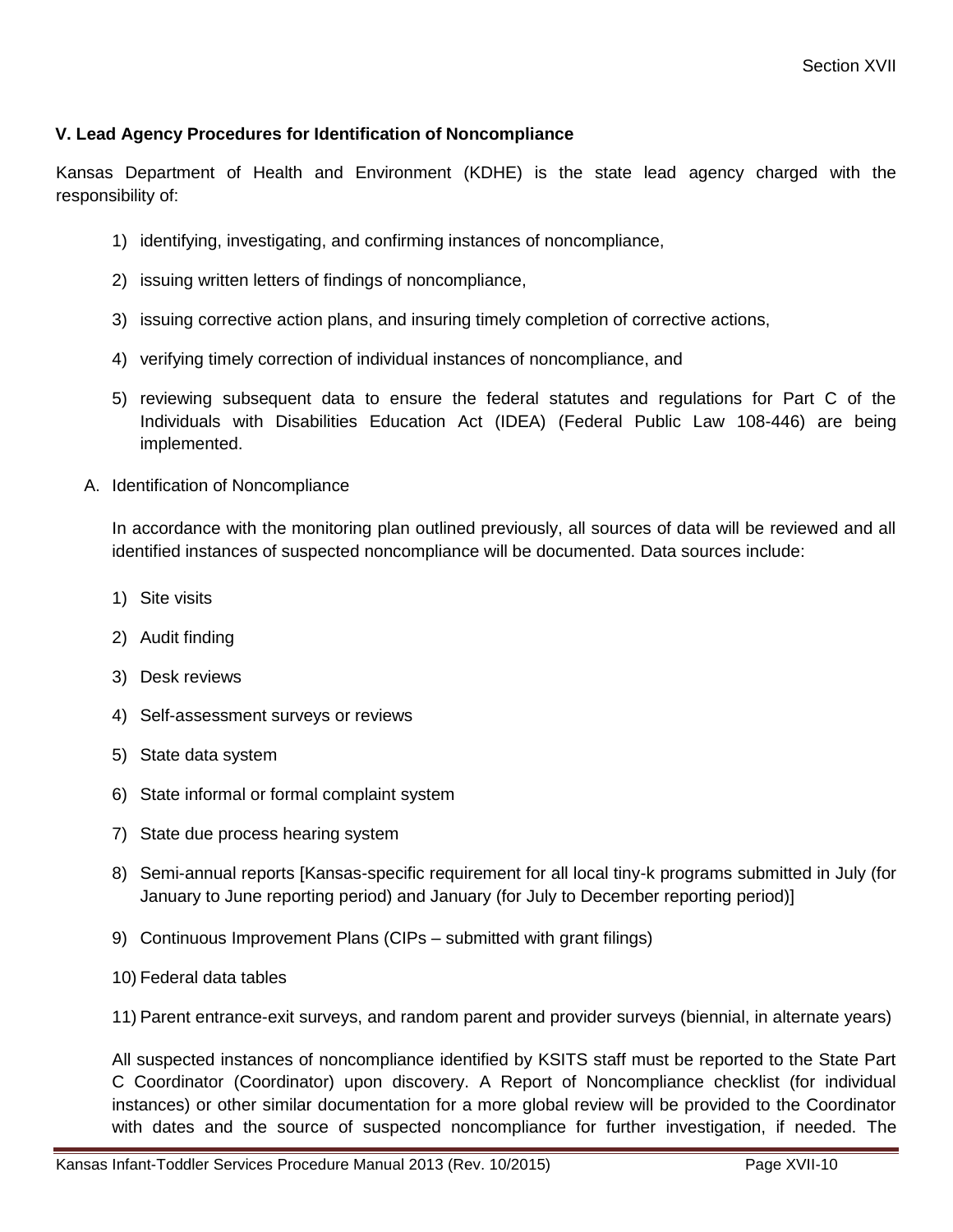#### **V. Lead Agency Procedures for Identification of Noncompliance**

Kansas Department of Health and Environment (KDHE) is the state lead agency charged with the responsibility of:

- 1) identifying, investigating, and confirming instances of noncompliance,
- 2) issuing written letters of findings of noncompliance,
- 3) issuing corrective action plans, and insuring timely completion of corrective actions,
- 4) verifying timely correction of individual instances of noncompliance, and
- 5) reviewing subsequent data to ensure the federal statutes and regulations for Part C of the Individuals with Disabilities Education Act (IDEA) (Federal Public Law 108-446) are being implemented.
- A. Identification of Noncompliance

In accordance with the monitoring plan outlined previously, all sources of data will be reviewed and all identified instances of suspected noncompliance will be documented. Data sources include:

- 1) Site visits
- 2) Audit finding
- 3) Desk reviews
- 4) Self-assessment surveys or reviews
- 5) State data system
- 6) State informal or formal complaint system
- 7) State due process hearing system
- 8) Semi-annual reports [Kansas-specific requirement for all local tiny-k programs submitted in July (for January to June reporting period) and January (for July to December reporting period)]
- 9) Continuous Improvement Plans (CIPs submitted with grant filings)
- 10) Federal data tables
- 11) Parent entrance-exit surveys, and random parent and provider surveys (biennial, in alternate years)

All suspected instances of noncompliance identified by KSITS staff must be reported to the State Part C Coordinator (Coordinator) upon discovery. A Report of Noncompliance checklist (for individual instances) or other similar documentation for a more global review will be provided to the Coordinator with dates and the source of suspected noncompliance for further investigation, if needed. The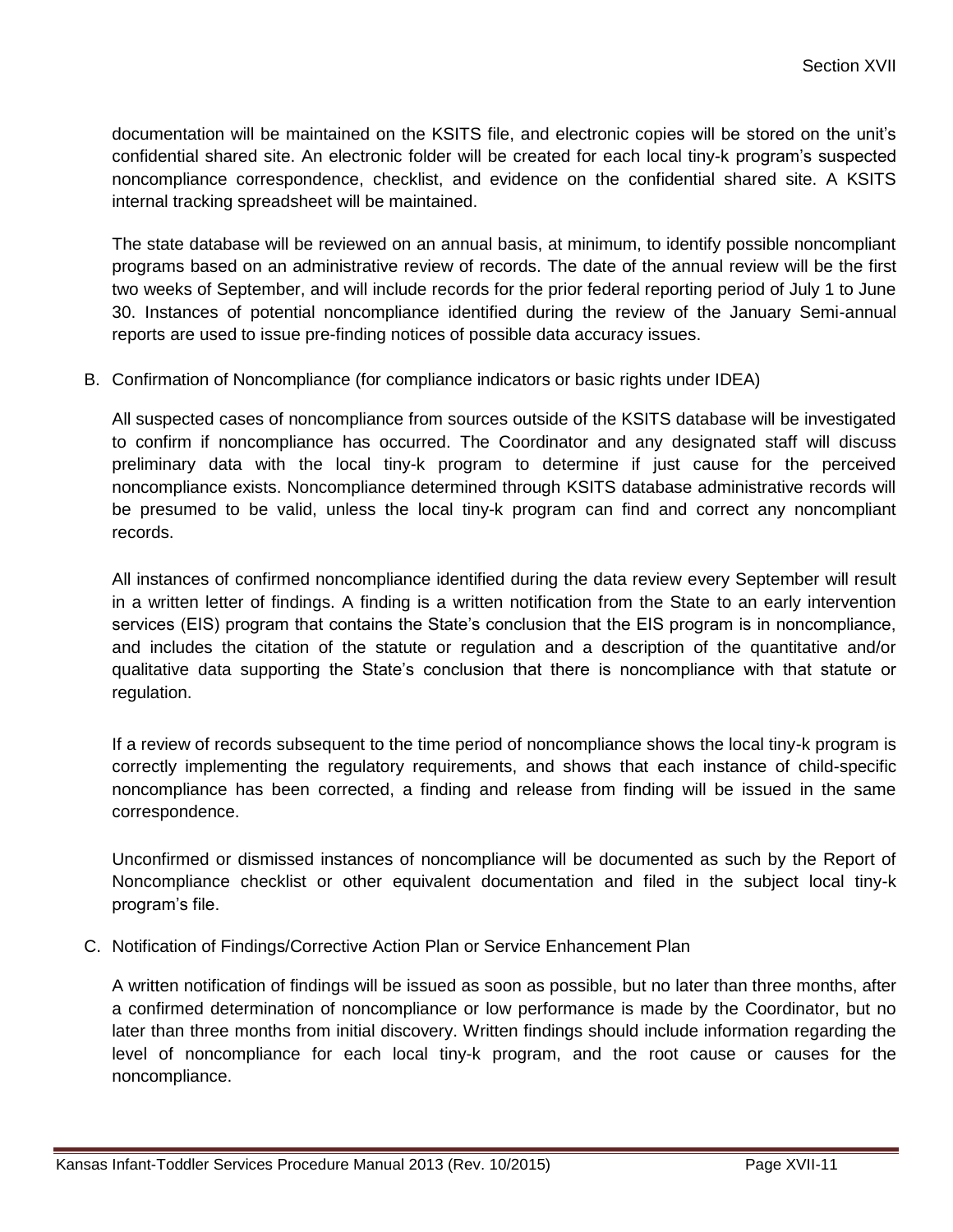documentation will be maintained on the KSITS file, and electronic copies will be stored on the unit's confidential shared site. An electronic folder will be created for each local tiny-k program's suspected noncompliance correspondence, checklist, and evidence on the confidential shared site. A KSITS internal tracking spreadsheet will be maintained.

The state database will be reviewed on an annual basis, at minimum, to identify possible noncompliant programs based on an administrative review of records. The date of the annual review will be the first two weeks of September, and will include records for the prior federal reporting period of July 1 to June 30. Instances of potential noncompliance identified during the review of the January Semi-annual reports are used to issue pre-finding notices of possible data accuracy issues.

B. Confirmation of Noncompliance (for compliance indicators or basic rights under IDEA)

All suspected cases of noncompliance from sources outside of the KSITS database will be investigated to confirm if noncompliance has occurred. The Coordinator and any designated staff will discuss preliminary data with the local tiny-k program to determine if just cause for the perceived noncompliance exists. Noncompliance determined through KSITS database administrative records will be presumed to be valid, unless the local tiny-k program can find and correct any noncompliant records.

All instances of confirmed noncompliance identified during the data review every September will result in a written letter of findings. A finding is a written notification from the State to an early intervention services (EIS) program that contains the State's conclusion that the EIS program is in noncompliance, and includes the citation of the statute or regulation and a description of the quantitative and/or qualitative data supporting the State's conclusion that there is noncompliance with that statute or regulation.

If a review of records subsequent to the time period of noncompliance shows the local tiny-k program is correctly implementing the regulatory requirements, and shows that each instance of child-specific noncompliance has been corrected, a finding and release from finding will be issued in the same correspondence.

Unconfirmed or dismissed instances of noncompliance will be documented as such by the Report of Noncompliance checklist or other equivalent documentation and filed in the subject local tiny-k program's file.

C. Notification of Findings/Corrective Action Plan or Service Enhancement Plan

A written notification of findings will be issued as soon as possible, but no later than three months, after a confirmed determination of noncompliance or low performance is made by the Coordinator, but no later than three months from initial discovery. Written findings should include information regarding the level of noncompliance for each local tiny-k program, and the root cause or causes for the noncompliance.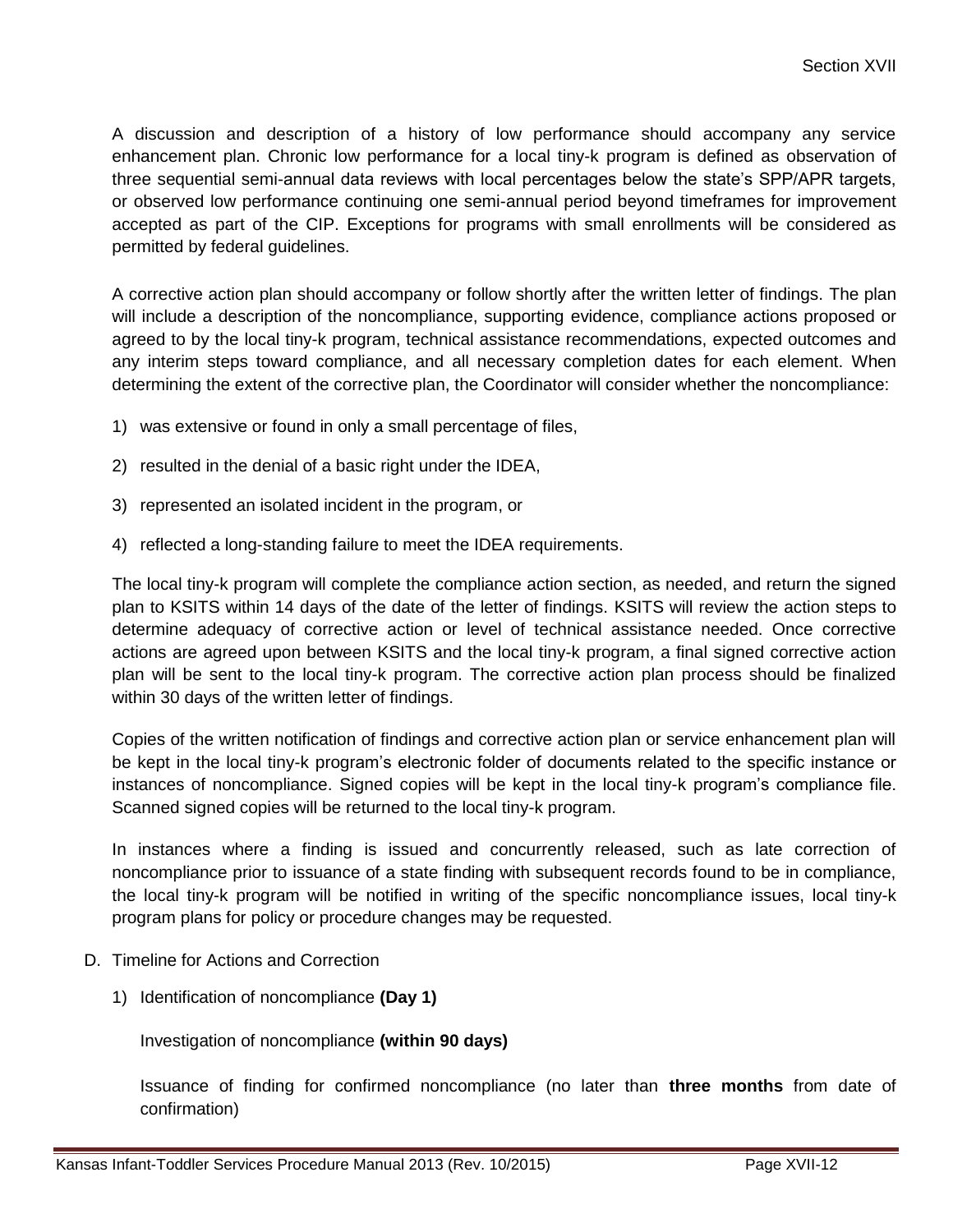A discussion and description of a history of low performance should accompany any service enhancement plan. Chronic low performance for a local tiny-k program is defined as observation of three sequential semi-annual data reviews with local percentages below the state's SPP/APR targets, or observed low performance continuing one semi-annual period beyond timeframes for improvement accepted as part of the CIP. Exceptions for programs with small enrollments will be considered as permitted by federal guidelines.

A corrective action plan should accompany or follow shortly after the written letter of findings. The plan will include a description of the noncompliance, supporting evidence, compliance actions proposed or agreed to by the local tiny-k program, technical assistance recommendations, expected outcomes and any interim steps toward compliance, and all necessary completion dates for each element. When determining the extent of the corrective plan, the Coordinator will consider whether the noncompliance:

- 1) was extensive or found in only a small percentage of files,
- 2) resulted in the denial of a basic right under the IDEA,
- 3) represented an isolated incident in the program, or
- 4) reflected a long-standing failure to meet the IDEA requirements.

The local tiny-k program will complete the compliance action section, as needed, and return the signed plan to KSITS within 14 days of the date of the letter of findings. KSITS will review the action steps to determine adequacy of corrective action or level of technical assistance needed. Once corrective actions are agreed upon between KSITS and the local tiny-k program, a final signed corrective action plan will be sent to the local tiny-k program. The corrective action plan process should be finalized within 30 days of the written letter of findings.

Copies of the written notification of findings and corrective action plan or service enhancement plan will be kept in the local tiny-k program's electronic folder of documents related to the specific instance or instances of noncompliance. Signed copies will be kept in the local tiny-k program's compliance file. Scanned signed copies will be returned to the local tiny-k program.

In instances where a finding is issued and concurrently released, such as late correction of noncompliance prior to issuance of a state finding with subsequent records found to be in compliance, the local tiny-k program will be notified in writing of the specific noncompliance issues, local tiny-k program plans for policy or procedure changes may be requested.

- D. Timeline for Actions and Correction
	- 1) Identification of noncompliance **(Day 1)**

Investigation of noncompliance **(within 90 days)**

Issuance of finding for confirmed noncompliance (no later than **three months** from date of confirmation)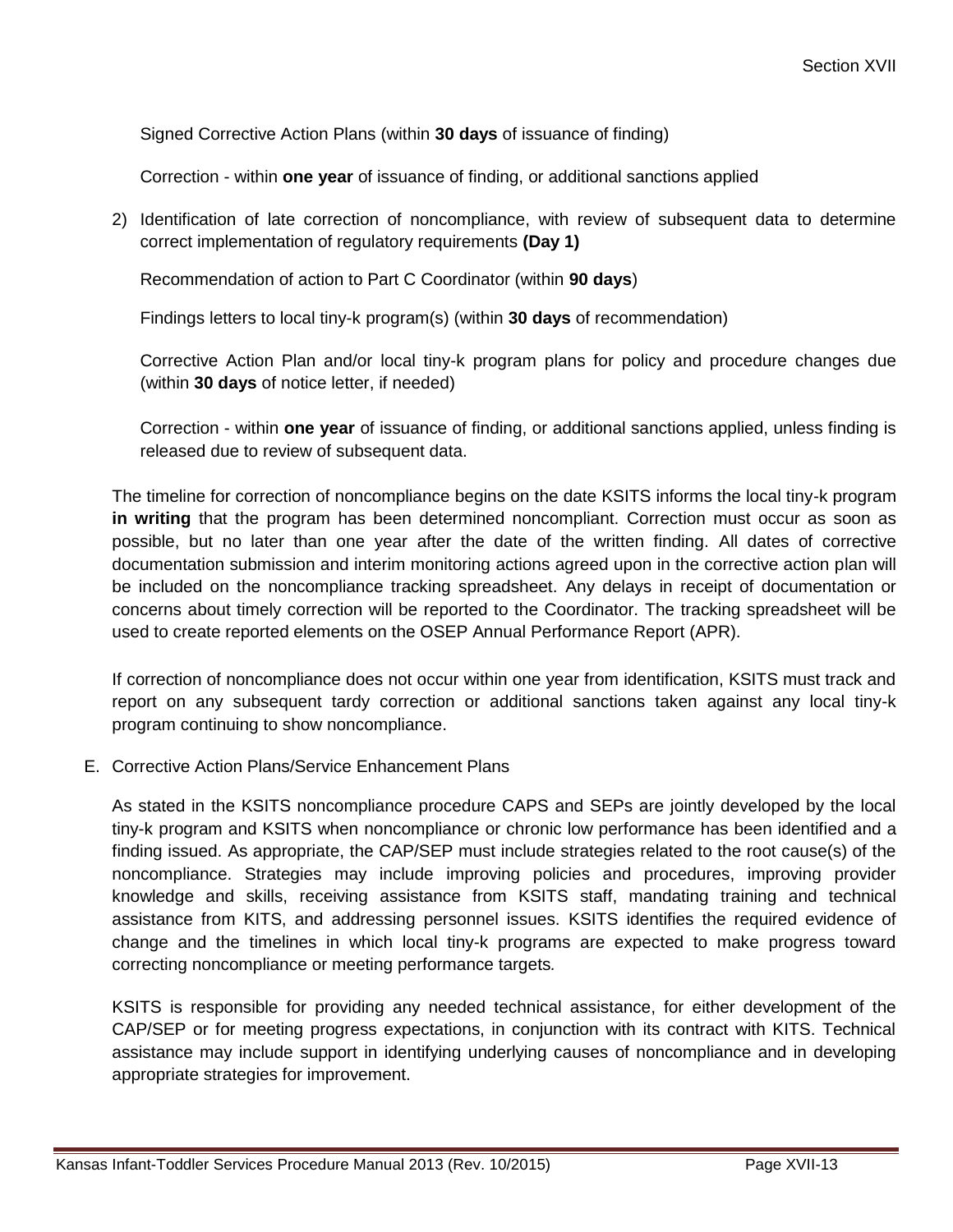Signed Corrective Action Plans (within **30 days** of issuance of finding)

Correction - within **one year** of issuance of finding, or additional sanctions applied

2) Identification of late correction of noncompliance, with review of subsequent data to determine correct implementation of regulatory requirements **(Day 1)**

Recommendation of action to Part C Coordinator (within **90 days**)

Findings letters to local tiny-k program(s) (within **30 days** of recommendation)

Corrective Action Plan and/or local tiny-k program plans for policy and procedure changes due (within **30 days** of notice letter, if needed)

Correction - within **one year** of issuance of finding, or additional sanctions applied, unless finding is released due to review of subsequent data.

The timeline for correction of noncompliance begins on the date KSITS informs the local tiny-k program **in writing** that the program has been determined noncompliant. Correction must occur as soon as possible, but no later than one year after the date of the written finding. All dates of corrective documentation submission and interim monitoring actions agreed upon in the corrective action plan will be included on the noncompliance tracking spreadsheet. Any delays in receipt of documentation or concerns about timely correction will be reported to the Coordinator. The tracking spreadsheet will be used to create reported elements on the OSEP Annual Performance Report (APR).

If correction of noncompliance does not occur within one year from identification, KSITS must track and report on any subsequent tardy correction or additional sanctions taken against any local tiny-k program continuing to show noncompliance.

E. Corrective Action Plans/Service Enhancement Plans

As stated in the KSITS noncompliance procedure CAPS and SEPs are jointly developed by the local tiny-k program and KSITS when noncompliance or chronic low performance has been identified and a finding issued. As appropriate, the CAP/SEP must include strategies related to the root cause(s) of the noncompliance. Strategies may include improving policies and procedures, improving provider knowledge and skills, receiving assistance from KSITS staff, mandating training and technical assistance from KITS, and addressing personnel issues. KSITS identifies the required evidence of change and the timelines in which local tiny-k programs are expected to make progress toward correcting noncompliance or meeting performance targets*.*

KSITS is responsible for providing any needed technical assistance, for either development of the CAP/SEP or for meeting progress expectations, in conjunction with its contract with KITS. Technical assistance may include support in identifying underlying causes of noncompliance and in developing appropriate strategies for improvement.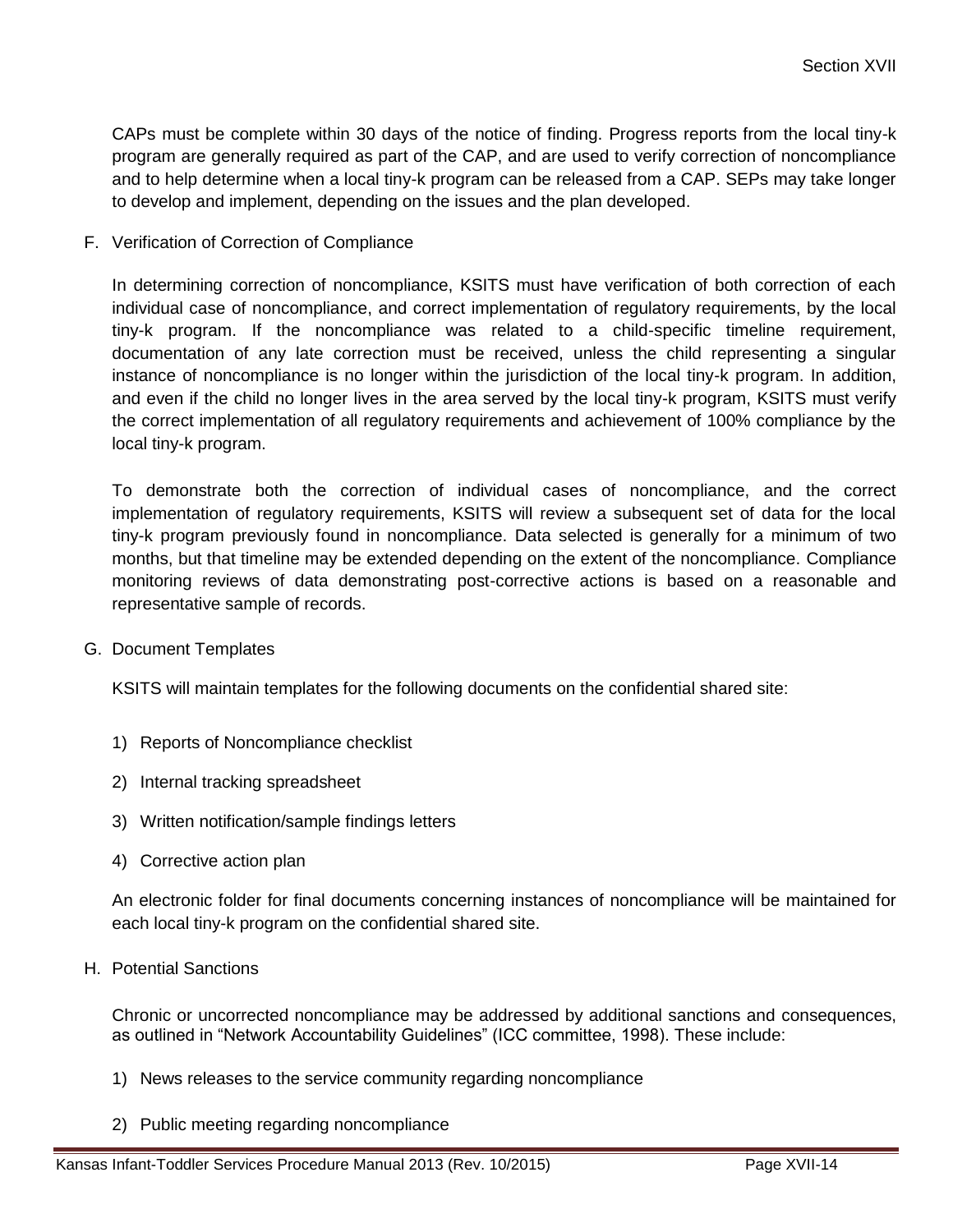CAPs must be complete within 30 days of the notice of finding. Progress reports from the local tiny-k program are generally required as part of the CAP, and are used to verify correction of noncompliance and to help determine when a local tiny-k program can be released from a CAP. SEPs may take longer to develop and implement, depending on the issues and the plan developed.

F. Verification of Correction of Compliance

In determining correction of noncompliance, KSITS must have verification of both correction of each individual case of noncompliance, and correct implementation of regulatory requirements, by the local tiny-k program. If the noncompliance was related to a child-specific timeline requirement, documentation of any late correction must be received, unless the child representing a singular instance of noncompliance is no longer within the jurisdiction of the local tiny-k program. In addition, and even if the child no longer lives in the area served by the local tiny-k program, KSITS must verify the correct implementation of all regulatory requirements and achievement of 100% compliance by the local tiny-k program.

To demonstrate both the correction of individual cases of noncompliance, and the correct implementation of regulatory requirements, KSITS will review a subsequent set of data for the local tiny-k program previously found in noncompliance. Data selected is generally for a minimum of two months, but that timeline may be extended depending on the extent of the noncompliance. Compliance monitoring reviews of data demonstrating post-corrective actions is based on a reasonable and representative sample of records.

G. Document Templates

KSITS will maintain templates for the following documents on the confidential shared site:

- 1) Reports of Noncompliance checklist
- 2) Internal tracking spreadsheet
- 3) Written notification/sample findings letters
- 4) Corrective action plan

An electronic folder for final documents concerning instances of noncompliance will be maintained for each local tiny-k program on the confidential shared site.

H. Potential Sanctions

Chronic or uncorrected noncompliance may be addressed by additional sanctions and consequences, as outlined in "Network Accountability Guidelines" (ICC committee, 1998). These include:

- 1) News releases to the service community regarding noncompliance
- 2) Public meeting regarding noncompliance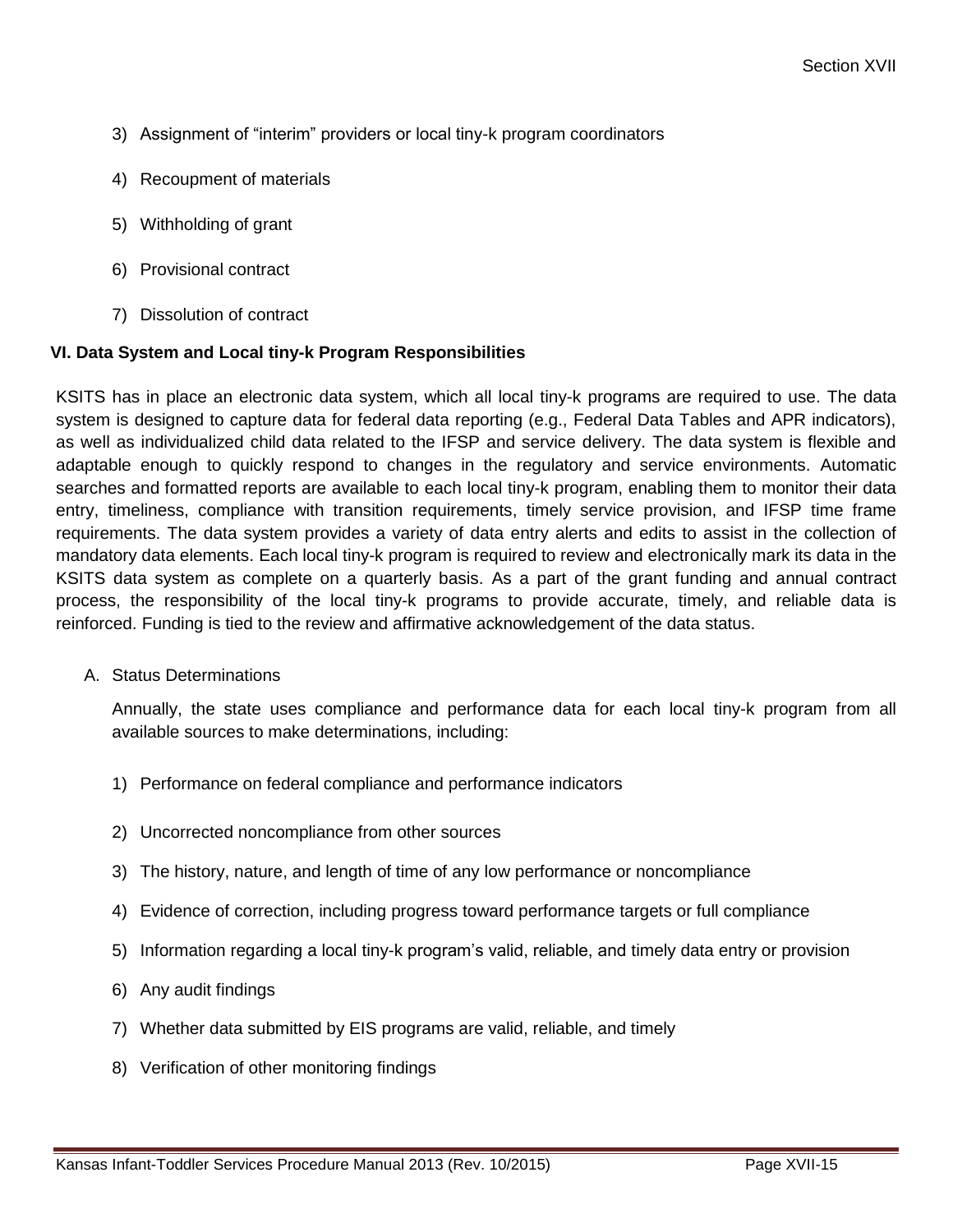- 3) Assignment of "interim" providers or local tiny-k program coordinators
- 4) Recoupment of materials
- 5) Withholding of grant
- 6) Provisional contract
- 7) Dissolution of contract

#### **VI. Data System and Local tiny-k Program Responsibilities**

KSITS has in place an electronic data system, which all local tiny-k programs are required to use. The data system is designed to capture data for federal data reporting (e.g., Federal Data Tables and APR indicators), as well as individualized child data related to the IFSP and service delivery. The data system is flexible and adaptable enough to quickly respond to changes in the regulatory and service environments. Automatic searches and formatted reports are available to each local tiny-k program, enabling them to monitor their data entry, timeliness, compliance with transition requirements, timely service provision, and IFSP time frame requirements. The data system provides a variety of data entry alerts and edits to assist in the collection of mandatory data elements. Each local tiny-k program is required to review and electronically mark its data in the KSITS data system as complete on a quarterly basis. As a part of the grant funding and annual contract process, the responsibility of the local tiny-k programs to provide accurate, timely, and reliable data is reinforced. Funding is tied to the review and affirmative acknowledgement of the data status.

A. Status Determinations

Annually, the state uses compliance and performance data for each local tiny-k program from all available sources to make determinations, including:

- 1) Performance on federal compliance and performance indicators
- 2) Uncorrected noncompliance from other sources
- 3) The history, nature, and length of time of any low performance or noncompliance
- 4) Evidence of correction, including progress toward performance targets or full compliance
- 5) Information regarding a local tiny-k program's valid, reliable, and timely data entry or provision
- 6) Any audit findings
- 7) Whether data submitted by EIS programs are valid, reliable, and timely
- 8) Verification of other monitoring findings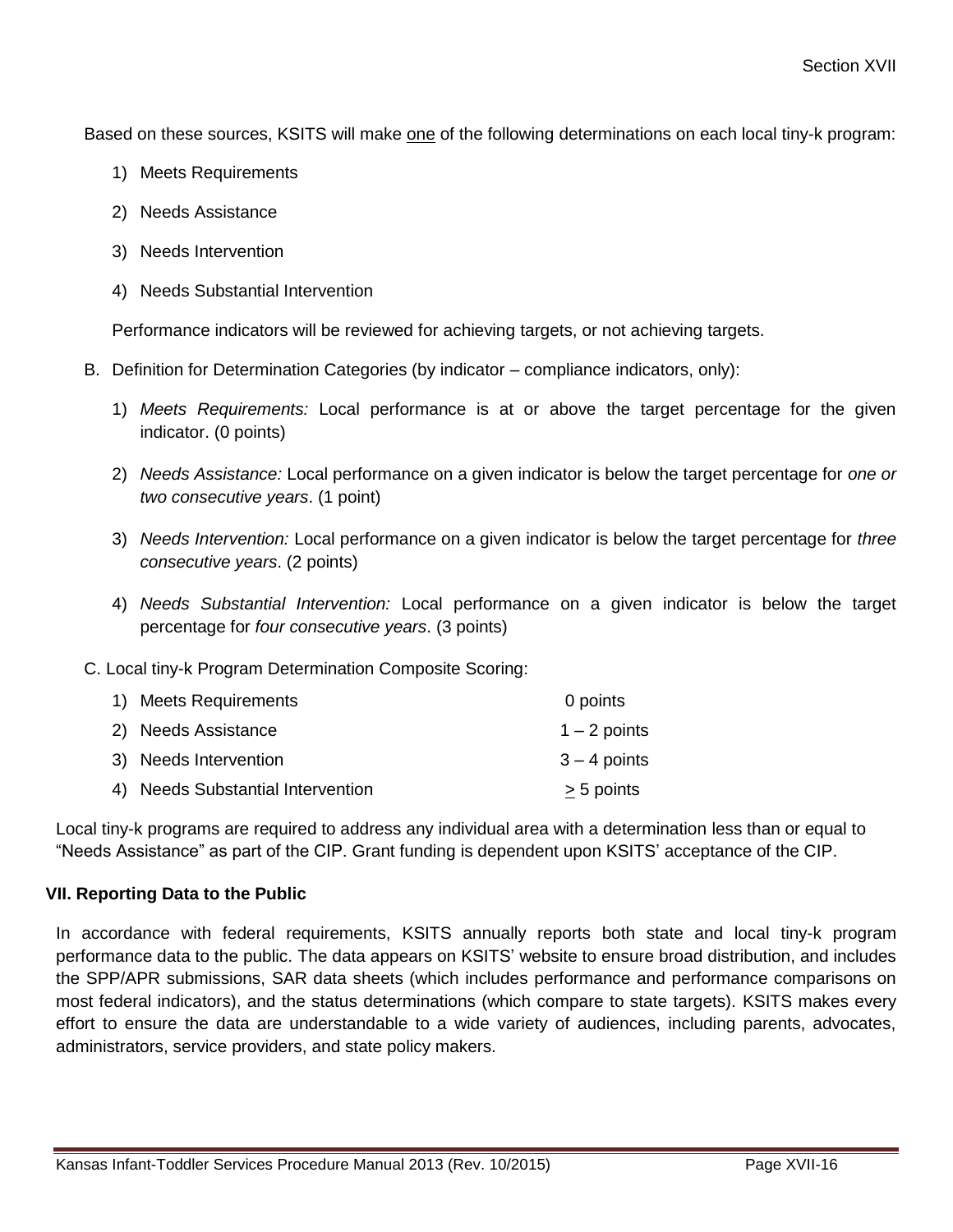Based on these sources, KSITS will make one of the following determinations on each local tiny-k program:

- 1) Meets Requirements
- 2) Needs Assistance
- 3) Needs Intervention
- 4) Needs Substantial Intervention

Performance indicators will be reviewed for achieving targets, or not achieving targets.

- B. Definition for Determination Categories (by indicator compliance indicators, only):
	- 1) *Meets Requirements:* Local performance is at or above the target percentage for the given indicator. (0 points)
	- 2) *Needs Assistance:* Local performance on a given indicator is below the target percentage for *one or two consecutive years*. (1 point)
	- 3) *Needs Intervention:* Local performance on a given indicator is below the target percentage for *three consecutive years*. (2 points)
	- 4) *Needs Substantial Intervention:* Local performance on a given indicator is below the target percentage for *four consecutive years*. (3 points)

C. Local tiny-k Program Determination Composite Scoring:

| 1) Meets Requirements             | 0 points       |
|-----------------------------------|----------------|
| 2) Needs Assistance               | $1 - 2$ points |
| 3) Needs Intervention             | $3 - 4$ points |
| 4) Needs Substantial Intervention | > 5 points     |

Local tiny-k programs are required to address any individual area with a determination less than or equal to "Needs Assistance" as part of the CIP. Grant funding is dependent upon KSITS' acceptance of the CIP.

#### **VII. Reporting Data to the Public**

In accordance with federal requirements, KSITS annually reports both state and local tiny-k program performance data to the public. The data appears on KSITS' website to ensure broad distribution, and includes the SPP/APR submissions, SAR data sheets (which includes performance and performance comparisons on most federal indicators), and the status determinations (which compare to state targets). KSITS makes every effort to ensure the data are understandable to a wide variety of audiences, including parents, advocates, administrators, service providers, and state policy makers.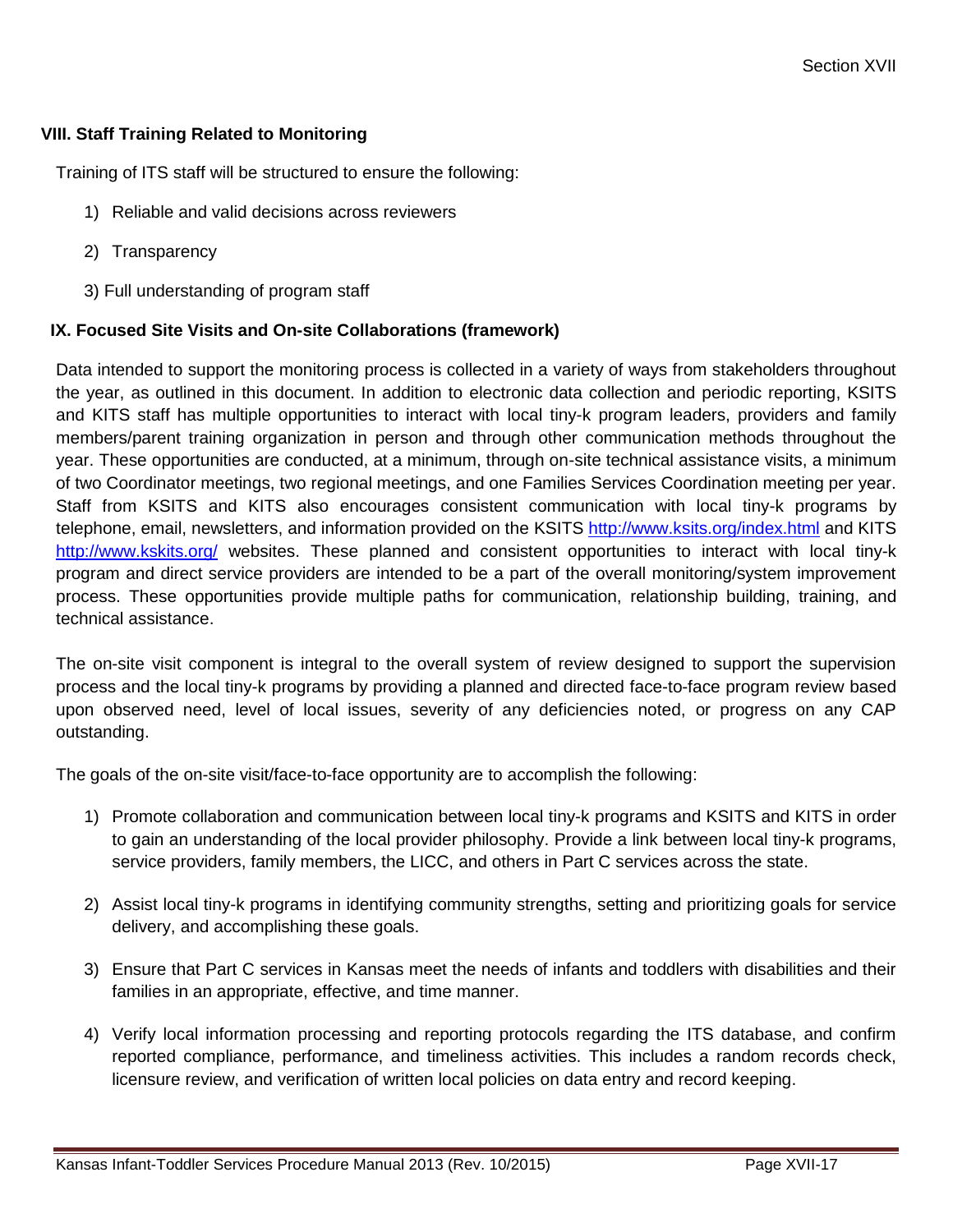#### **VIII. Staff Training Related to Monitoring**

Training of ITS staff will be structured to ensure the following:

- 1) Reliable and valid decisions across reviewers
- 2) Transparency
- 3) Full understanding of program staff

#### **IX. Focused Site Visits and On-site Collaborations (framework)**

Data intended to support the monitoring process is collected in a variety of ways from stakeholders throughout the year, as outlined in this document. In addition to electronic data collection and periodic reporting, KSITS and KITS staff has multiple opportunities to interact with local tiny-k program leaders, providers and family members/parent training organization in person and through other communication methods throughout the year. These opportunities are conducted, at a minimum, through on-site technical assistance visits, a minimum of two Coordinator meetings, two regional meetings, and one Families Services Coordination meeting per year. Staff from KSITS and KITS also encourages consistent communication with local tiny-k programs by telephone, email, newsletters, and information provided on the KSITS <http://www.ksits.org/index.html> and KITS <http://www.kskits.org/> websites. These planned and consistent opportunities to interact with local tiny-k program and direct service providers are intended to be a part of the overall monitoring/system improvement process. These opportunities provide multiple paths for communication, relationship building, training, and technical assistance.

The on-site visit component is integral to the overall system of review designed to support the supervision process and the local tiny-k programs by providing a planned and directed face-to-face program review based upon observed need, level of local issues, severity of any deficiencies noted, or progress on any CAP outstanding.

The goals of the on-site visit/face-to-face opportunity are to accomplish the following:

- 1) Promote collaboration and communication between local tiny-k programs and KSITS and KITS in order to gain an understanding of the local provider philosophy. Provide a link between local tiny-k programs, service providers, family members, the LICC, and others in Part C services across the state.
- 2) Assist local tiny-k programs in identifying community strengths, setting and prioritizing goals for service delivery, and accomplishing these goals.
- 3) Ensure that Part C services in Kansas meet the needs of infants and toddlers with disabilities and their families in an appropriate, effective, and time manner.
- 4) Verify local information processing and reporting protocols regarding the ITS database, and confirm reported compliance, performance, and timeliness activities. This includes a random records check, licensure review, and verification of written local policies on data entry and record keeping.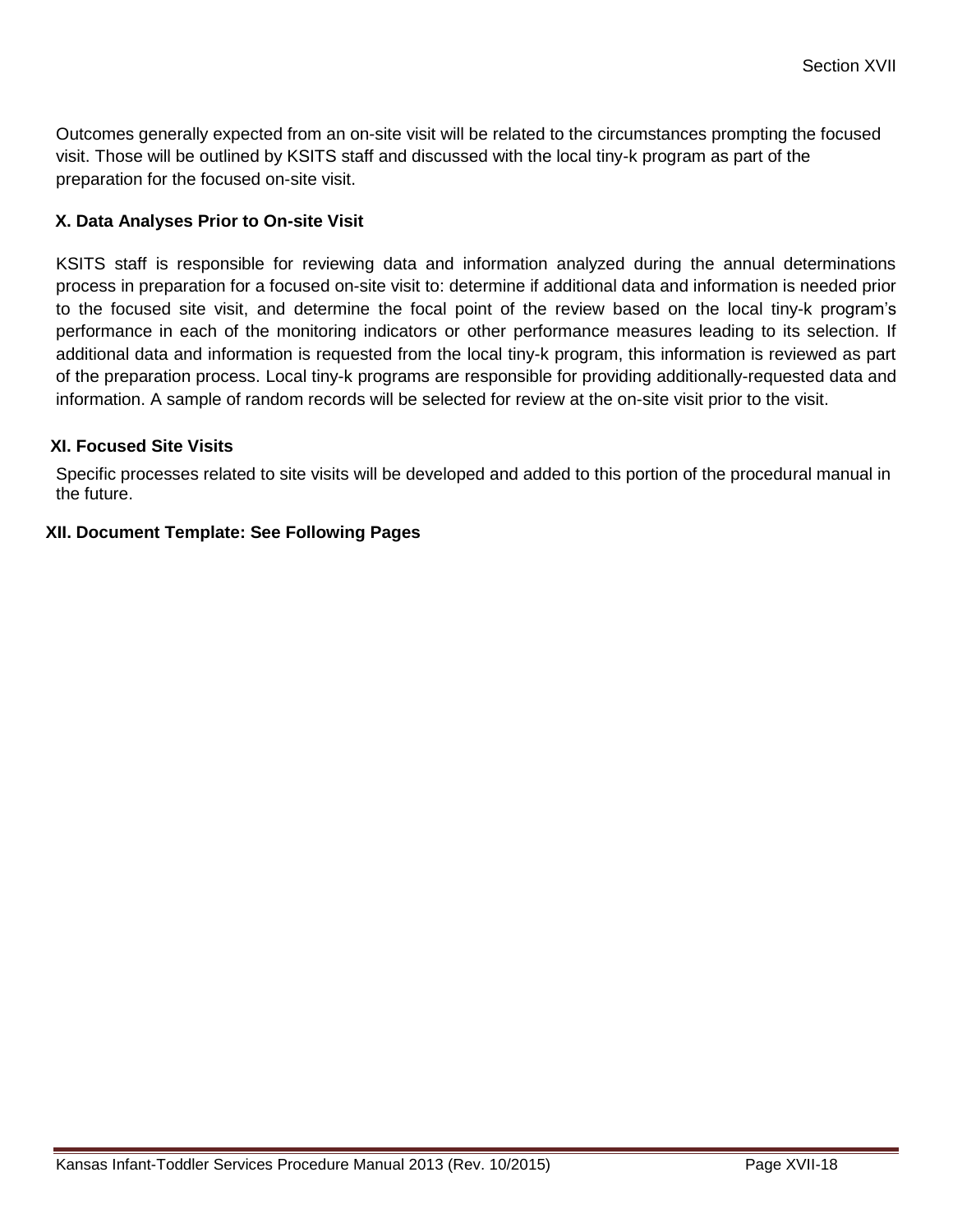Outcomes generally expected from an on-site visit will be related to the circumstances prompting the focused visit. Those will be outlined by KSITS staff and discussed with the local tiny-k program as part of the preparation for the focused on-site visit.

#### **X. Data Analyses Prior to On-site Visit**

KSITS staff is responsible for reviewing data and information analyzed during the annual determinations process in preparation for a focused on-site visit to: determine if additional data and information is needed prior to the focused site visit, and determine the focal point of the review based on the local tiny-k program's performance in each of the monitoring indicators or other performance measures leading to its selection. If additional data and information is requested from the local tiny-k program, this information is reviewed as part of the preparation process. Local tiny-k programs are responsible for providing additionally-requested data and information. A sample of random records will be selected for review at the on-site visit prior to the visit.

#### **XI. Focused Site Visits**

Specific processes related to site visits will be developed and added to this portion of the procedural manual in the future.

#### **XII. Document Template: See Following Pages**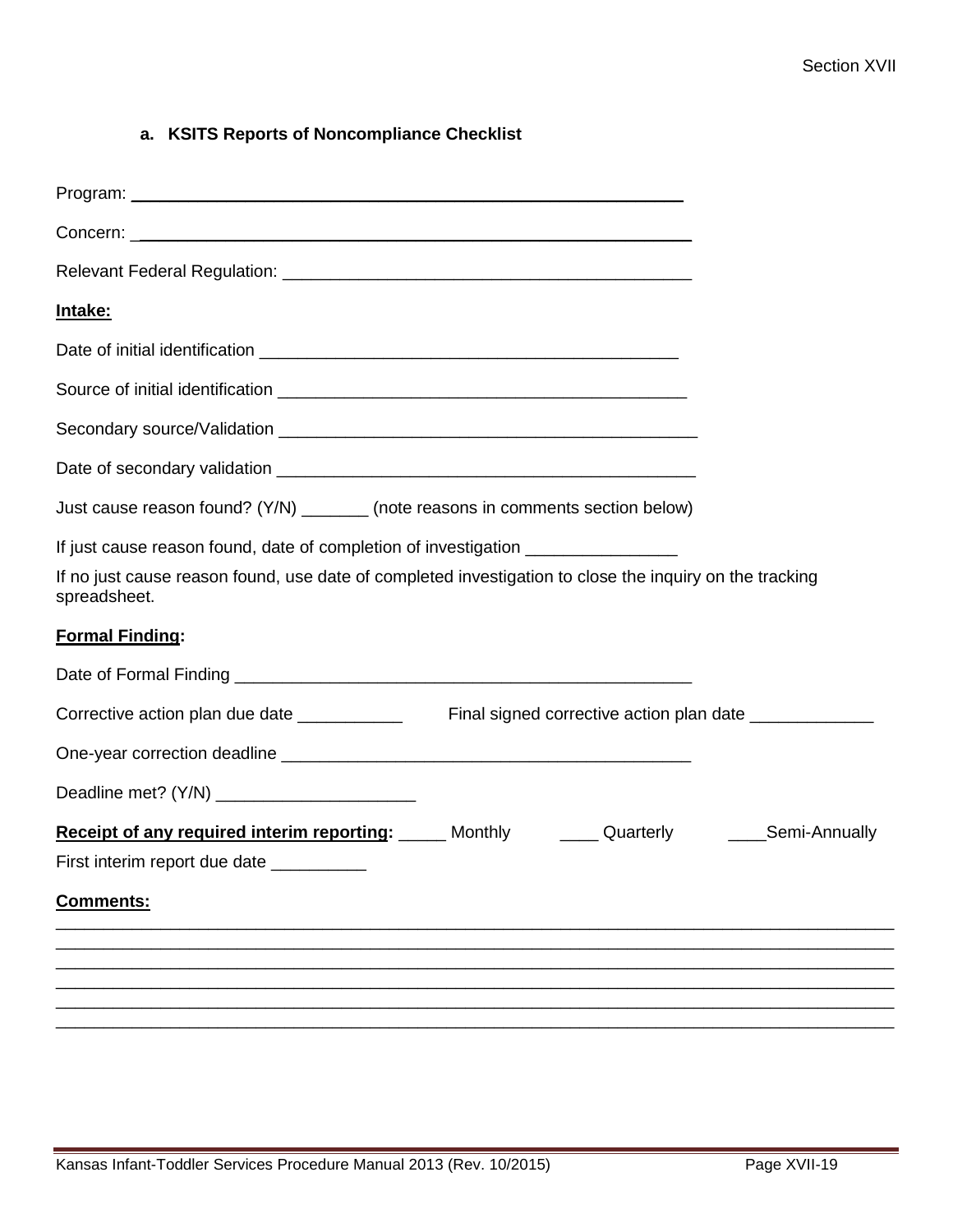# **a. KSITS Reports of Noncompliance Checklist**

| <u>Intake:</u>                                                                                                                                                                                              |  |
|-------------------------------------------------------------------------------------------------------------------------------------------------------------------------------------------------------------|--|
|                                                                                                                                                                                                             |  |
|                                                                                                                                                                                                             |  |
|                                                                                                                                                                                                             |  |
|                                                                                                                                                                                                             |  |
| Just cause reason found? (Y/N) ________ (note reasons in comments section below)                                                                                                                            |  |
| If just cause reason found, date of completion of investigation ________________<br>If no just cause reason found, use date of completed investigation to close the inquiry on the tracking<br>spreadsheet. |  |
| <b>Formal Finding:</b>                                                                                                                                                                                      |  |
|                                                                                                                                                                                                             |  |
|                                                                                                                                                                                                             |  |
|                                                                                                                                                                                                             |  |
|                                                                                                                                                                                                             |  |
| Receipt of any required interim reporting: Monthly Cuarterly Cuarterly Mechanically<br>First interim report due date                                                                                        |  |
| <b>Comments:</b>                                                                                                                                                                                            |  |
|                                                                                                                                                                                                             |  |
|                                                                                                                                                                                                             |  |
|                                                                                                                                                                                                             |  |
|                                                                                                                                                                                                             |  |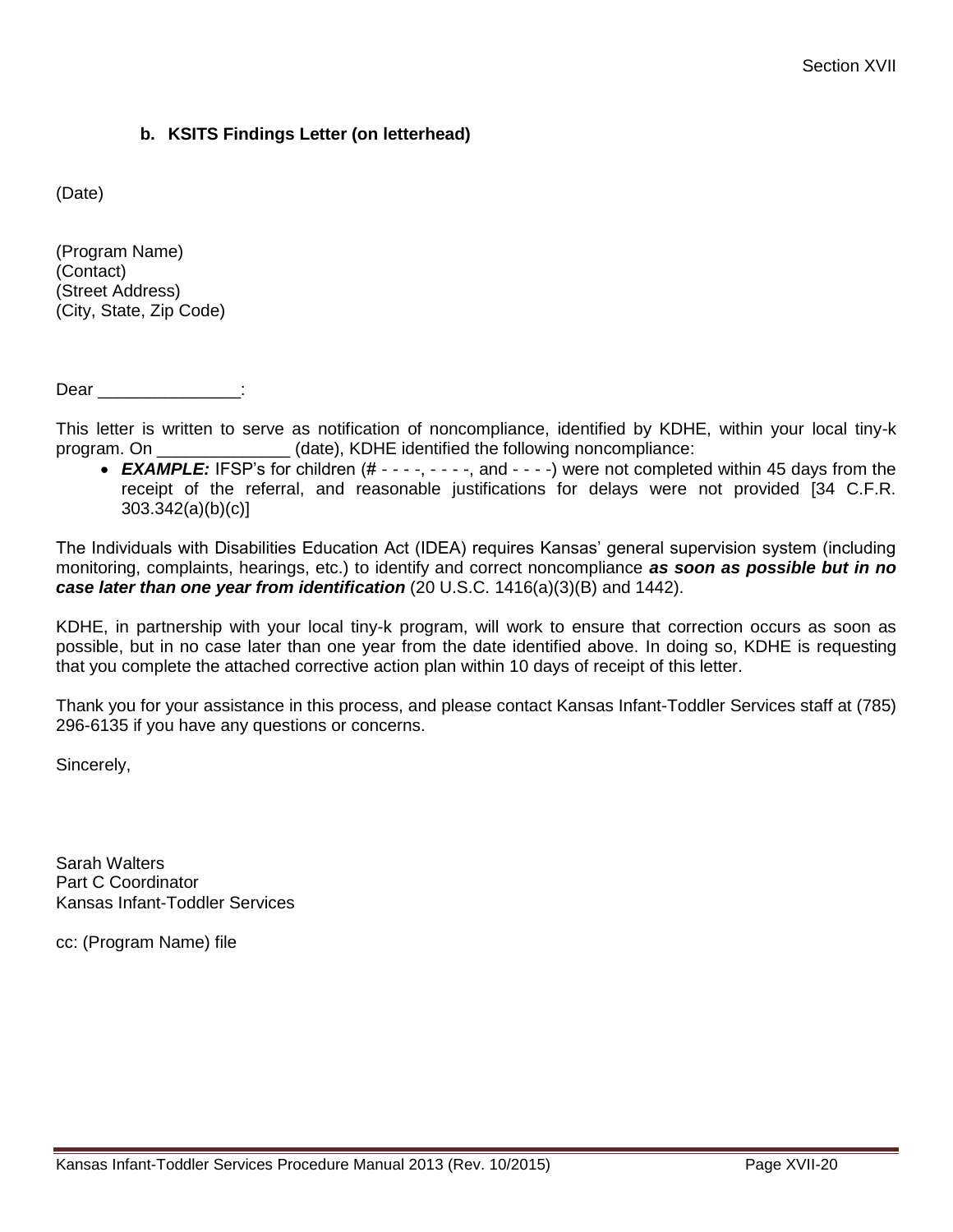#### **b. KSITS Findings Letter (on letterhead)**

(Date)

(Program Name) (Contact) (Street Address) (City, State, Zip Code)

Dear \_\_\_\_\_\_\_\_\_\_\_\_\_\_:

This letter is written to serve as notification of noncompliance, identified by KDHE, within your local tiny-k program. On \_\_\_\_\_\_\_\_\_\_\_\_\_\_ (date), KDHE identified the following noncompliance:

• **EXAMPLE:** IFSP's for children (# - - - -, - - - -, and - - - -) were not completed within 45 days from the receipt of the referral, and reasonable justifications for delays were not provided [34 C.F.R. 303.342(a)(b)(c)]

The Individuals with Disabilities Education Act (IDEA) requires Kansas' general supervision system (including monitoring, complaints, hearings, etc.) to identify and correct noncompliance *as soon as possible but in no case later than one year from identification* (20 U.S.C. 1416(a)(3)(B) and 1442).

KDHE, in partnership with your local tiny-k program, will work to ensure that correction occurs as soon as possible, but in no case later than one year from the date identified above. In doing so, KDHE is requesting that you complete the attached corrective action plan within 10 days of receipt of this letter.

Thank you for your assistance in this process, and please contact Kansas Infant-Toddler Services staff at (785) 296-6135 if you have any questions or concerns.

Sincerely,

Sarah Walters Part C Coordinator Kansas Infant-Toddler Services

cc: (Program Name) file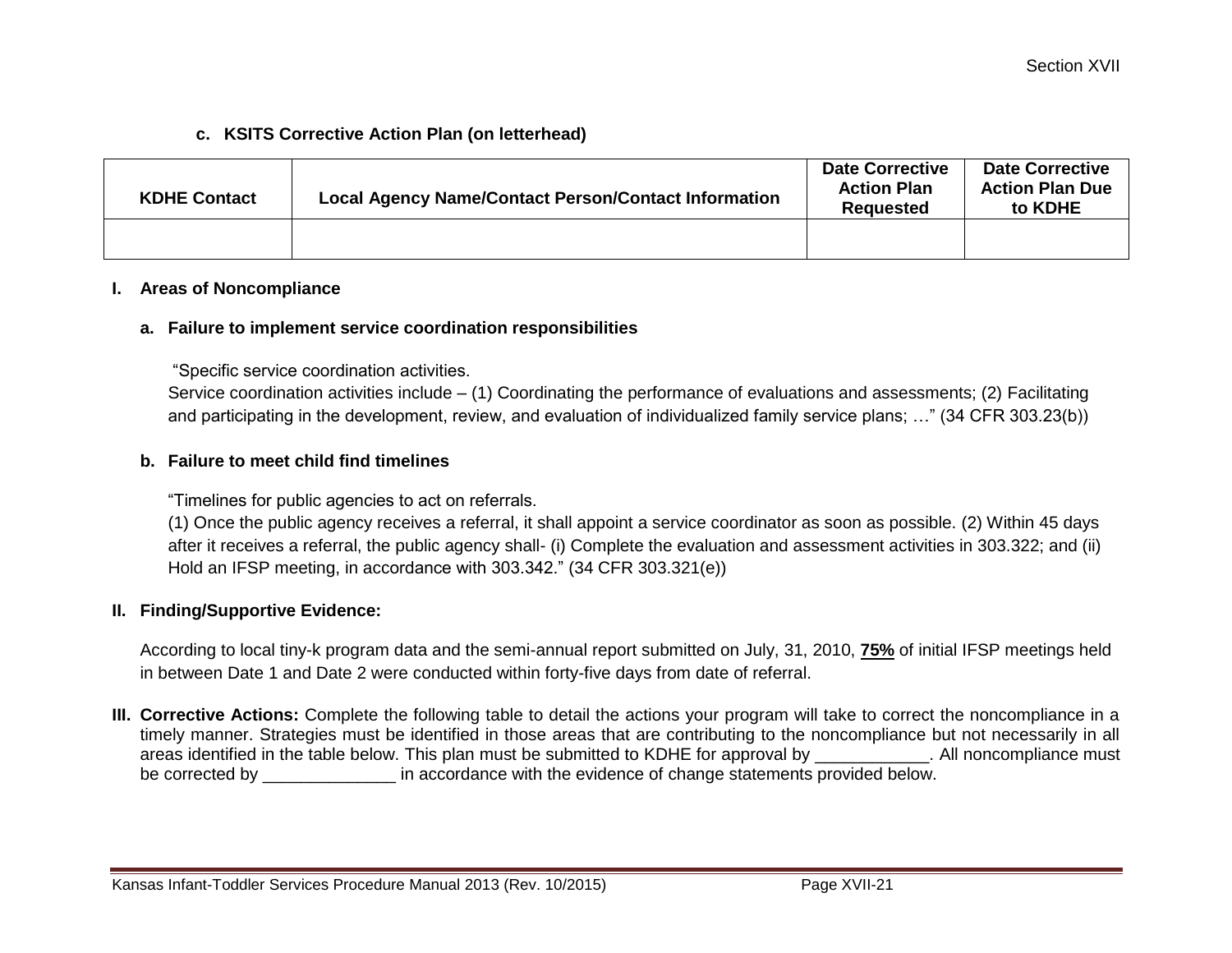#### **c. KSITS Corrective Action Plan (on letterhead)**

| <b>KDHE Contact</b> | <b>Local Agency Name/Contact Person/Contact Information</b> | <b>Date Corrective</b><br><b>Action Plan</b><br>Reauested | <b>Date Corrective</b><br><b>Action Plan Due</b><br>to KDHE |
|---------------------|-------------------------------------------------------------|-----------------------------------------------------------|-------------------------------------------------------------|
|                     |                                                             |                                                           |                                                             |

#### **I. Areas of Noncompliance**

#### **a. Failure to implement service coordination responsibilities**

"Specific service coordination activities.

Service coordination activities include – (1) Coordinating the performance of evaluations and assessments; (2) Facilitating and participating in the development, review, and evaluation of individualized family service plans; …" (34 CFR 303.23(b))

#### **b. Failure to meet child find timelines**

"Timelines for public agencies to act on referrals.

(1) Once the public agency receives a referral, it shall appoint a service coordinator as soon as possible. (2) Within 45 days after it receives a referral, the public agency shall- (i) Complete the evaluation and assessment activities in 303.322; and (ii) Hold an IFSP meeting, in accordance with 303.342." (34 CFR 303.321(e))

#### **II. Finding/Supportive Evidence:**

According to local tiny-k program data and the semi-annual report submitted on July, 31, 2010, **75%** of initial IFSP meetings held in between Date 1 and Date 2 were conducted within forty-five days from date of referral.

**III. Corrective Actions:** Complete the following table to detail the actions your program will take to correct the noncompliance in a timely manner. Strategies must be identified in those areas that are contributing to the noncompliance but not necessarily in all areas identified in the table below. This plan must be submitted to KDHE for approval by \_\_\_\_\_\_\_\_\_\_\_\_. All noncompliance must be corrected by  $\qquad \qquad$  in accordance with the evidence of change statements provided below.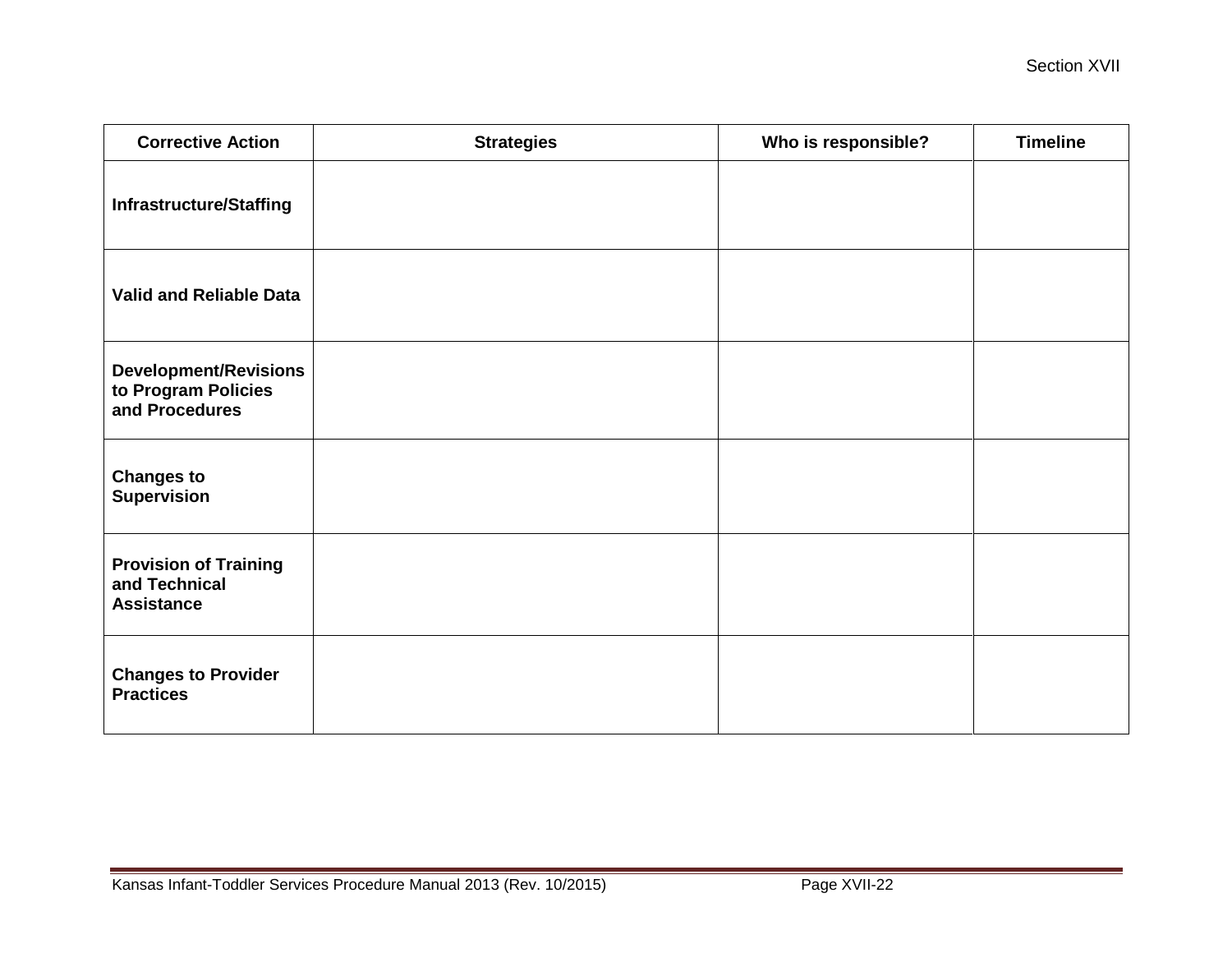| <b>Corrective Action</b>                                              | <b>Strategies</b> | Who is responsible? | <b>Timeline</b> |
|-----------------------------------------------------------------------|-------------------|---------------------|-----------------|
| <b>Infrastructure/Staffing</b>                                        |                   |                     |                 |
| <b>Valid and Reliable Data</b>                                        |                   |                     |                 |
| <b>Development/Revisions</b><br>to Program Policies<br>and Procedures |                   |                     |                 |
| <b>Changes to</b><br><b>Supervision</b>                               |                   |                     |                 |
| <b>Provision of Training</b><br>and Technical<br><b>Assistance</b>    |                   |                     |                 |
| <b>Changes to Provider</b><br><b>Practices</b>                        |                   |                     |                 |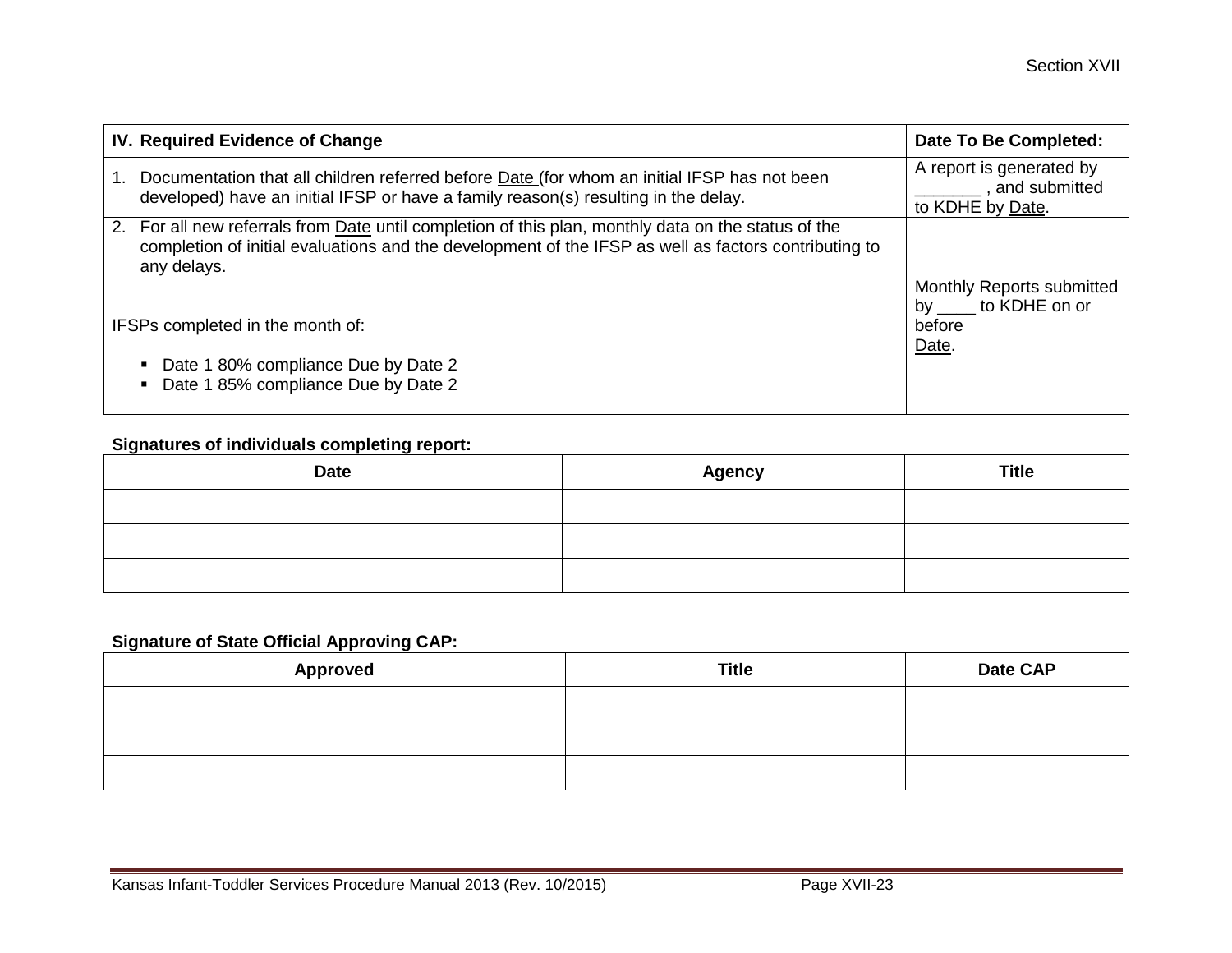|                                  | IV. Required Evidence of Change                                                                                                                                                                                            | Date To Be Completed:                       |
|----------------------------------|----------------------------------------------------------------------------------------------------------------------------------------------------------------------------------------------------------------------------|---------------------------------------------|
|                                  | Documentation that all children referred before <b>Date</b> (for whom an initial IFSP has not been                                                                                                                         | A report is generated by<br>, and submitted |
|                                  | developed) have an initial IFSP or have a family reason(s) resulting in the delay.                                                                                                                                         | to KDHE by Date.                            |
|                                  | 2. For all new referrals from Date until completion of this plan, monthly data on the status of the<br>completion of initial evaluations and the development of the IFSP as well as factors contributing to<br>any delays. | Monthly Reports submitted                   |
| IFSPs completed in the month of: |                                                                                                                                                                                                                            | by to KDHE on or<br>before<br>Date.         |
|                                  | Date 1 80% compliance Due by Date 2<br>Date 1 85% compliance Due by Date 2                                                                                                                                                 |                                             |

## **Signatures of individuals completing report:**

| <b>Date</b> | <b>Agency</b> | <b>Title</b> |
|-------------|---------------|--------------|
|             |               |              |
|             |               |              |
|             |               |              |

## **Signature of State Official Approving CAP:**

| <b>Approved</b> | <b>Title</b> | Date CAP |
|-----------------|--------------|----------|
|                 |              |          |
|                 |              |          |
|                 |              |          |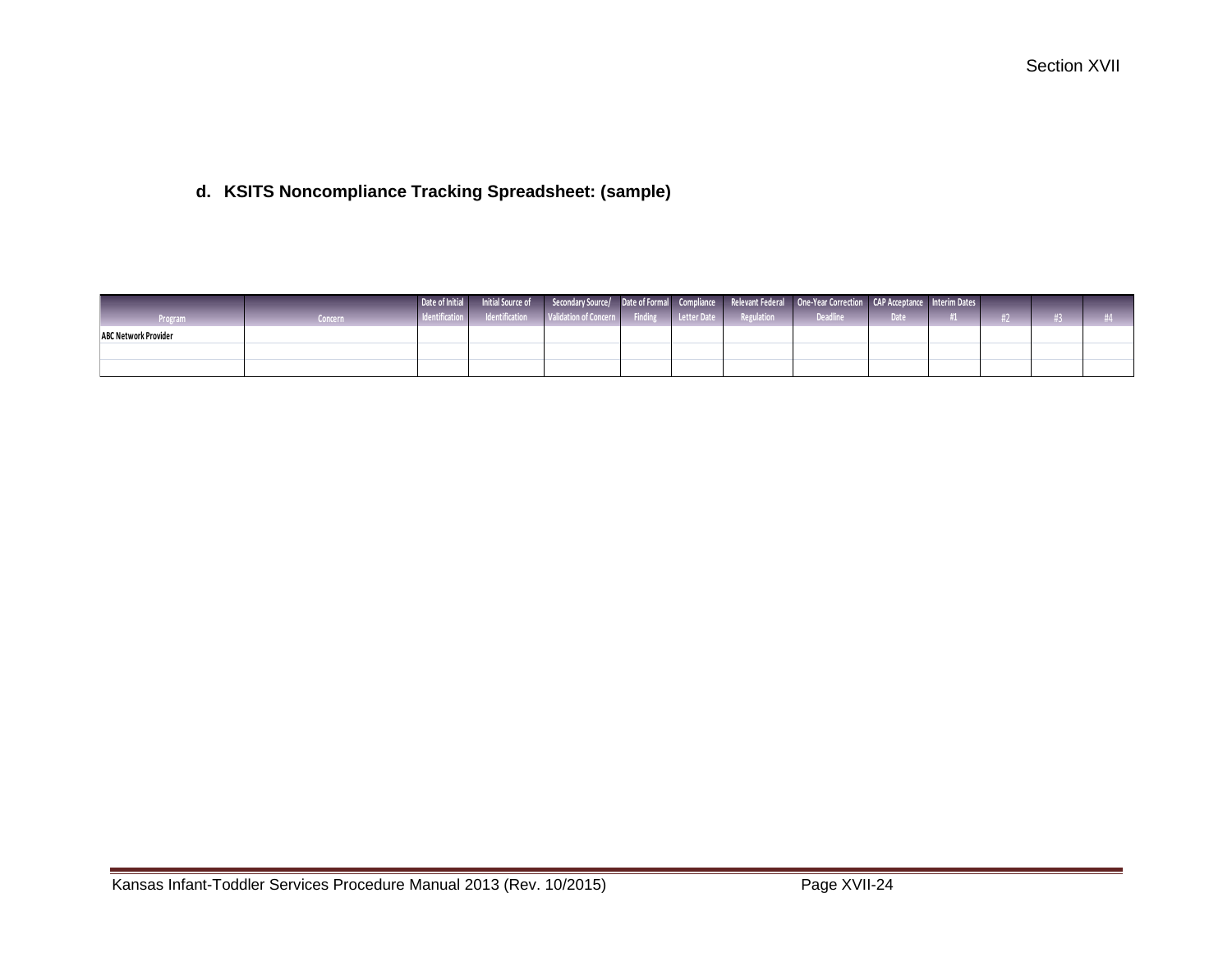# **d. KSITS Noncompliance Tracking Spreadsheet: (sample)**

|                             |         |  |  |  | l Date of Initial Initial Source of Secondary Source/ Date of Formal Compliance Relevant Federal One-Year Correction CAP Acceptance Interim Dates |        |  |  |
|-----------------------------|---------|--|--|--|---------------------------------------------------------------------------------------------------------------------------------------------------|--------|--|--|
| <b>Program</b>              | Concern |  |  |  | I Identification I Identification   Validation of Concern   Finding   Letter Date   Regulation   Deadline                                         | Date 2 |  |  |
| <b>ABC Network Provider</b> |         |  |  |  |                                                                                                                                                   |        |  |  |
|                             |         |  |  |  |                                                                                                                                                   |        |  |  |
|                             |         |  |  |  |                                                                                                                                                   |        |  |  |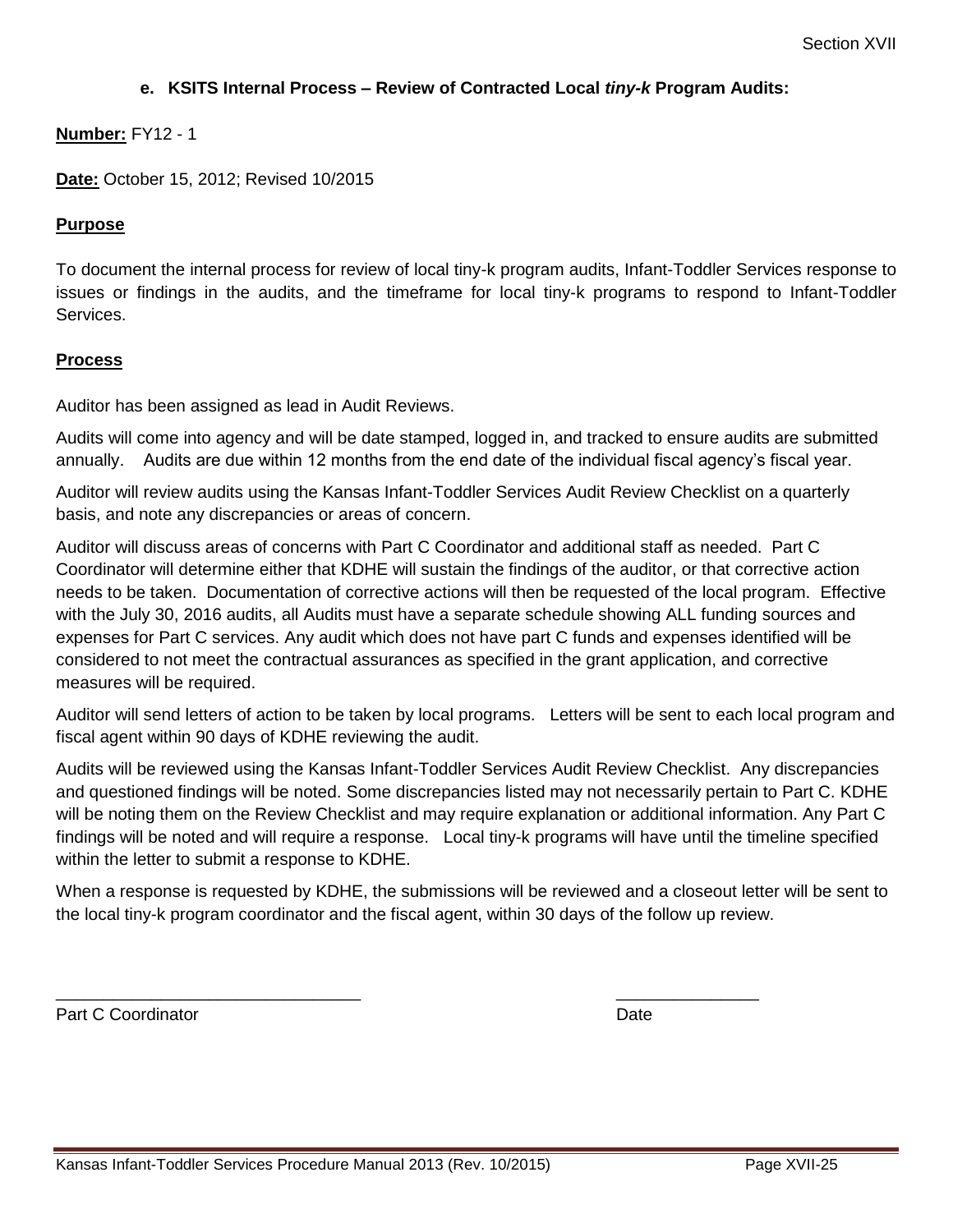#### **e. KSITS Internal Process – Review of Contracted Local** *tiny-k* **Program Audits:**

#### **Number:** FY12 - 1

**Date:** October 15, 2012; Revised 10/2015

#### **Purpose**

To document the internal process for review of local tiny-k program audits, Infant-Toddler Services response to issues or findings in the audits, and the timeframe for local tiny-k programs to respond to Infant-Toddler Services.

#### **Process**

Auditor has been assigned as lead in Audit Reviews.

Audits will come into agency and will be date stamped, logged in, and tracked to ensure audits are submitted annually. Audits are due within 12 months from the end date of the individual fiscal agency's fiscal year.

Auditor will review audits using the Kansas Infant-Toddler Services Audit Review Checklist on a quarterly basis, and note any discrepancies or areas of concern.

Auditor will discuss areas of concerns with Part C Coordinator and additional staff as needed. Part C Coordinator will determine either that KDHE will sustain the findings of the auditor, or that corrective action needs to be taken. Documentation of corrective actions will then be requested of the local program. Effective with the July 30, 2016 audits, all Audits must have a separate schedule showing ALL funding sources and expenses for Part C services. Any audit which does not have part C funds and expenses identified will be considered to not meet the contractual assurances as specified in the grant application, and corrective measures will be required.

Auditor will send letters of action to be taken by local programs. Letters will be sent to each local program and fiscal agent within 90 days of KDHE reviewing the audit.

Audits will be reviewed using the Kansas Infant-Toddler Services Audit Review Checklist. Any discrepancies and questioned findings will be noted. Some discrepancies listed may not necessarily pertain to Part C. KDHE will be noting them on the Review Checklist and may require explanation or additional information. Any Part C findings will be noted and will require a response. Local tiny-k programs will have until the timeline specified within the letter to submit a response to KDHE.

When a response is requested by KDHE, the submissions will be reviewed and a closeout letter will be sent to the local tiny-k program coordinator and the fiscal agent, within 30 days of the follow up review.

 $\overline{\phantom{a}}$  , and the contract of the contract of the contract of the contract of the contract of the contract of the contract of the contract of the contract of the contract of the contract of the contract of the contrac

Part C Coordinator **Date**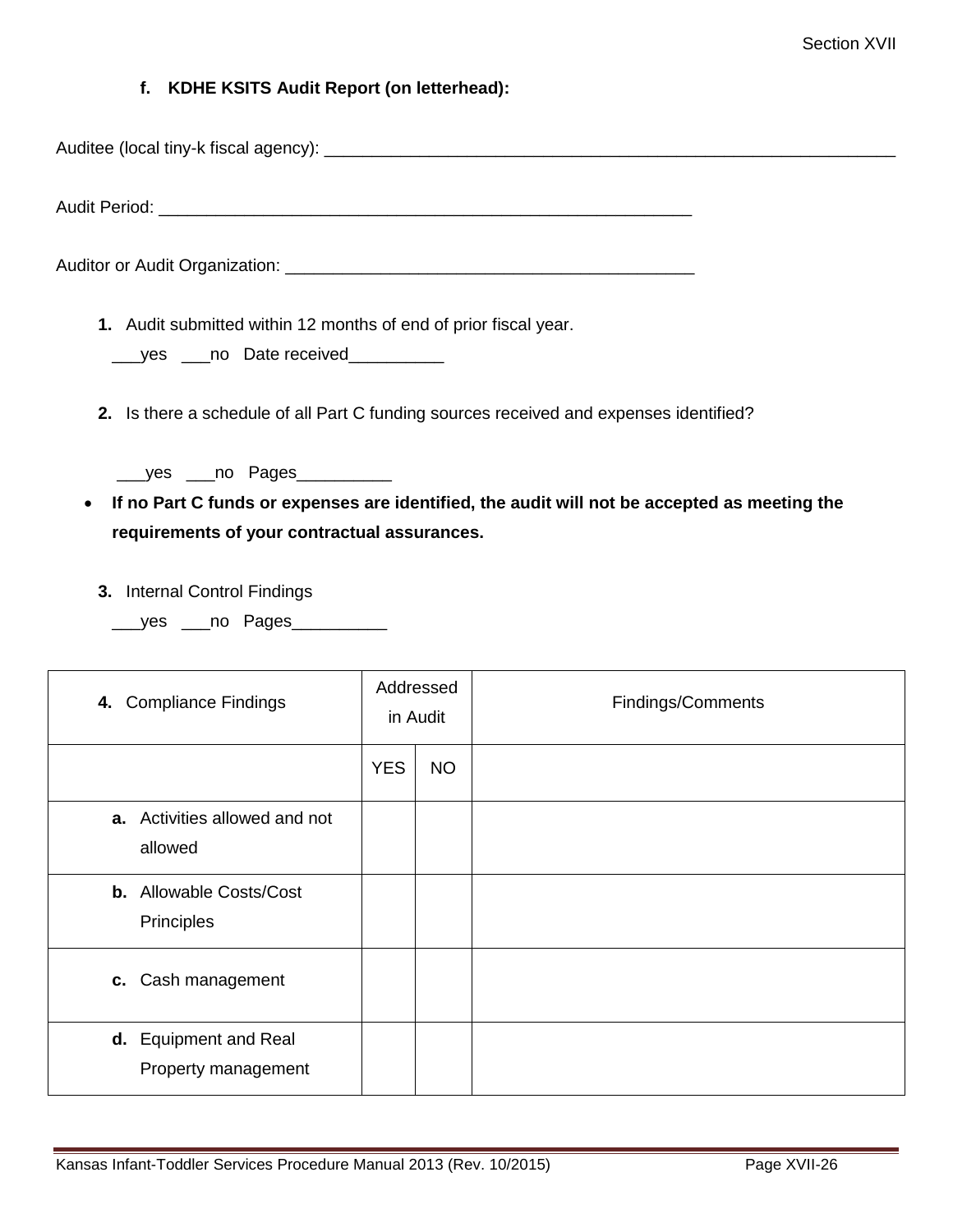#### **f. KDHE KSITS Audit Report (on letterhead):**

Auditee (local tiny-k fiscal agency): \_\_\_\_\_\_\_\_\_\_\_\_\_\_\_\_\_\_\_\_\_\_\_\_\_\_\_\_\_\_\_\_\_\_\_\_\_\_\_\_\_\_\_\_\_\_\_\_\_\_\_\_\_\_\_\_\_\_\_\_

Audit Period: **We are all that the ending of the ending of the ending of the ending of the ending of the ending of the ending of the ending of the ending of the ending of the ending of the ending of the ending of the endin** 

Auditor or Audit Organization: \_\_\_\_\_\_\_\_\_\_\_\_\_\_\_\_\_\_\_\_\_\_\_\_\_\_\_\_\_\_\_\_\_\_\_\_\_\_\_\_\_\_\_

**1.** Audit submitted within 12 months of end of prior fiscal year.

| ves | no Date received |
|-----|------------------|
|-----|------------------|

- **2.** Is there a schedule of all Part C funding sources received and expenses identified?
	- \_\_\_yes \_\_\_no Pages\_\_\_\_\_\_\_\_\_\_
- **If no Part C funds or expenses are identified, the audit will not be accepted as meeting the requirements of your contractual assurances.**
	- **3.** Internal Control Findings
		- \_\_\_yes \_\_\_no Pages\_\_\_\_\_\_\_\_\_\_

| 4. Compliance Findings                       | Addressed<br>in Audit |           | Findings/Comments |
|----------------------------------------------|-----------------------|-----------|-------------------|
|                                              | <b>YES</b>            | <b>NO</b> |                   |
| a. Activities allowed and not<br>allowed     |                       |           |                   |
| <b>b.</b> Allowable Costs/Cost<br>Principles |                       |           |                   |
| c. Cash management                           |                       |           |                   |
| d. Equipment and Real<br>Property management |                       |           |                   |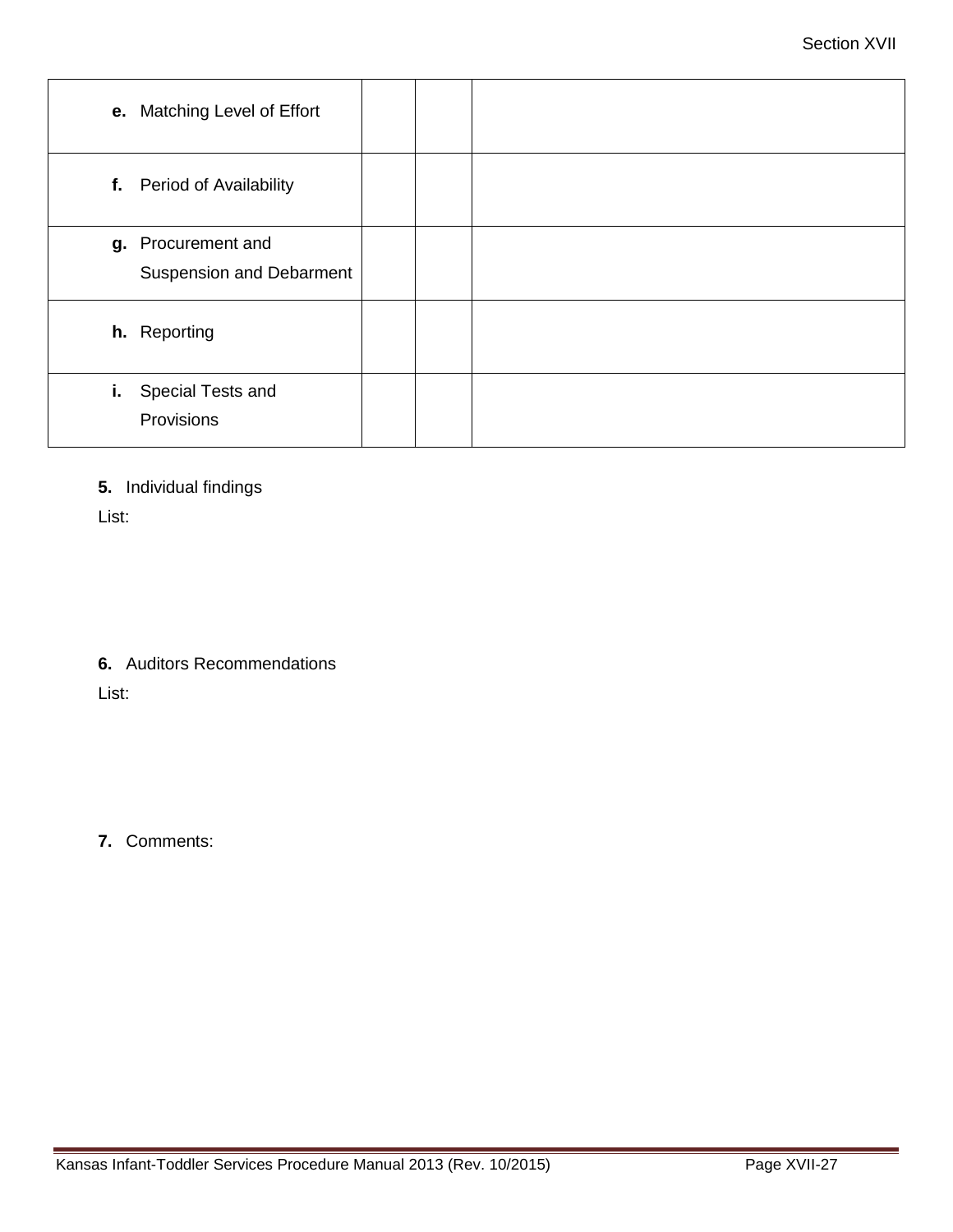| e. Matching Level of Effort                           |  |
|-------------------------------------------------------|--|
| f. Period of Availability                             |  |
| g. Procurement and<br><b>Suspension and Debarment</b> |  |
| h. Reporting                                          |  |
| Special Tests and<br>i.<br>Provisions                 |  |

**5.** Individual findings

List:

**6.** Auditors Recommendations

List:

**7.** Comments: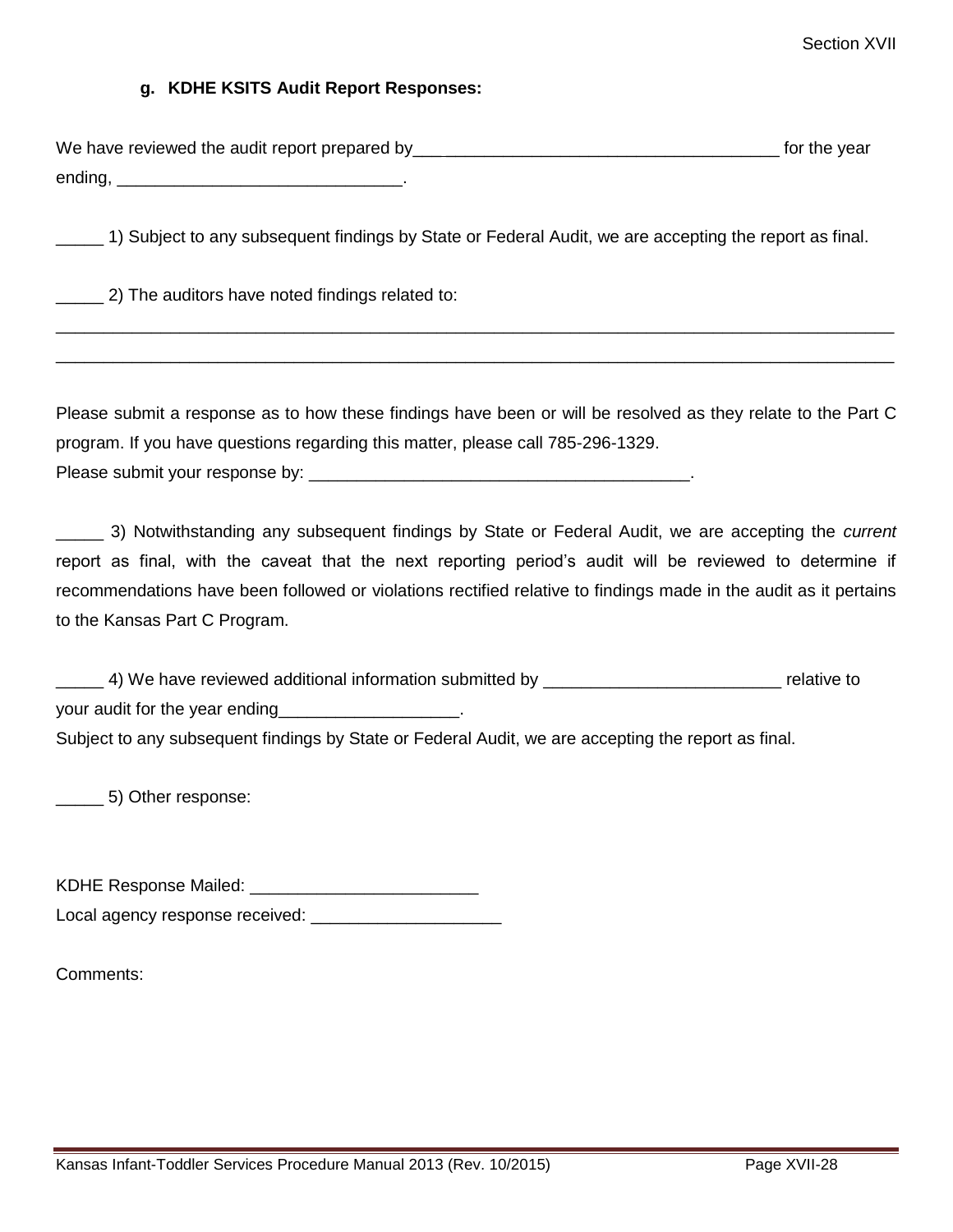#### **g. KDHE KSITS Audit Report Responses:**

| We have reviewed the audit report prepared by | for the year |
|-----------------------------------------------|--------------|
| ending,                                       |              |

\_\_\_\_ 1) Subject to any subsequent findings by State or Federal Audit, we are accepting the report as final.

\_\_\_\_\_ 2) The auditors have noted findings related to:

Please submit a response as to how these findings have been or will be resolved as they relate to the Part C program. If you have questions regarding this matter, please call 785-296-1329. Please submit your response by:  $\Box$ 

\_\_\_\_\_\_\_\_\_\_\_\_\_\_\_\_\_\_\_\_\_\_\_\_\_\_\_\_\_\_\_\_\_\_\_\_\_\_\_\_\_\_\_\_\_\_\_\_\_\_\_\_\_\_\_\_\_\_\_\_\_\_\_\_\_\_\_\_\_\_\_\_\_\_\_\_\_\_\_\_\_\_\_\_\_\_\_\_ \_\_\_\_\_\_\_\_\_\_\_\_\_\_\_\_\_\_\_\_\_\_\_\_\_\_\_\_\_\_\_\_\_\_\_\_\_\_\_\_\_\_\_\_\_\_\_\_\_\_\_\_\_\_\_\_\_\_\_\_\_\_\_\_\_\_\_\_\_\_\_\_\_\_\_\_\_\_\_\_\_\_\_\_\_\_\_\_

\_\_\_\_\_ 3) Notwithstanding any subsequent findings by State or Federal Audit, we are accepting the *current* report as final, with the caveat that the next reporting period's audit will be reviewed to determine if recommendations have been followed or violations rectified relative to findings made in the audit as it pertains to the Kansas Part C Program.

\_\_\_\_\_ 4) We have reviewed additional information submitted by \_\_\_\_\_\_\_\_\_\_\_\_\_\_\_\_\_\_\_\_\_\_\_\_\_ relative to your audit for the year ending Subject to any subsequent findings by State or Federal Audit, we are accepting the report as final.

\_\_\_\_\_ 5) Other response:

KDHE Response Mailed:

Local agency response received: \_\_\_\_\_\_\_\_\_\_\_\_\_\_\_\_\_\_\_\_

Comments: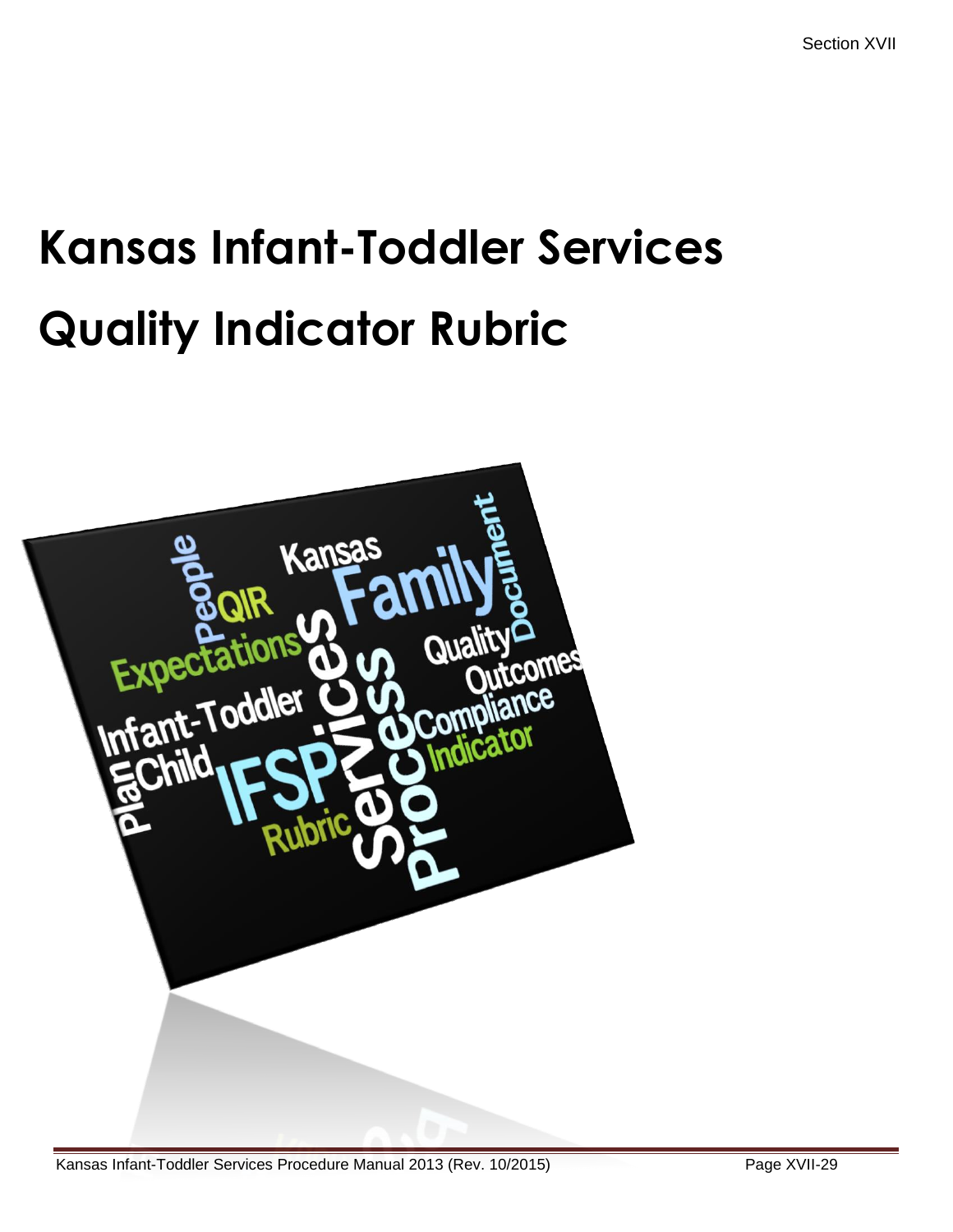# **Kansas Infant-Toddler Services Quality Indicator Rubric**

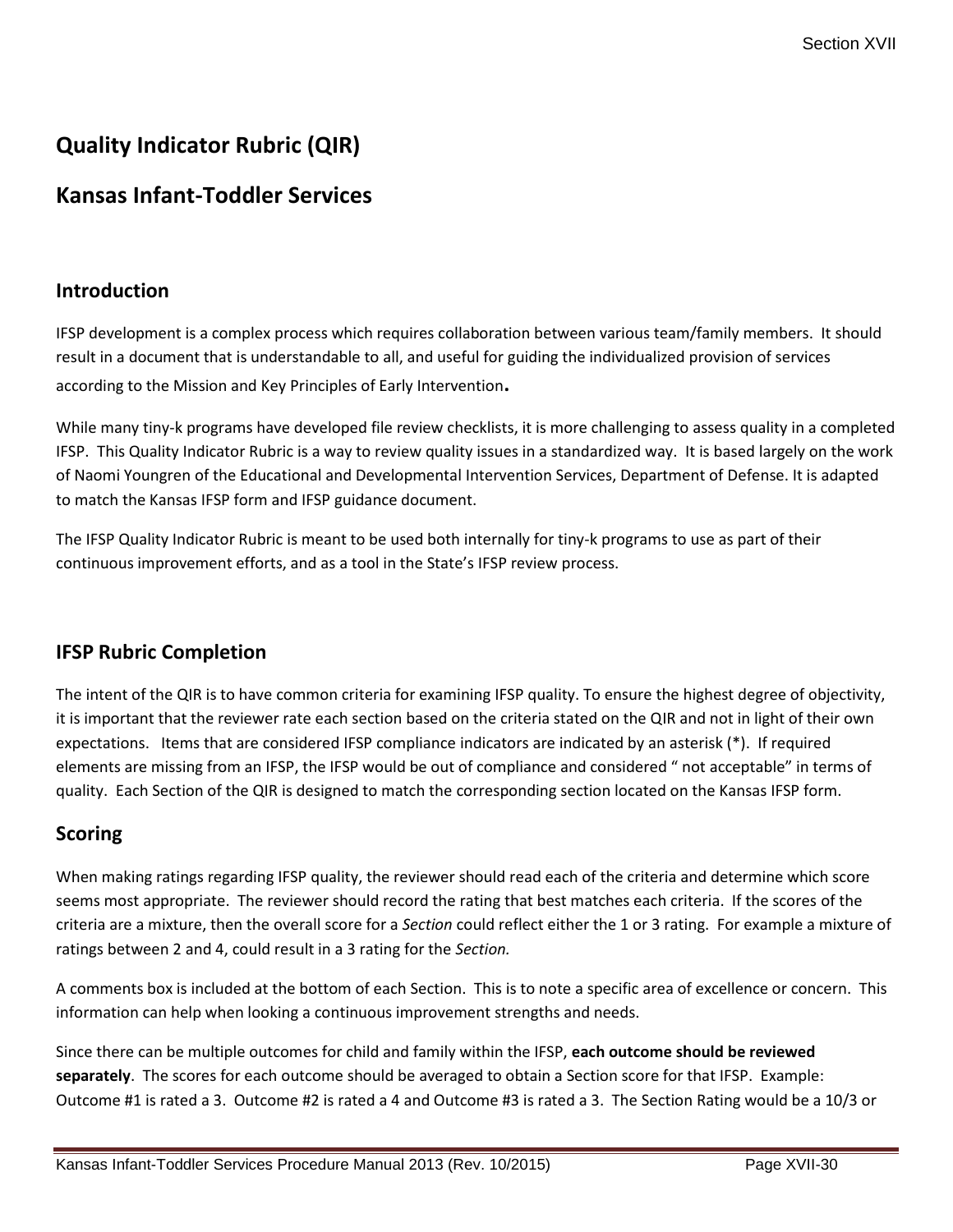# **Quality Indicator Rubric (QIR)**

# **Kansas Infant-Toddler Services**

## **Introduction**

IFSP development is a complex process which requires collaboration between various team/family members. It should result in a document that is understandable to all, and useful for guiding the individualized provision of services according to the Mission and Key Principles of Early Intervention**.**

While many tiny-k programs have developed file review checklists, it is more challenging to assess quality in a completed IFSP. This Quality Indicator Rubric is a way to review quality issues in a standardized way. It is based largely on the work of Naomi Youngren of the Educational and Developmental Intervention Services, Department of Defense. It is adapted to match the Kansas IFSP form and IFSP guidance document.

The IFSP Quality Indicator Rubric is meant to be used both internally for tiny-k programs to use as part of their continuous improvement efforts, and as a tool in the State's IFSP review process.

# **IFSP Rubric Completion**

The intent of the QIR is to have common criteria for examining IFSP quality. To ensure the highest degree of objectivity, it is important that the reviewer rate each section based on the criteria stated on the QIR and not in light of their own expectations. Items that are considered IFSP compliance indicators are indicated by an asterisk (\*). If required elements are missing from an IFSP, the IFSP would be out of compliance and considered " not acceptable" in terms of quality. Each Section of the QIR is designed to match the corresponding section located on the Kansas IFSP form.

# **Scoring**

When making ratings regarding IFSP quality, the reviewer should read each of the criteria and determine which score seems most appropriate. The reviewer should record the rating that best matches each criteria. If the scores of the criteria are a mixture, then the overall score for a *Section* could reflect either the 1 or 3 rating. For example a mixture of ratings between 2 and 4, could result in a 3 rating for the *Section.*

A comments box is included at the bottom of each Section. This is to note a specific area of excellence or concern. This information can help when looking a continuous improvement strengths and needs.

Since there can be multiple outcomes for child and family within the IFSP, **each outcome should be reviewed separately**. The scores for each outcome should be averaged to obtain a Section score for that IFSP. Example: Outcome #1 is rated a 3. Outcome #2 is rated a 4 and Outcome #3 is rated a 3. The Section Rating would be a 10/3 or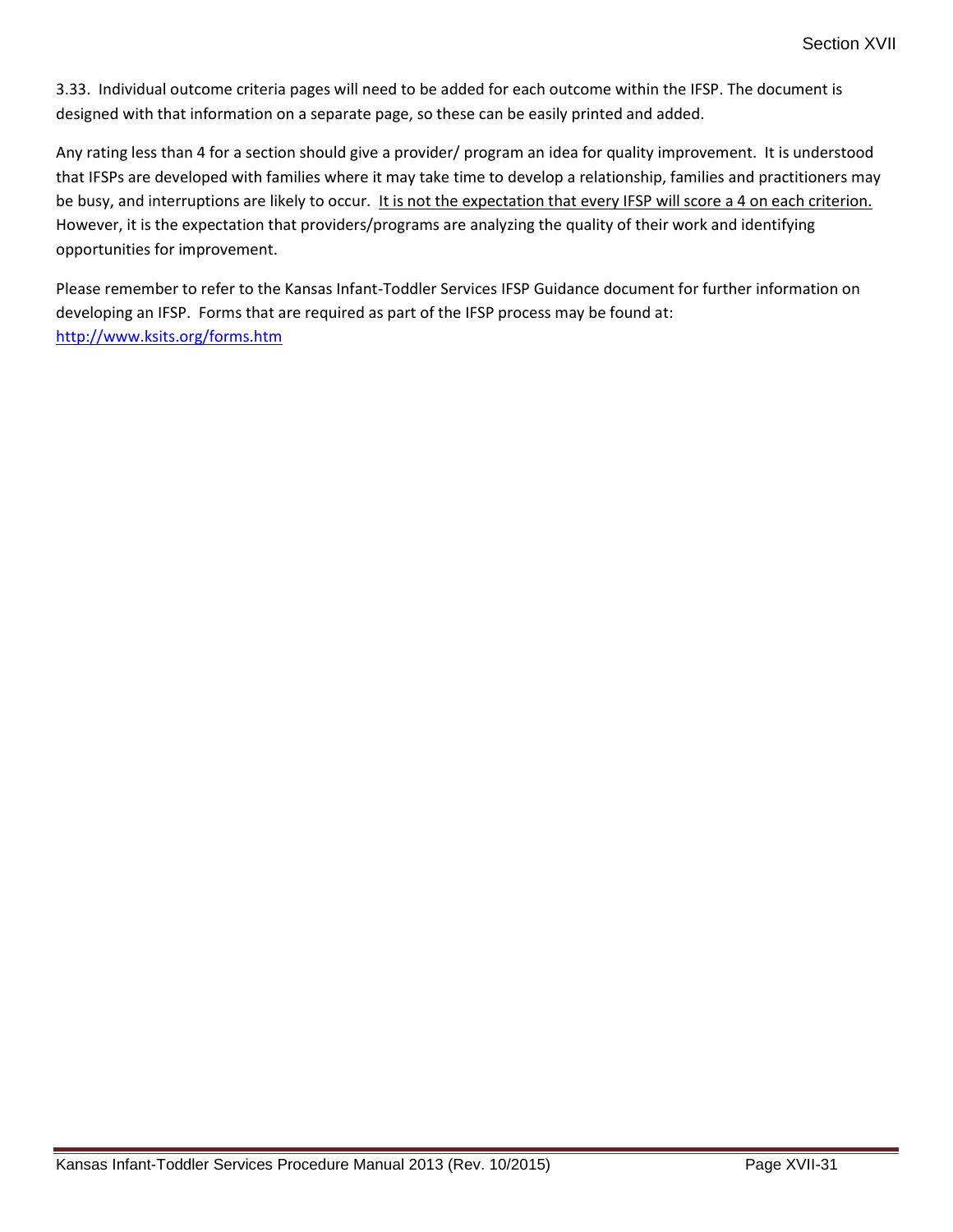3.33. Individual outcome criteria pages will need to be added for each outcome within the IFSP. The document is designed with that information on a separate page, so these can be easily printed and added.

Any rating less than 4 for a section should give a provider/ program an idea for quality improvement. It is understood that IFSPs are developed with families where it may take time to develop a relationship, families and practitioners may be busy, and interruptions are likely to occur. It is not the expectation that every IFSP will score a 4 on each criterion. However, it is the expectation that providers/programs are analyzing the quality of their work and identifying opportunities for improvement.

Please remember to refer to the Kansas Infant-Toddler Services IFSP Guidance document for further information on developing an IFSP. Forms that are required as part of the IFSP process may be found at: <http://www.ksits.org/forms.htm>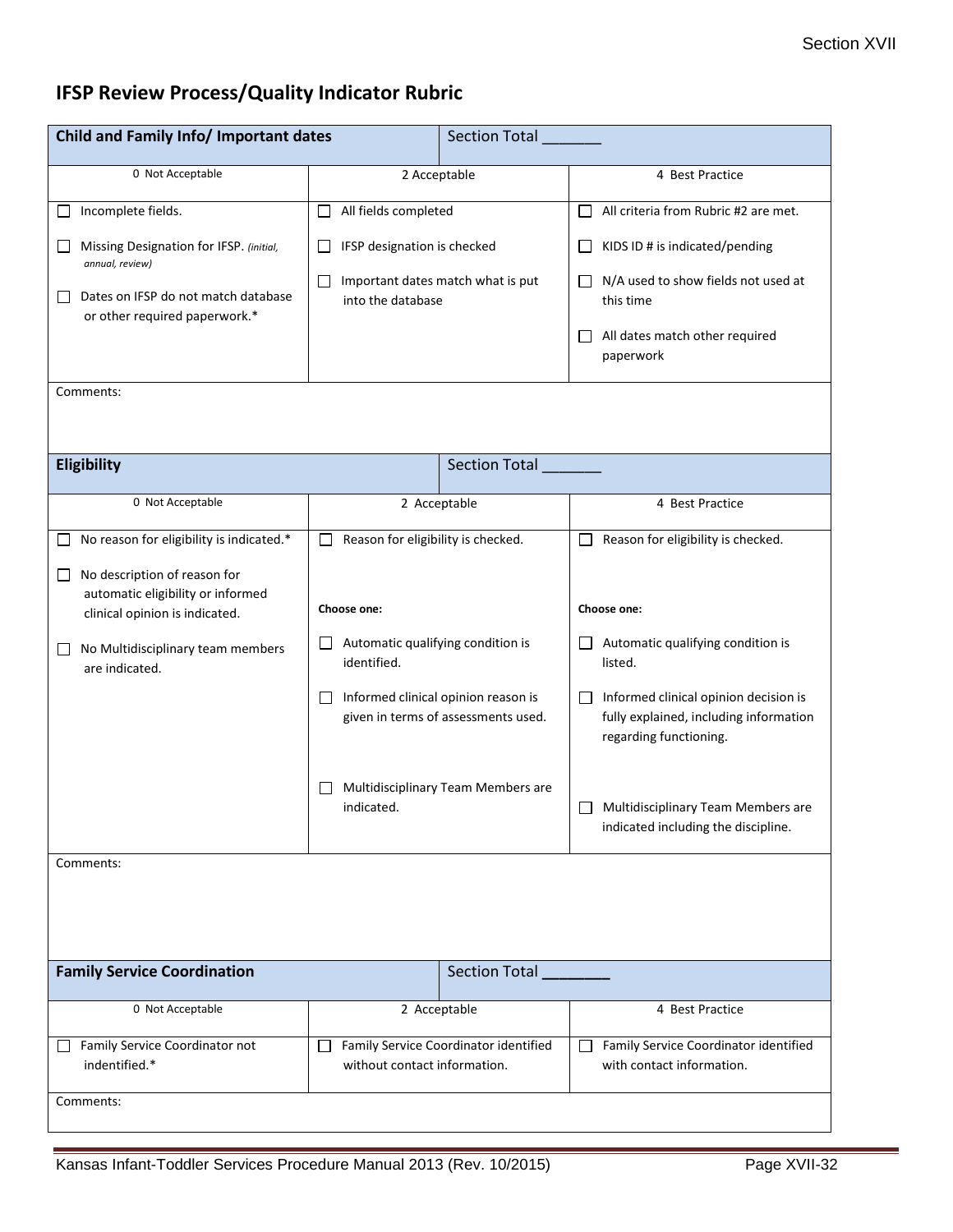# **IFSP Review Process/Quality Indicator Rubric**

| Child and Family Info/ Important dates                                                                        |                                                                            | <b>Section Total</b>              |                                                                                                           |  |  |
|---------------------------------------------------------------------------------------------------------------|----------------------------------------------------------------------------|-----------------------------------|-----------------------------------------------------------------------------------------------------------|--|--|
| 0 Not Acceptable                                                                                              | 2 Acceptable                                                               |                                   | 4 Best Practice                                                                                           |  |  |
| Incomplete fields.                                                                                            | All fields completed<br>$\Box$                                             |                                   | All criteria from Rubric #2 are met.<br>$\mathsf{L}$                                                      |  |  |
| Missing Designation for IFSP. (initial,<br>annual, review)                                                    | IFSP designation is checked<br>ΙI                                          |                                   | KIDS ID # is indicated/pending                                                                            |  |  |
| Dates on IFSP do not match database<br>or other required paperwork.*                                          | $\Box$<br>into the database                                                | Important dates match what is put | N/A used to show fields not used at<br>this time                                                          |  |  |
|                                                                                                               |                                                                            |                                   | All dates match other required<br>paperwork                                                               |  |  |
| Comments:                                                                                                     |                                                                            |                                   |                                                                                                           |  |  |
|                                                                                                               |                                                                            |                                   |                                                                                                           |  |  |
| Eligibility                                                                                                   |                                                                            | Section Total                     |                                                                                                           |  |  |
| 0 Not Acceptable                                                                                              | 2 Acceptable                                                               |                                   | 4 Best Practice                                                                                           |  |  |
| No reason for eligibility is indicated.*                                                                      | Reason for eligibility is checked.                                         |                                   | Reason for eligibility is checked.                                                                        |  |  |
| No description of reason for<br>$\Box$<br>automatic eligibility or informed<br>clinical opinion is indicated. | Choose one:                                                                |                                   | Choose one:                                                                                               |  |  |
| No Multidisciplinary team members<br>$\Box$<br>are indicated.                                                 | Automatic qualifying condition is<br>identified.                           |                                   | Automatic qualifying condition is<br>$\Box$<br>listed.                                                    |  |  |
|                                                                                                               | Informed clinical opinion reason is<br>given in terms of assessments used. |                                   | Informed clinical opinion decision is<br>fully explained, including information<br>regarding functioning. |  |  |
|                                                                                                               | Multidisciplinary Team Members are<br>indicated.                           |                                   | Multidisciplinary Team Members are<br>indicated including the discipline.                                 |  |  |
| Comments:                                                                                                     |                                                                            |                                   |                                                                                                           |  |  |
|                                                                                                               |                                                                            |                                   |                                                                                                           |  |  |
| <b>Family Service Coordination</b>                                                                            |                                                                            | Section Total                     |                                                                                                           |  |  |
| 0 Not Acceptable                                                                                              | 2 Acceptable                                                               |                                   | 4 Best Practice                                                                                           |  |  |
| Family Service Coordinator not<br>indentified.*                                                               | Family Service Coordinator identified<br>П<br>without contact information. |                                   | Family Service Coordinator identified<br>$\mathsf{I}$<br>with contact information.                        |  |  |
| Comments:                                                                                                     |                                                                            |                                   |                                                                                                           |  |  |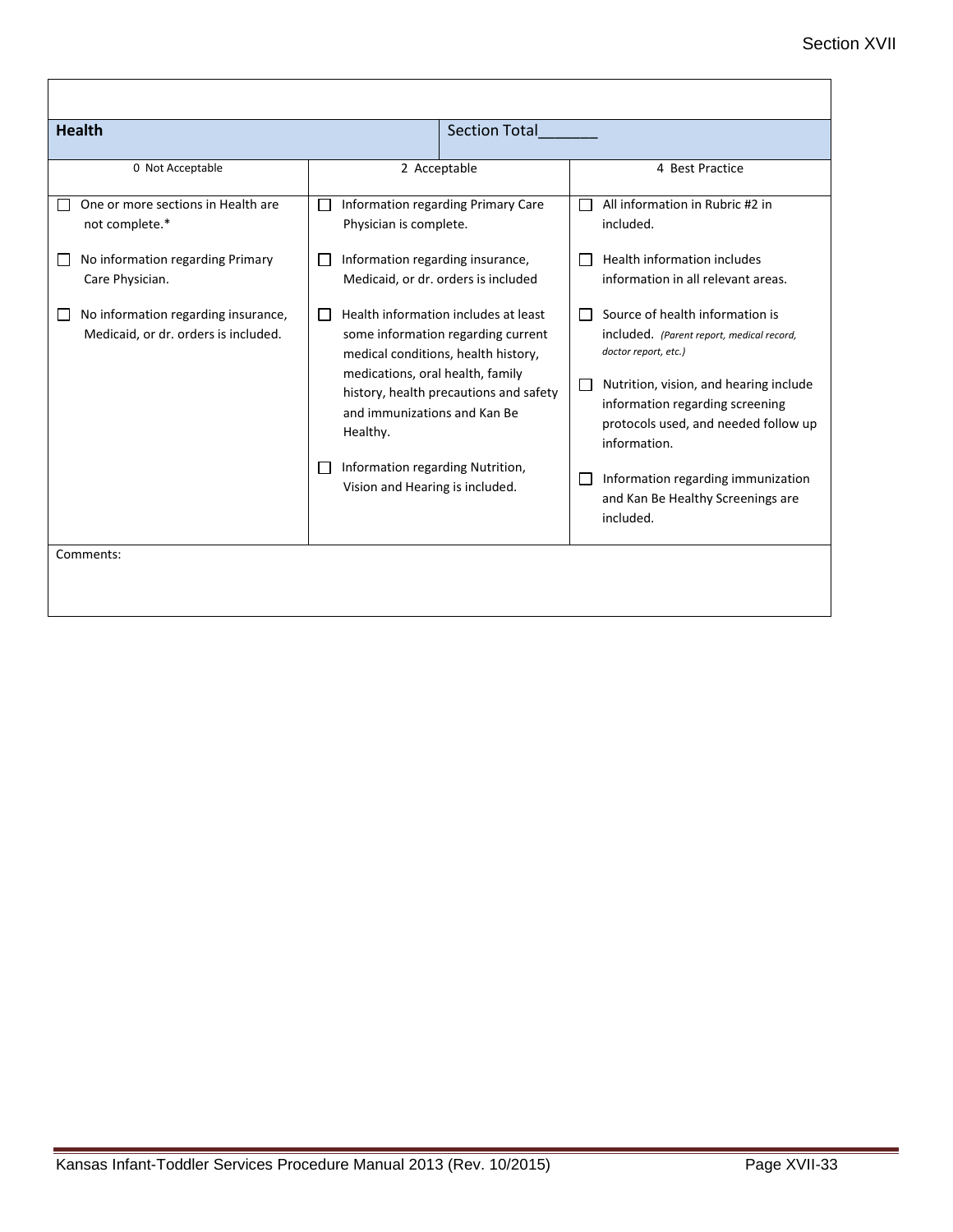| <b>Health</b>                                                               |                                                                                                                                                                                                                                                             | <b>Section Total</b>               |                                                                                                                                                                                                                                           |
|-----------------------------------------------------------------------------|-------------------------------------------------------------------------------------------------------------------------------------------------------------------------------------------------------------------------------------------------------------|------------------------------------|-------------------------------------------------------------------------------------------------------------------------------------------------------------------------------------------------------------------------------------------|
| 0 Not Acceptable                                                            | 2 Acceptable                                                                                                                                                                                                                                                |                                    | 4 Best Practice                                                                                                                                                                                                                           |
| One or more sections in Health are<br>not complete.*                        | $\Box$<br>Physician is complete.                                                                                                                                                                                                                            | Information regarding Primary Care | All information in Rubric #2 in<br>included.                                                                                                                                                                                              |
| No information regarding Primary<br>Care Physician.                         | Information regarding insurance,<br>$\mathbf{I}$<br>Medicaid, or dr. orders is included                                                                                                                                                                     |                                    | Health information includes<br>information in all relevant areas.                                                                                                                                                                         |
| No information regarding insurance,<br>Medicaid, or dr. orders is included. | Health information includes at least<br>$\mathbf{L}$<br>some information regarding current<br>medical conditions, health history,<br>medications, oral health, family<br>history, health precautions and safety<br>and immunizations and Kan Be<br>Healthy. |                                    | Source of health information is<br>included. (Parent report, medical record,<br>doctor report, etc.)<br>Nutrition, vision, and hearing include<br>information regarding screening<br>protocols used, and needed follow up<br>information. |
|                                                                             | Information regarding Nutrition,<br>$\mathbf{I}$<br>Vision and Hearing is included.                                                                                                                                                                         |                                    | Information regarding immunization<br>and Kan Be Healthy Screenings are<br>included.                                                                                                                                                      |
| Comments:                                                                   |                                                                                                                                                                                                                                                             |                                    |                                                                                                                                                                                                                                           |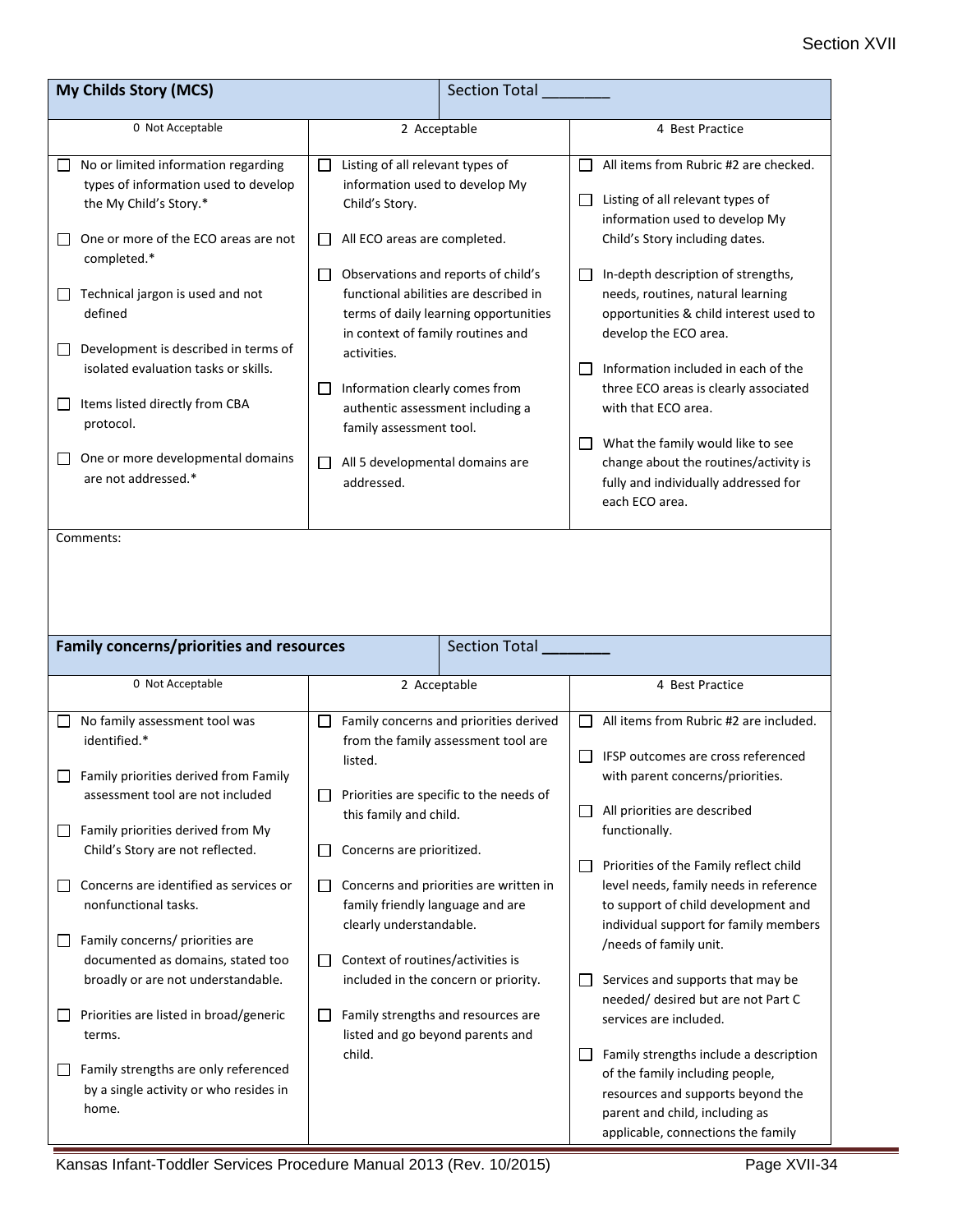| My Childs Story (MCS)                                                                                                                                                                                                                                                     | <b>Section Total</b>                                                                                                                                                                                                                                                                                                                                       |                                                                                                                                                                                                                                                                                                                                                                                                     |  |
|---------------------------------------------------------------------------------------------------------------------------------------------------------------------------------------------------------------------------------------------------------------------------|------------------------------------------------------------------------------------------------------------------------------------------------------------------------------------------------------------------------------------------------------------------------------------------------------------------------------------------------------------|-----------------------------------------------------------------------------------------------------------------------------------------------------------------------------------------------------------------------------------------------------------------------------------------------------------------------------------------------------------------------------------------------------|--|
| 0 Not Acceptable                                                                                                                                                                                                                                                          | 2 Acceptable                                                                                                                                                                                                                                                                                                                                               | 4 Best Practice                                                                                                                                                                                                                                                                                                                                                                                     |  |
| No or limited information regarding<br>types of information used to develop<br>the My Child's Story.*<br>One or more of the ECO areas are not                                                                                                                             | Listing of all relevant types of<br>$\Box$<br>information used to develop My<br>Child's Story.<br>All ECO areas are completed.<br>$\mathsf{L}$                                                                                                                                                                                                             | All items from Rubric #2 are checked.<br>$\blacksquare$<br>Listing of all relevant types of<br>ш<br>information used to develop My<br>Child's Story including dates.                                                                                                                                                                                                                                |  |
| completed.*<br>Technical jargon is used and not<br>ப<br>defined<br>Development is described in terms of<br>ப<br>isolated evaluation tasks or skills.<br>Items listed directly from CBA<br>ப<br>protocol.<br>One or more developmental domains<br>ப<br>are not addressed.* | Observations and reports of child's<br>U<br>functional abilities are described in<br>terms of daily learning opportunities<br>in context of family routines and<br>activities.<br>Information clearly comes from<br>$\Box$<br>authentic assessment including a<br>family assessment tool.<br>All 5 developmental domains are<br>$\mathsf{L}$<br>addressed. | In-depth description of strengths,<br>Ш<br>needs, routines, natural learning<br>opportunities & child interest used to<br>develop the ECO area.<br>Information included in each of the<br>three ECO areas is clearly associated<br>with that ECO area.<br>What the family would like to see<br>ப<br>change about the routines/activity is<br>fully and individually addressed for<br>each ECO area. |  |
| Comments:                                                                                                                                                                                                                                                                 |                                                                                                                                                                                                                                                                                                                                                            |                                                                                                                                                                                                                                                                                                                                                                                                     |  |
| <b>Family concerns/priorities and resources</b><br>Section Total                                                                                                                                                                                                          |                                                                                                                                                                                                                                                                                                                                                            |                                                                                                                                                                                                                                                                                                                                                                                                     |  |
| 0 Not Acceptable                                                                                                                                                                                                                                                          | 2 Acceptable                                                                                                                                                                                                                                                                                                                                               | 4 Best Practice                                                                                                                                                                                                                                                                                                                                                                                     |  |
| No family assessment tool was<br>identified.*<br>Family priorities derived from Family<br>assessment tool are not included<br>Family priorities derived from My<br>Child's Story are not reflected.                                                                       | Family concerns and priorities derived<br>from the family assessment tool are<br>listed.<br>Priorities are specific to the needs of<br>this family and child.<br>Concerns are prioritized.<br>$\mathsf{L}$                                                                                                                                                 | All items from Rubric #2 are included.<br>$\perp$<br>IFSP outcomes are cross referenced<br>with parent concerns/priorities.<br>All priorities are described<br>⊔<br>functionally.                                                                                                                                                                                                                   |  |
| Concerns are identified as services or<br>nonfunctional tasks.<br>Family concerns/ priorities are<br>documented as domains, stated too                                                                                                                                    | Concerns and priorities are written in<br>⊔<br>family friendly language and are<br>clearly understandable.<br>Context of routines/activities is<br>$\Box$                                                                                                                                                                                                  | Priorities of the Family reflect child<br>level needs, family needs in reference<br>to support of child development and<br>individual support for family members<br>/needs of family unit.                                                                                                                                                                                                          |  |
| broadly or are not understandable.<br>Priorities are listed in broad/generic<br>terms.                                                                                                                                                                                    | included in the concern or priority.<br>Family strengths and resources are<br>$\mathsf{L}$<br>listed and go beyond parents and                                                                                                                                                                                                                             | Services and supports that may be<br>needed/ desired but are not Part C<br>services are included.                                                                                                                                                                                                                                                                                                   |  |
| Family strengths are only referenced<br>by a single activity or who resides in<br>home.                                                                                                                                                                                   | child.                                                                                                                                                                                                                                                                                                                                                     | Family strengths include a description<br>of the family including people,<br>resources and supports beyond the                                                                                                                                                                                                                                                                                      |  |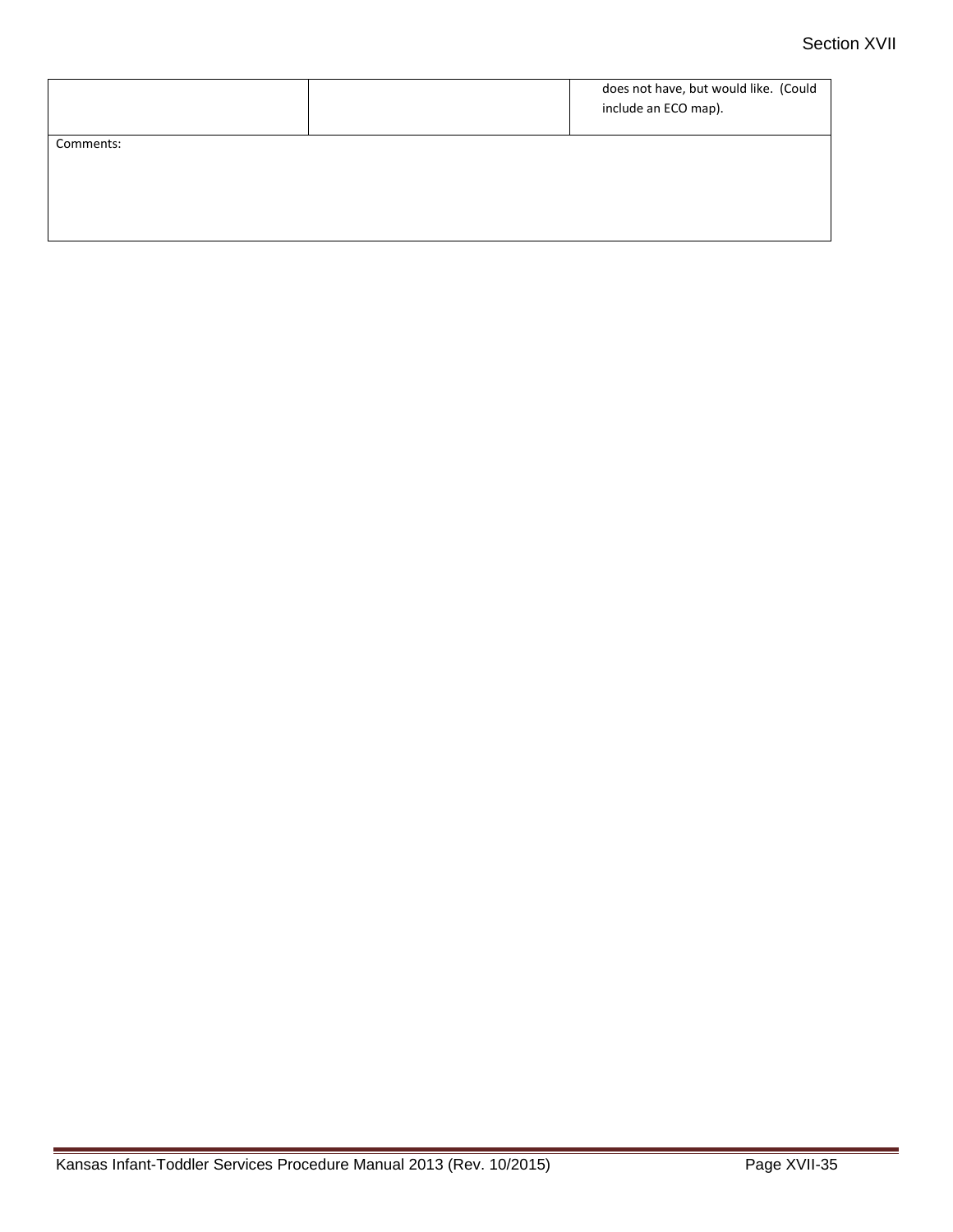|           | does not have, but would like. (Could<br>include an ECO map). |
|-----------|---------------------------------------------------------------|
| Comments: |                                                               |
|           |                                                               |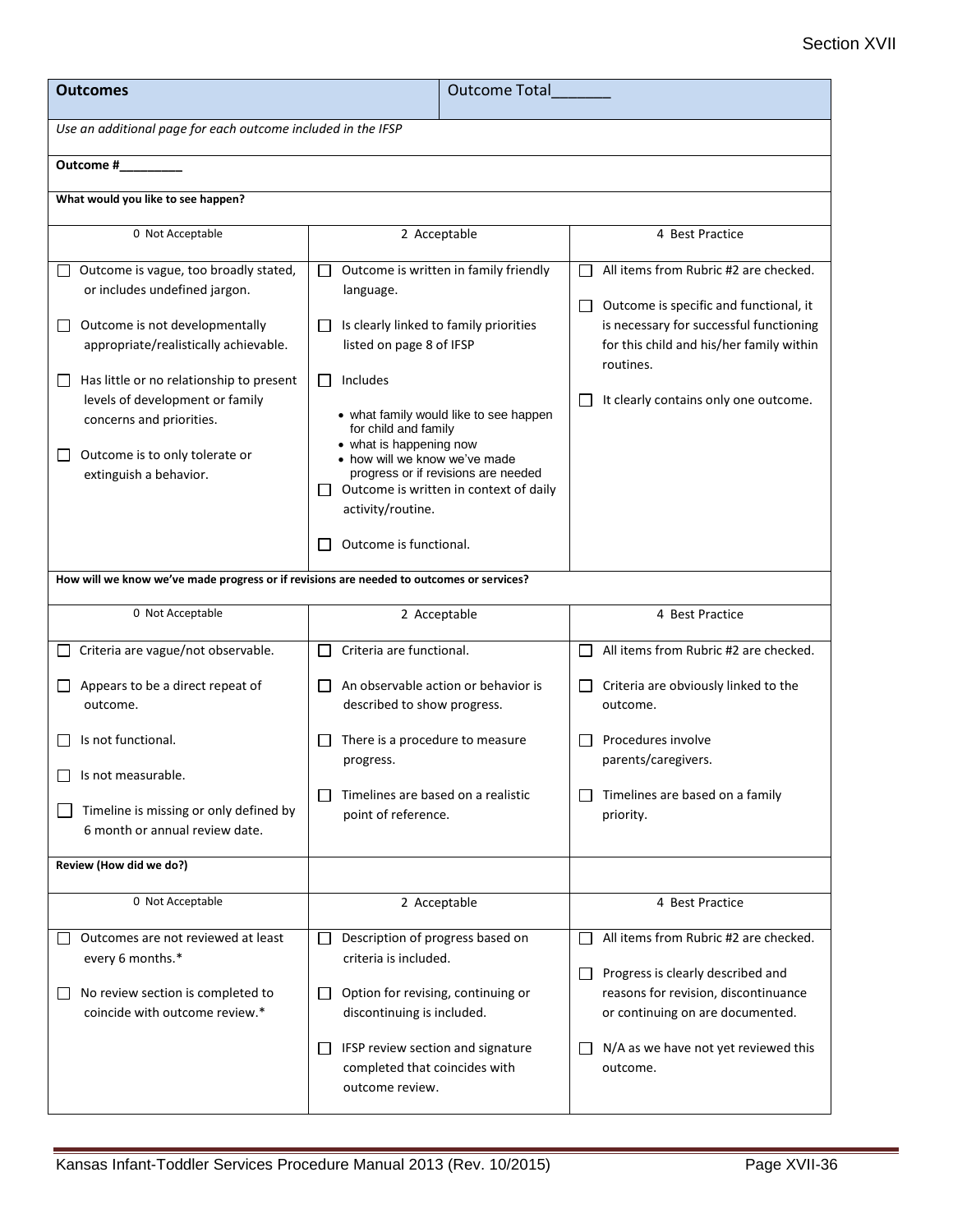| <b>Outcomes</b>                                                                                                                                                                                                                                 | <b>Outcome Total</b>                                                                                                                                                                                                             |                                                                                                                                                                                                                                        |  |  |  |
|-------------------------------------------------------------------------------------------------------------------------------------------------------------------------------------------------------------------------------------------------|----------------------------------------------------------------------------------------------------------------------------------------------------------------------------------------------------------------------------------|----------------------------------------------------------------------------------------------------------------------------------------------------------------------------------------------------------------------------------------|--|--|--|
| Use an additional page for each outcome included in the IFSP                                                                                                                                                                                    |                                                                                                                                                                                                                                  |                                                                                                                                                                                                                                        |  |  |  |
| Outcome #                                                                                                                                                                                                                                       |                                                                                                                                                                                                                                  |                                                                                                                                                                                                                                        |  |  |  |
| What would you like to see happen?                                                                                                                                                                                                              |                                                                                                                                                                                                                                  |                                                                                                                                                                                                                                        |  |  |  |
| 0 Not Acceptable                                                                                                                                                                                                                                | 2 Acceptable                                                                                                                                                                                                                     | 4 Best Practice                                                                                                                                                                                                                        |  |  |  |
| Outcome is vague, too broadly stated,<br>or includes undefined jargon.<br>Outcome is not developmentally<br>ப<br>appropriate/realistically achievable.<br>Has little or no relationship to present<br>$\Box$<br>levels of development or family | Outcome is written in family friendly<br>$\mathbf{L}$<br>language.<br>Is clearly linked to family priorities<br>$\perp$<br>listed on page 8 of IFSP<br>Includes<br>⊔<br>• what family would like to see happen                   | All items from Rubric #2 are checked.<br>Outcome is specific and functional, it<br>$\Box$<br>is necessary for successful functioning<br>for this child and his/her family within<br>routines.<br>It clearly contains only one outcome. |  |  |  |
| concerns and priorities.<br>Outcome is to only tolerate or<br>ப<br>extinguish a behavior.                                                                                                                                                       | for child and family<br>• what is happening now<br>• how will we know we've made<br>progress or if revisions are needed<br>Outcome is written in context of daily<br>$\perp$<br>activity/routine.<br>Outcome is functional.<br>L |                                                                                                                                                                                                                                        |  |  |  |
| How will we know we've made progress or if revisions are needed to outcomes or services?                                                                                                                                                        |                                                                                                                                                                                                                                  |                                                                                                                                                                                                                                        |  |  |  |
| 0 Not Acceptable                                                                                                                                                                                                                                | 2 Acceptable                                                                                                                                                                                                                     | 4 Best Practice                                                                                                                                                                                                                        |  |  |  |
| Criteria are vague/not observable.                                                                                                                                                                                                              | Criteria are functional.<br>$\perp$                                                                                                                                                                                              | All items from Rubric #2 are checked.                                                                                                                                                                                                  |  |  |  |
| Appears to be a direct repeat of<br>outcome.                                                                                                                                                                                                    | An observable action or behavior is<br>$\mathsf{L}$<br>described to show progress.                                                                                                                                               | Criteria are obviously linked to the<br>outcome.                                                                                                                                                                                       |  |  |  |
| Is not functional.<br>$\Box$ Is not measurable.                                                                                                                                                                                                 | There is a procedure to measure<br>L<br>progress.                                                                                                                                                                                | Procedures involve<br>parents/caregivers.                                                                                                                                                                                              |  |  |  |
| Timeline is missing or only defined by<br>6 month or annual review date.                                                                                                                                                                        | Timelines are based on a realistic<br>$\Box$<br>point of reference.                                                                                                                                                              | Timelines are based on a family<br>priority.                                                                                                                                                                                           |  |  |  |
| Review (How did we do?)                                                                                                                                                                                                                         |                                                                                                                                                                                                                                  |                                                                                                                                                                                                                                        |  |  |  |
| 0 Not Acceptable                                                                                                                                                                                                                                | 2 Acceptable                                                                                                                                                                                                                     | 4 Best Practice                                                                                                                                                                                                                        |  |  |  |
| Outcomes are not reviewed at least<br>every 6 months.*<br>No review section is completed to                                                                                                                                                     | Description of progress based on<br>$\Box$<br>criteria is included.<br>Option for revising, continuing or<br>ப                                                                                                                   | All items from Rubric #2 are checked.<br>Progress is clearly described and<br>╹⅃<br>reasons for revision, discontinuance                                                                                                               |  |  |  |
| coincide with outcome review.*                                                                                                                                                                                                                  | discontinuing is included.<br>IFSP review section and signature<br>ப<br>completed that coincides with<br>outcome review.                                                                                                         | or continuing on are documented.<br>N/A as we have not yet reviewed this<br>outcome.                                                                                                                                                   |  |  |  |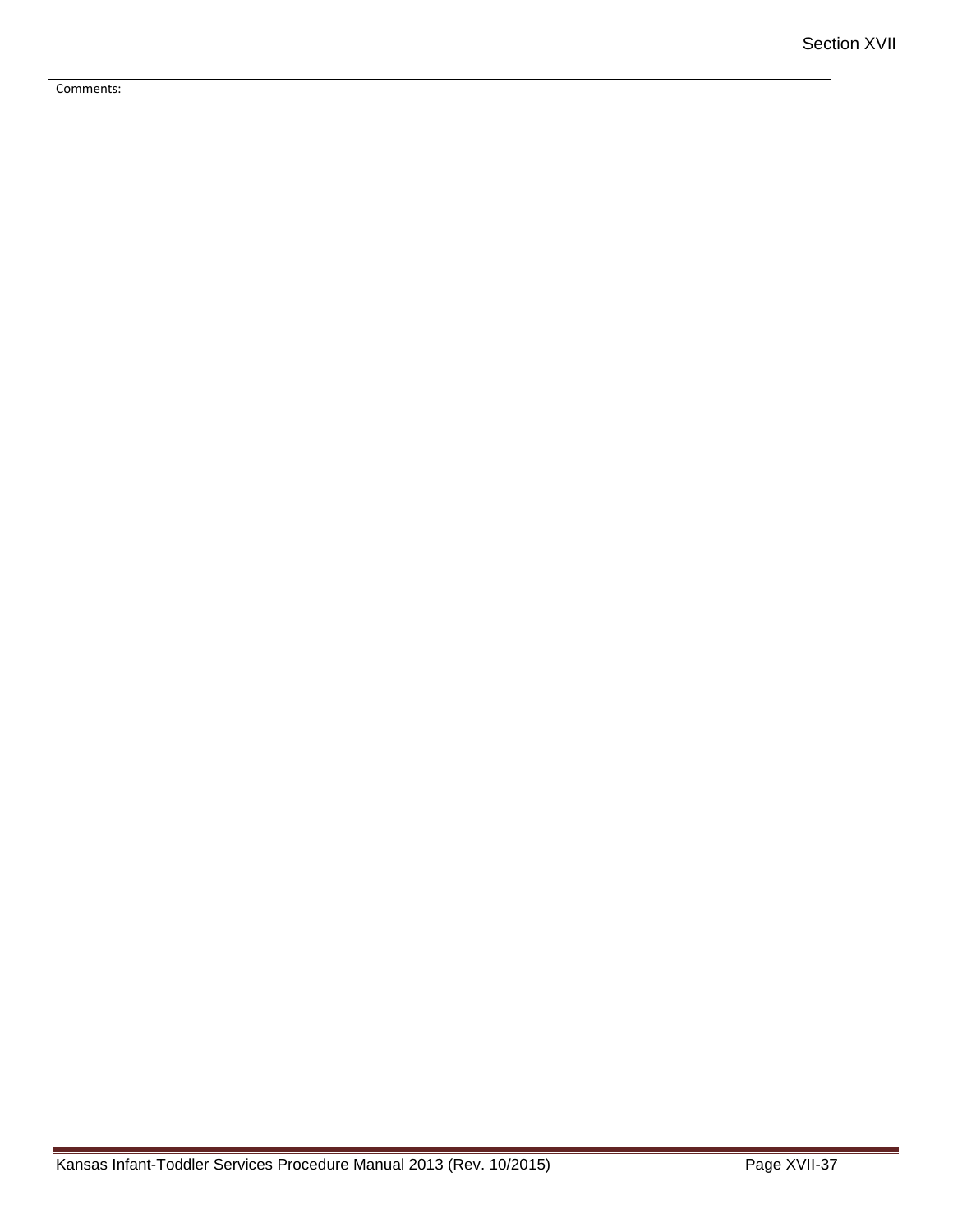Comments: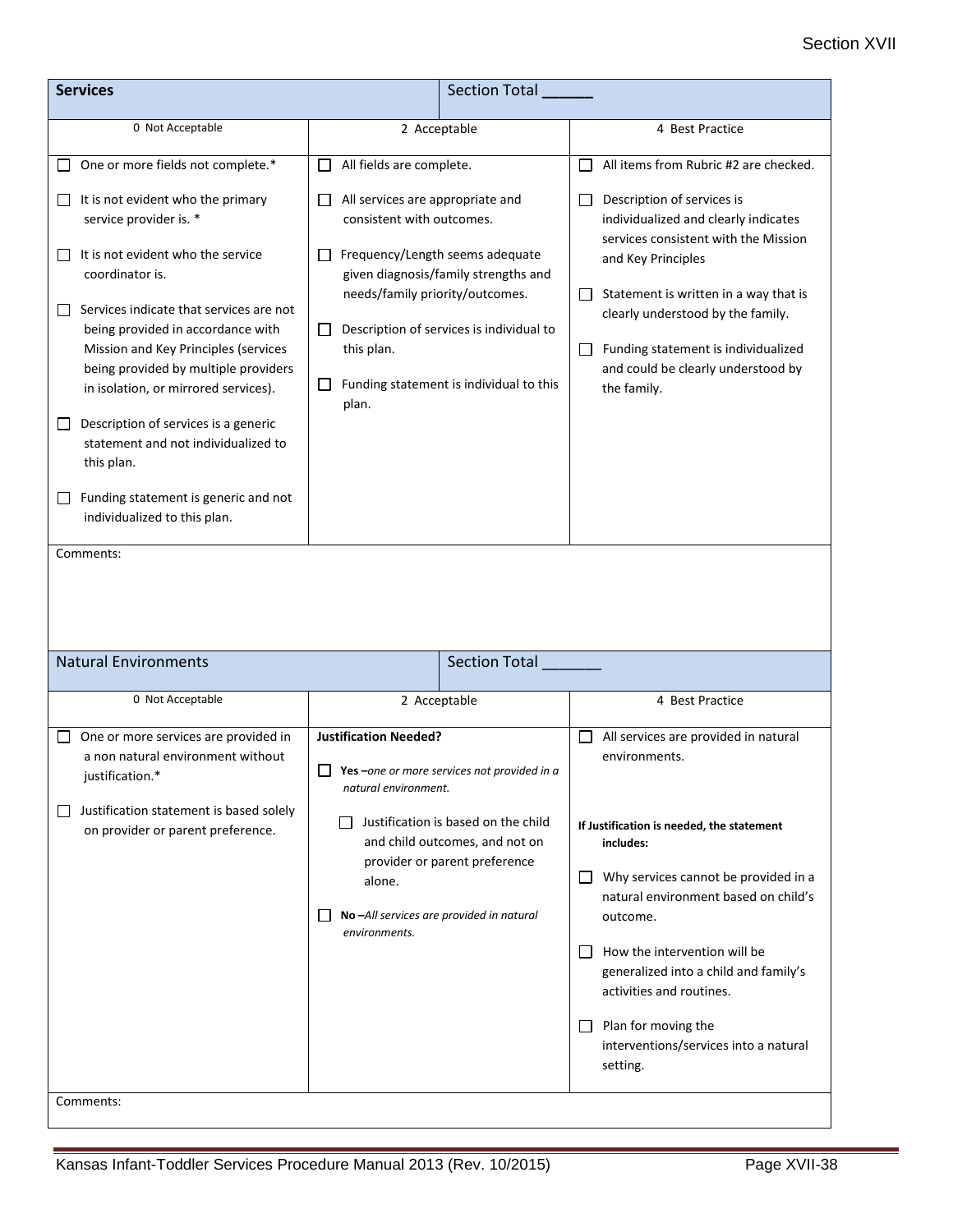## Section XVII

| <b>Services</b>                                                                                                                                                                                                                                                                                                                                                                                                                                                                                                                                                                                             | <b>Section Total</b>                                                                                                                                                                                                                                                                                                                       |                                                                                                                                                                                                                                                                                                                                                                                                        |
|-------------------------------------------------------------------------------------------------------------------------------------------------------------------------------------------------------------------------------------------------------------------------------------------------------------------------------------------------------------------------------------------------------------------------------------------------------------------------------------------------------------------------------------------------------------------------------------------------------------|--------------------------------------------------------------------------------------------------------------------------------------------------------------------------------------------------------------------------------------------------------------------------------------------------------------------------------------------|--------------------------------------------------------------------------------------------------------------------------------------------------------------------------------------------------------------------------------------------------------------------------------------------------------------------------------------------------------------------------------------------------------|
| 0 Not Acceptable                                                                                                                                                                                                                                                                                                                                                                                                                                                                                                                                                                                            | 2 Acceptable                                                                                                                                                                                                                                                                                                                               | 4 Best Practice                                                                                                                                                                                                                                                                                                                                                                                        |
| One or more fields not complete.*<br>It is not evident who the primary<br>$\mathsf{L}$<br>service provider is. *<br>It is not evident who the service<br>$\mathbf{I}$<br>coordinator is.<br>Services indicate that services are not<br>being provided in accordance with<br>Mission and Key Principles (services<br>being provided by multiple providers<br>in isolation, or mirrored services).<br>Description of services is a generic<br>$\overline{\phantom{a}}$<br>statement and not individualized to<br>this plan.<br>Funding statement is generic and not<br>$\Box$<br>individualized to this plan. | All fields are complete.<br>ΙI<br>All services are appropriate and<br>consistent with outcomes.<br>Frequency/Length seems adequate<br>given diagnosis/family strengths and<br>needs/family priority/outcomes.<br>Description of services is individual to<br>$\Box$<br>this plan.<br>Funding statement is individual to this<br>ப<br>plan. | All items from Rubric #2 are checked.<br>$\Box$<br>Description of services is<br>$\Box$<br>individualized and clearly indicates<br>services consistent with the Mission<br>and Key Principles<br>Statement is written in a way that is<br>$\Box$<br>clearly understood by the family.<br>Funding statement is individualized<br>$\Box$<br>and could be clearly understood by<br>the family.            |
| Comments:<br><b>Natural Environments</b>                                                                                                                                                                                                                                                                                                                                                                                                                                                                                                                                                                    | Section Total                                                                                                                                                                                                                                                                                                                              |                                                                                                                                                                                                                                                                                                                                                                                                        |
| 0 Not Acceptable                                                                                                                                                                                                                                                                                                                                                                                                                                                                                                                                                                                            | 2 Acceptable                                                                                                                                                                                                                                                                                                                               | 4 Best Practice                                                                                                                                                                                                                                                                                                                                                                                        |
| One or more services are provided in<br>a non natural environment without<br>justification.*<br>Justification statement is based solely<br>$\mathsf{L}$<br>on provider or parent preference.<br>Comments:                                                                                                                                                                                                                                                                                                                                                                                                   | <b>Justification Needed?</b><br>$\Box$ Yes –one or more services not provided in a<br>natural environment.<br>Justification is based on the child<br>and child outcomes, and not on<br>provider or parent preference<br>alone.<br>No-All services are provided in natural<br>environments.                                                 | All services are provided in natural<br>environments.<br>If Justification is needed, the statement<br>includes:<br>Why services cannot be provided in a<br>natural environment based on child's<br>outcome.<br>How the intervention will be<br>generalized into a child and family's<br>activities and routines.<br>Plan for moving the<br>$\Box$<br>interventions/services into a natural<br>setting. |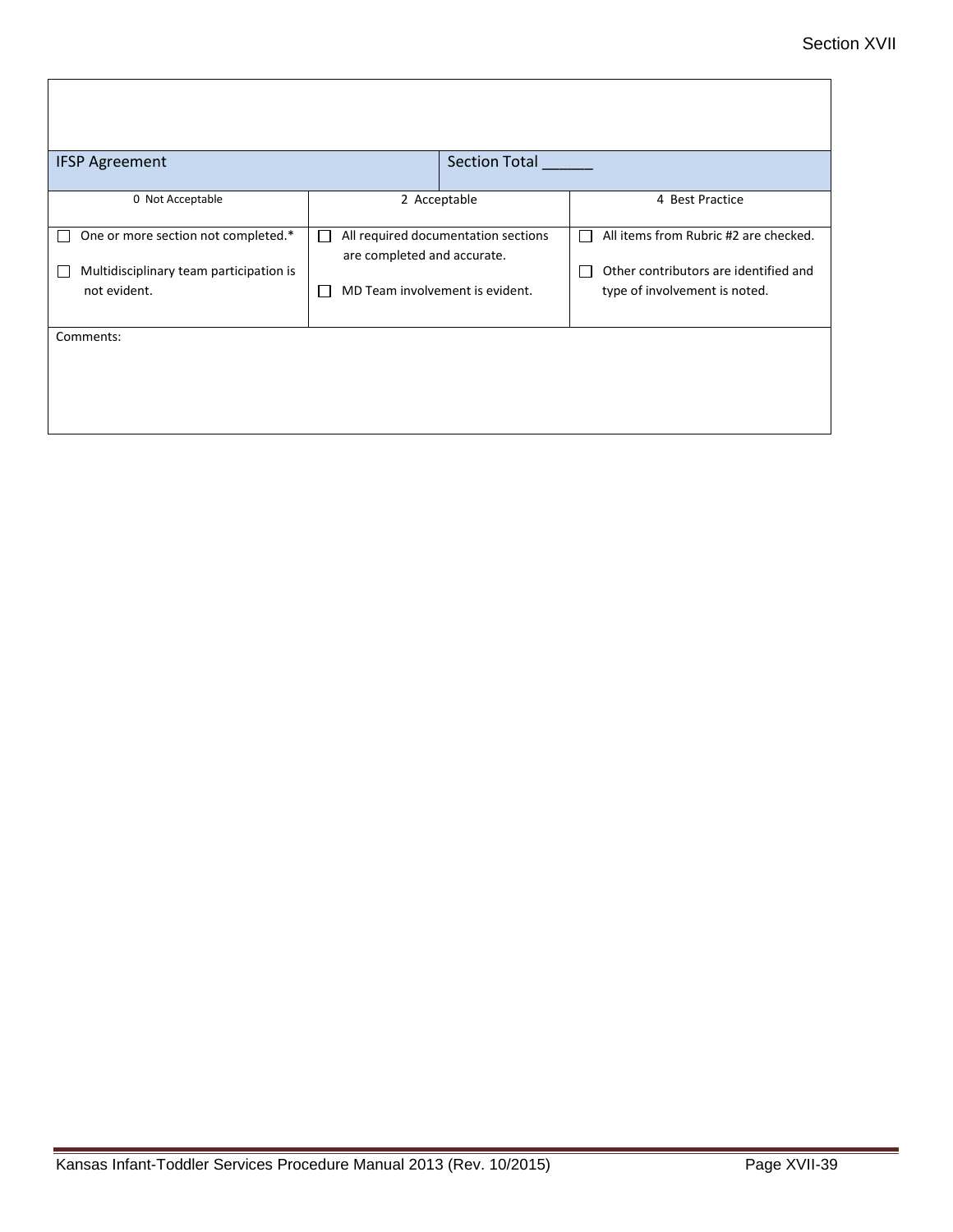| <b>IFSP Agreement</b>                                                                          | <b>Section Total</b>                                                                                                       |                                                                                                                                      |
|------------------------------------------------------------------------------------------------|----------------------------------------------------------------------------------------------------------------------------|--------------------------------------------------------------------------------------------------------------------------------------|
| 0 Not Acceptable                                                                               | 2 Acceptable                                                                                                               | 4 Best Practice                                                                                                                      |
| One or more section not completed.*<br>Multidisciplinary team participation is<br>not evident. | All required documentation sections<br>L<br>are completed and accurate.<br>MD Team involvement is evident.<br>$\mathsf{L}$ | All items from Rubric #2 are checked.<br>П<br>Other contributors are identified and<br>$\mathbf{I}$<br>type of involvement is noted. |
| Comments:                                                                                      |                                                                                                                            |                                                                                                                                      |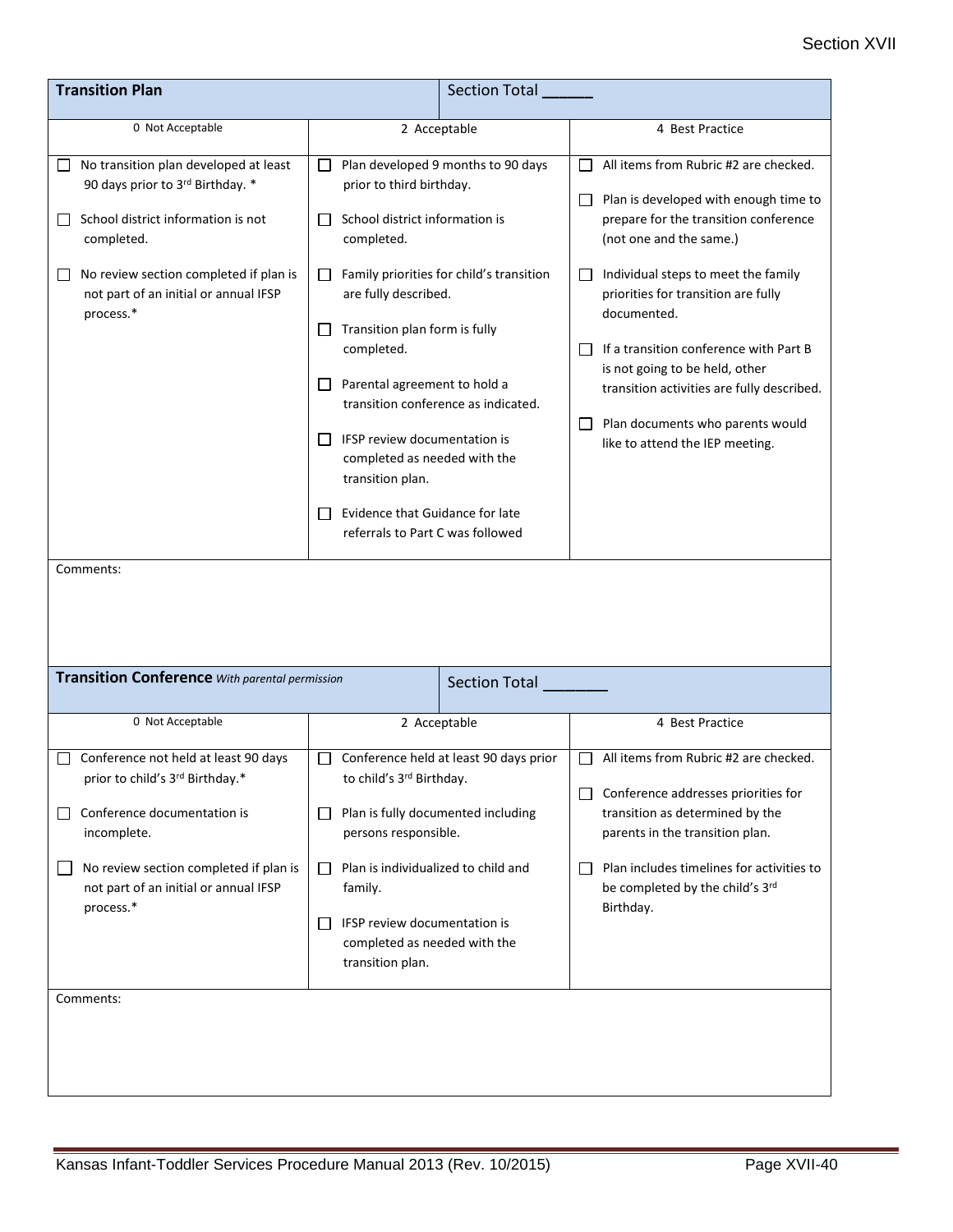| <b>Transition Plan</b>                                                                                                                                                                                                                     |                                                                                                                                                                                                                                                                                                                                                                                                                                                                                                                         | <b>Section Total</b> |                                                                                                                                                                                                                                                                                                                                                                                                                                                                  |  |
|--------------------------------------------------------------------------------------------------------------------------------------------------------------------------------------------------------------------------------------------|-------------------------------------------------------------------------------------------------------------------------------------------------------------------------------------------------------------------------------------------------------------------------------------------------------------------------------------------------------------------------------------------------------------------------------------------------------------------------------------------------------------------------|----------------------|------------------------------------------------------------------------------------------------------------------------------------------------------------------------------------------------------------------------------------------------------------------------------------------------------------------------------------------------------------------------------------------------------------------------------------------------------------------|--|
| 0 Not Acceptable                                                                                                                                                                                                                           | 2 Acceptable                                                                                                                                                                                                                                                                                                                                                                                                                                                                                                            |                      | 4 Best Practice                                                                                                                                                                                                                                                                                                                                                                                                                                                  |  |
| No transition plan developed at least<br>90 days prior to 3rd Birthday. *<br>School district information is not<br>completed.<br>No review section completed if plan is<br>not part of an initial or annual IFSP<br>process.*<br>Comments: | Plan developed 9 months to 90 days<br>$\Box$<br>prior to third birthday.<br>School district information is<br>$\Box$<br>completed.<br>Family priorities for child's transition<br>ப<br>are fully described.<br>Transition plan form is fully<br>$\Box$<br>completed.<br>Parental agreement to hold a<br>ப<br>transition conference as indicated.<br>IFSP review documentation is<br>ΙI<br>completed as needed with the<br>transition plan.<br>Evidence that Guidance for late<br>ΙI<br>referrals to Part C was followed |                      | All items from Rubric #2 are checked.<br>Plan is developed with enough time to<br>prepare for the transition conference<br>(not one and the same.)<br>Individual steps to meet the family<br>$\mathsf{L}$<br>priorities for transition are fully<br>documented.<br>If a transition conference with Part B<br>is not going to be held, other<br>transition activities are fully described.<br>Plan documents who parents would<br>like to attend the IEP meeting. |  |
| <b>Transition Conference</b> With parental permission<br><b>Section Total</b>                                                                                                                                                              |                                                                                                                                                                                                                                                                                                                                                                                                                                                                                                                         |                      |                                                                                                                                                                                                                                                                                                                                                                                                                                                                  |  |
| 0 Not Acceptable                                                                                                                                                                                                                           | 2 Acceptable                                                                                                                                                                                                                                                                                                                                                                                                                                                                                                            |                      | 4 Best Practice                                                                                                                                                                                                                                                                                                                                                                                                                                                  |  |
| Conference not held at least 90 days<br>prior to child's 3rd Birthday.*<br>Conference documentation is<br>incomplete.<br>No review section completed if plan is<br>not part of an initial or annual IFSP<br>process.*                      | Conference held at least 90 days prior<br>ΙI<br>to child's 3rd Birthday.<br>Plan is fully documented including<br>U<br>persons responsible.<br>Plan is individualized to child and<br>$\Box$<br>family.<br>IFSP review documentation is<br>$\Box$<br>completed as needed with the<br>transition plan.                                                                                                                                                                                                                   |                      | All items from Rubric #2 are checked.<br>Conference addresses priorities for<br>transition as determined by the<br>parents in the transition plan.<br>Plan includes timelines for activities to<br>be completed by the child's 3rd<br>Birthday.                                                                                                                                                                                                                  |  |
| Comments:                                                                                                                                                                                                                                  |                                                                                                                                                                                                                                                                                                                                                                                                                                                                                                                         |                      |                                                                                                                                                                                                                                                                                                                                                                                                                                                                  |  |